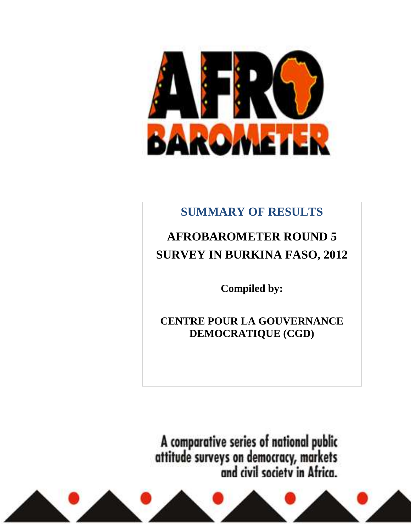

## **SUMMARY OF RESULTS**

# **AFROBAROMETER ROUND 5 SURVEY IN BURKINA FASO, 2012**

**Compiled by:** 

**CENTRE POUR LA GOUVERNANCE DEMOCRATIQUE (CGD)**

A comparative series of national public<br>attitude surveys on democracy, markets<br>and civil society in Africa.

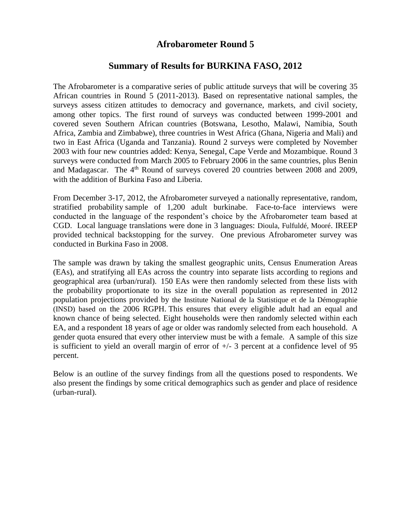## **Afrobarometer Round 5**

## **Summary of Results for BURKINA FASO, 2012**

The Afrobarometer is a comparative series of public attitude surveys that will be covering 35 African countries in Round 5 (2011-2013). Based on representative national samples, the surveys assess citizen attitudes to democracy and governance, markets, and civil society, among other topics. The first round of surveys was conducted between 1999-2001 and covered seven Southern African countries (Botswana, Lesotho, Malawi, Namibia, South Africa, Zambia and Zimbabwe), three countries in West Africa (Ghana, Nigeria and Mali) and two in East Africa (Uganda and Tanzania). Round 2 surveys were completed by November 2003 with four new countries added: Kenya, Senegal, Cape Verde and Mozambique. Round 3 surveys were conducted from March 2005 to February 2006 in the same countries, plus Benin and Madagascar. The  $4<sup>th</sup>$  Round of surveys covered 20 countries between 2008 and 2009, with the addition of Burkina Faso and Liberia.

From December 3-17, 2012, the Afrobarometer surveyed a nationally representative, random, stratified probability sample of 1,200 adult burkinabe. Face-to-face interviews were conducted in the language of the respondent's choice by the Afrobarometer team based at CGD. Local language translations were done in 3 languages: Dioula, Fulfuldé, Mooré. IREEP provided technical backstopping for the survey. One previous Afrobarometer survey was conducted in Burkina Faso in 2008.

The sample was drawn by taking the smallest geographic units, Census Enumeration Areas (EAs), and stratifying all EAs across the country into separate lists according to regions and geographical area (urban/rural). 150 EAs were then randomly selected from these lists with the probability proportionate to its size in the overall population as represented in 2012 population projections provided by the Institute National de la Statistique et de la Démographie (INSD) based on the 2006 RGPH. This ensures that every eligible adult had an equal and known chance of being selected. Eight households were then randomly selected within each EA, and a respondent 18 years of age or older was randomly selected from each household. A gender quota ensured that every other interview must be with a female. A sample of this size is sufficient to yield an overall margin of error of  $+/-$  3 percent at a confidence level of 95 percent.

Below is an outline of the survey findings from all the questions posed to respondents. We also present the findings by some critical demographics such as gender and place of residence (urban-rural).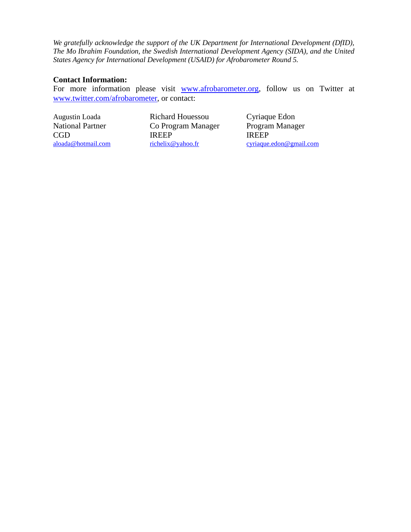*We gratefully acknowledge the support of the UK Department for International Development (DfID), The Mo Ibrahim Foundation, the Swedish International Development Agency (SIDA), and the United States Agency for International Development (USAID) for Afrobarometer Round 5.* 

#### **Contact Information:**

For more information please visit [www.afrobarometer.org,](http://www.afrobarometer.org/) follow us on Twitter at [www.twitter.com/afrobarometer,](http://www.twitter.com/afrobarometer) or contact:

Augustin Loada Richard Houessou Cyriaque Edon National Partner Co Program Manager Program Manager CGD IREEP IREEP

[aloada@hotmail.com](mailto:aloada@hotmail.com) [richelix@yahoo.fr](mailto:richelix@yahoo.fr) [cyriaque.edon@gmail.com](mailto:cyriaque.edon@gmail.com)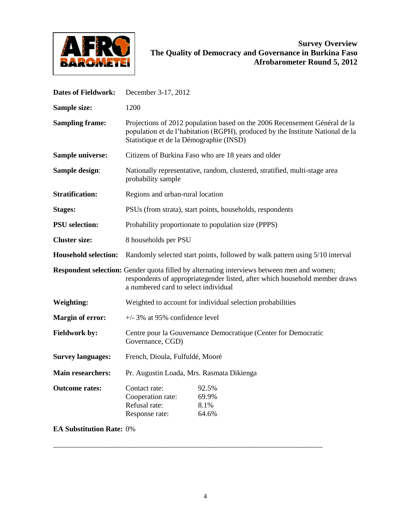

| <b>Dates of Fieldwork:</b>      | December 3-17, 2012                                                                                                                                                                                               |  |  |  |  |  |
|---------------------------------|-------------------------------------------------------------------------------------------------------------------------------------------------------------------------------------------------------------------|--|--|--|--|--|
| Sample size:                    | 1200                                                                                                                                                                                                              |  |  |  |  |  |
| <b>Sampling frame:</b>          | Projections of 2012 population based on the 2006 Recensement Général de la<br>population et de l'habitation (RGPH), produced by the Institute National de la<br>Statistique et de la Démographie (INSD)           |  |  |  |  |  |
| <b>Sample universe:</b>         | Citizens of Burkina Faso who are 18 years and older                                                                                                                                                               |  |  |  |  |  |
| Sample design:                  | Nationally representative, random, clustered, stratified, multi-stage area<br>probability sample                                                                                                                  |  |  |  |  |  |
| <b>Stratification:</b>          | Regions and urban-rural location                                                                                                                                                                                  |  |  |  |  |  |
| <b>Stages:</b>                  | PSUs (from strata), start points, households, respondents                                                                                                                                                         |  |  |  |  |  |
| <b>PSU</b> selection:           | Probability proportionate to population size (PPPS)                                                                                                                                                               |  |  |  |  |  |
| <b>Cluster size:</b>            | 8 households per PSU                                                                                                                                                                                              |  |  |  |  |  |
| <b>Household selection:</b>     | Randomly selected start points, followed by walk pattern using 5/10 interval                                                                                                                                      |  |  |  |  |  |
|                                 | Respondent selection: Gender quota filled by alternating interviews between men and women;<br>respondents of appropriategender listed, after which household member draws<br>a numbered card to select individual |  |  |  |  |  |
| <b>Weighting:</b>               | Weighted to account for individual selection probabilities                                                                                                                                                        |  |  |  |  |  |
| <b>Margin of error:</b>         | $+/-$ 3% at 95% confidence level                                                                                                                                                                                  |  |  |  |  |  |
| <b>Fieldwork by:</b>            | Centre pour la Gouvernance Democratique (Center for Democratic<br>Governance, CGD)                                                                                                                                |  |  |  |  |  |
| <b>Survey languages:</b>        | French, Dioula, Fulfuldé, Mooré                                                                                                                                                                                   |  |  |  |  |  |
| <b>Main researchers:</b>        | Pr. Augustin Loada, Mrs. Rasmata Dikienga                                                                                                                                                                         |  |  |  |  |  |
| <b>Outcome rates:</b>           | 92.5%<br>Contact rate:<br>Cooperation rate:<br>69.9%<br>Refusal rate:<br>8.1%<br>64.6%<br>Response rate:                                                                                                          |  |  |  |  |  |
| <b>EA Substitution Rate: 0%</b> |                                                                                                                                                                                                                   |  |  |  |  |  |

\_\_\_\_\_\_\_\_\_\_\_\_\_\_\_\_\_\_\_\_\_\_\_\_\_\_\_\_\_\_\_\_\_\_\_\_\_\_\_\_\_\_\_\_\_\_\_\_\_\_\_\_\_\_\_\_\_\_\_\_\_\_\_\_\_\_\_\_\_\_\_\_\_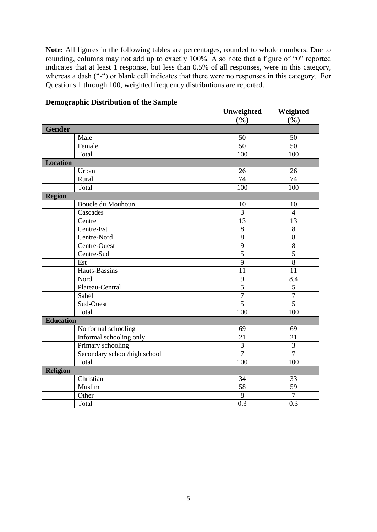**Note:** All figures in the following tables are percentages, rounded to whole numbers. Due to rounding, columns may not add up to exactly 100%. Also note that a figure of "0" reported indicates that at least 1 response, but less than 0.5% of all responses, were in this category, whereas a dash ("-") or blank cell indicates that there were no responses in this category. For Questions 1 through 100, weighted frequency distributions are reported.

|                              | Unweighted      | Weighted        |
|------------------------------|-----------------|-----------------|
|                              | (%)             | (%)             |
| <b>Gender</b>                |                 |                 |
| Male                         | 50              | 50              |
| Female                       | $\overline{50}$ | $\overline{50}$ |
| Total                        | 100             | 100             |
| <b>Location</b>              |                 |                 |
| Urban                        | 26              | 26              |
| Rural                        | $\overline{74}$ | 74              |
| Total                        | 100             | 100             |
| <b>Region</b>                |                 |                 |
| Boucle du Mouhoun            | 10              | 10              |
| Cascades                     | 3               | $\overline{4}$  |
| Centre                       | 13              | 13              |
| Centre-Est                   | $\overline{8}$  | 8               |
| Centre-Nord                  | $\overline{8}$  | $\overline{8}$  |
| Centre-Ouest                 | 9               | $\,8\,$         |
| Centre-Sud                   | $\overline{5}$  | $\overline{5}$  |
| Est                          | $\overline{9}$  | $\overline{8}$  |
| Hauts-Bassins                | 11              | 11              |
| Nord                         | 9               | 8.4             |
| Plateau-Central              | $\overline{5}$  | $\overline{5}$  |
| Sahel                        | $\overline{7}$  | $\overline{7}$  |
| Sud-Ouest                    | 5               | $\overline{5}$  |
| Total                        | 100             | 100             |
| <b>Education</b>             |                 |                 |
| No formal schooling          | 69              | 69              |
| Informal schooling only      | 21              | 21              |
| Primary schooling            | $\overline{3}$  | 3               |
| Secondary school/high school | $\overline{7}$  | $\overline{7}$  |
| Total                        | 100             | 100             |
| <b>Religion</b>              |                 |                 |
| Christian                    | 34              | 33              |
| Muslim                       | $\overline{58}$ | $\overline{59}$ |
| Other                        | $\,8\,$         | $\overline{7}$  |
| Total                        | 0.3             | 0.3             |

## **Demographic Distribution of the Sample**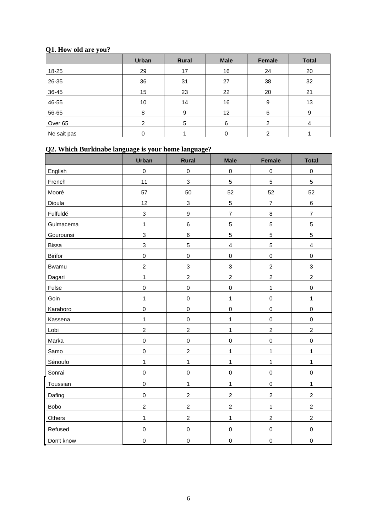## **Q1. How old are you?**

|             | <b>Urban</b> | <b>Rural</b> | <b>Male</b> | Female | <b>Total</b> |
|-------------|--------------|--------------|-------------|--------|--------------|
| 18-25       | 29           | 17           | 16          | 24     | 20           |
| 26-35       | 36           | 31           | 27          | 38     | 32           |
| 36-45       | 15           | 23           | 22          | 20     | 21           |
| 46-55       | 10           | 14           | 16          | 9      | 13           |
| 56-65       | 8            | 9            | 12          | 6      | 9            |
| Over 65     | ◠            | 5            | 6           | າ      | 4            |
| Ne sait pas | 0            |              | 0           | 2      |              |

## **Q2. Which Burkinabe language is your home language?**

|                | <b>Urban</b>   | <b>Rural</b>              | <b>Male</b>              | Female              | <b>Total</b>            |
|----------------|----------------|---------------------------|--------------------------|---------------------|-------------------------|
| English        | $\mathbf 0$    | $\pmb{0}$                 | $\mathbf 0$              | $\mathbf 0$         | $\mathbf 0$             |
| French         | 11             | $\mathsf 3$               | 5                        | 5                   | 5                       |
| Mooré          | 57             | 50                        | 52                       | 52                  | 52                      |
| Dioula         | 12             | $\ensuremath{\mathsf{3}}$ | $\mathbf 5$              | $\overline{7}$      | $\,6\,$                 |
| Fulfuldé       | $\mathsf 3$    | $\boldsymbol{9}$          | $\overline{\mathcal{I}}$ | 8                   | $\overline{\mathbf{7}}$ |
| Gulmacema      | 1              | $\,6\,$                   | $\mathbf 5$              | 5                   | 5                       |
| Gourounsi      | $\mathsf 3$    | $\,6$                     | 5                        | 5                   | 5                       |
| <b>Bissa</b>   | 3              | $\sqrt{5}$                | $\overline{\mathbf{4}}$  | 5                   | $\overline{\mathbf{4}}$ |
| <b>Birifor</b> | $\mathbf 0$    | $\boldsymbol{0}$          | $\mathbf 0$              | $\mathbf 0$         | $\mathbf 0$             |
| Bwamu          | $\overline{2}$ | $\mathsf 3$               | 3                        | $\overline{c}$      | 3                       |
| Dagari         | $\mathbf 1$    | $\overline{c}$            | $\boldsymbol{2}$         | $\overline{c}$      | $\overline{c}$          |
| Fulse          | $\pmb{0}$      | $\boldsymbol{0}$          | $\mathbf 0$              | $\mathbf{1}$        | $\mathbf 0$             |
| Goin           | $\mathbf 1$    | $\boldsymbol{0}$          | $\mathbf{1}$             | $\mathsf{O}\xspace$ | $\mathbf 1$             |
| Karaboro       | $\pmb{0}$      | $\boldsymbol{0}$          | $\mathbf 0$              | $\mathsf{O}\xspace$ | $\pmb{0}$               |
| Kassena        | $\mathbf 1$    | $\boldsymbol{0}$          | $\mathbf{1}$             | $\mathsf{O}\xspace$ | $\mathbf 0$             |
| Lobi           | $\overline{c}$ | $\sqrt{2}$                | $\mathbf{1}$             | $\overline{a}$      | $\overline{c}$          |
| Marka          | $\mathbf 0$    | $\boldsymbol{0}$          | $\mbox{O}$               | $\mathsf 0$         | $\mathbf 0$             |
| Samo           | $\mathbf 0$    | $\overline{c}$            | $\mathbf 1$              | $\mathbf{1}$        | $\mathbf 1$             |
| Sénoufo        | $\mathbf 1$    | $\mathbf{1}$              | $\mathbf{1}$             | $\mathbf{1}$        | $\mathbf{1}$            |
| Sonrai         | $\mathbf 0$    | $\boldsymbol{0}$          | $\mbox{O}$               | $\mathsf{O}\xspace$ | $\mathbf 0$             |
| Toussian       | $\pmb{0}$      | $\mathbf{1}$              | $\mathbf{1}$             | $\mathsf 0$         | 1                       |
| Dafing         | $\mathbf 0$    | $\boldsymbol{2}$          | $\overline{c}$           | $\overline{c}$      | $\overline{c}$          |
| Bobo           | $\overline{c}$ | $\overline{2}$            | $\overline{2}$           | $\mathbf{1}$        | $\overline{2}$          |
| Others         | $\mathbf 1$    | $\boldsymbol{2}$          | $\mathbf{1}$             | $\overline{c}$      | $\overline{c}$          |
| Refused        | $\pmb{0}$      | $\boldsymbol{0}$          | $\mbox{O}$               | $\mathbf 0$         | $\mathbf 0$             |
| Don't know     | $\pmb{0}$      | $\mathbf 0$               | $\mbox{O}$               | $\mathsf 0$         | $\mathbf 0$             |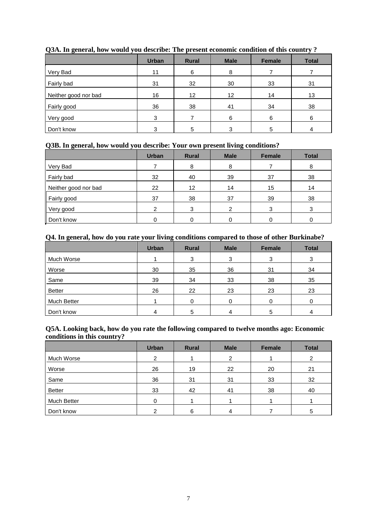|                      | <b>Urban</b> | <b>Rural</b> | <b>Male</b> | Female | <b>Total</b> |
|----------------------|--------------|--------------|-------------|--------|--------------|
| Very Bad             | 11           | 6            | 8           |        |              |
| Fairly bad           | 31           | 32           | 30          | 33     | 31           |
| Neither good nor bad | 16           | 12           | 12          | 14     | 13           |
| Fairly good          | 36           | 38           | 41          | 34     | 38           |
| Very good            | 3            |              | 6           | 6      | 6            |
| Don't know           | 3            | 5            | 3           | 5      |              |

#### **Q3A. In general, how would you describe: The present economic condition of this country ?**

#### **Q3B. In general, how would you describe: Your own present living conditions?**

|                      | <b>Urban</b>   | <b>Rural</b> | <b>Male</b> | Female | <b>Total</b> |
|----------------------|----------------|--------------|-------------|--------|--------------|
| Very Bad             |                | 8            | 8           |        |              |
| Fairly bad           | 32             | 40           | 39          | 37     | 38           |
| Neither good nor bad | 22             | 12           | 14          | 15     | 14           |
| Fairly good          | 37             | 38           | 37          | 39     | 38           |
| Very good            | $\mathfrak{p}$ | 3            | 2           | 3      | 3            |
| Don't know           | 0              |              |             |        |              |

#### **Q4. In general, how do you rate your living conditions compared to those of other Burkinabe?**

|               | <b>Urban</b> | <b>Rural</b> | <b>Male</b> | Female | <b>Total</b> |
|---------------|--------------|--------------|-------------|--------|--------------|
| Much Worse    |              | 3            | 3           | 3      | 3            |
| Worse         | 30           | 35           | 36          | 31     | 34           |
| Same          | 39           | 34           | 33          | 38     | 35           |
| <b>Better</b> | 26           | 22           | 23          | 23     | 23           |
| Much Better   |              |              | 0           |        |              |
| Don't know    |              | 5            |             | 5      |              |

#### **Q5A. Looking back, how do you rate the following compared to twelve months ago: Economic conditions in this country?**

|               | <b>Urban</b> | <b>Rural</b> | <b>Male</b> | Female | <b>Total</b> |
|---------------|--------------|--------------|-------------|--------|--------------|
| Much Worse    | 2            |              | 2           |        | 2            |
| Worse         | 26           | 19           | 22          | 20     | 21           |
| Same          | 36           | 31           | 31          | 33     | 32           |
| <b>Better</b> | 33           | 42           | 41          | 38     | 40           |
| Much Better   | $\Omega$     |              |             |        |              |
| Don't know    | າ            | 6            | 4           |        | 5            |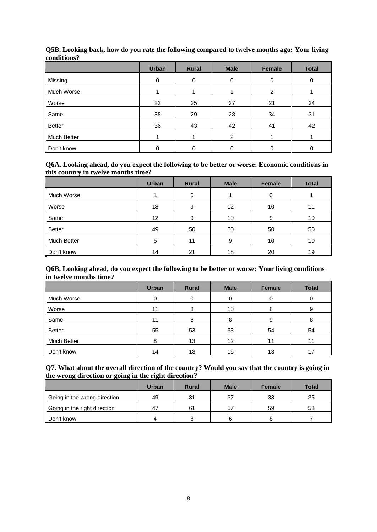|             | <b>Urban</b> | <b>Rural</b> | <b>Male</b> | Female   | <b>Total</b> |
|-------------|--------------|--------------|-------------|----------|--------------|
| Missing     | $\Omega$     | 0            | 0           | $\Omega$ | 0            |
| Much Worse  |              |              |             | 2        |              |
| Worse       | 23           | 25           | 27          | 21       | 24           |
| Same        | 38           | 29           | 28          | 34       | 31           |
| Better      | 36           | 43           | 42          | 41       | 42           |
| Much Better |              |              | 2           |          |              |
| Don't know  |              |              | 0           |          |              |

#### **Q5B. Looking back, how do you rate the following compared to twelve months ago: Your living conditions?**

#### **Q6A. Looking ahead, do you expect the following to be better or worse: Economic conditions in this country in twelve months time?**

|               | <b>Urban</b>      | <b>Rural</b> | <b>Male</b> | Female | <b>Total</b> |
|---------------|-------------------|--------------|-------------|--------|--------------|
| Much Worse    |                   | 0            |             | 0      |              |
| Worse         | 18                | 9            | 12          | 10     | 11           |
| Same          | $12 \overline{ }$ | 9            | 10          | 9      | 10           |
| <b>Better</b> | 49                | 50           | 50          | 50     | 50           |
| Much Better   | 5                 | 11           | 9           | 10     | 10           |
| Don't know    | 14                | 21           | 18          | 20     | 19           |

#### **Q6B. Looking ahead, do you expect the following to be better or worse: Your living conditions in twelve months time?**

|               | <b>Urban</b> | <b>Rural</b> | <b>Male</b> | Female | <b>Total</b> |
|---------------|--------------|--------------|-------------|--------|--------------|
| Much Worse    | 0            | 0            | 0           | 0      |              |
| Worse         | 11           | 8            | 10          | 8      | 9            |
| Same          | 11           | 8            | 8           | 9      |              |
| <b>Better</b> | 55           | 53           | 53          | 54     | 54           |
| Much Better   | 8            | 13           | 12          | 11     | 11           |
| Don't know    | 14           | 18           | 16          | 18     | 17           |

#### **Q7. What about the overall direction of the country? Would you say that the country is going in the wrong direction or going in the right direction?**

|                              | Urban | <b>Rural</b> | <b>Male</b> | <b>Female</b> | Total |
|------------------------------|-------|--------------|-------------|---------------|-------|
| Going in the wrong direction | 49    | 31           | 37          | 33            | 35    |
| Going in the right direction | 47    | 61           | 57          | 59            | 58    |
| Don't know                   | Δ     |              | 6           |               |       |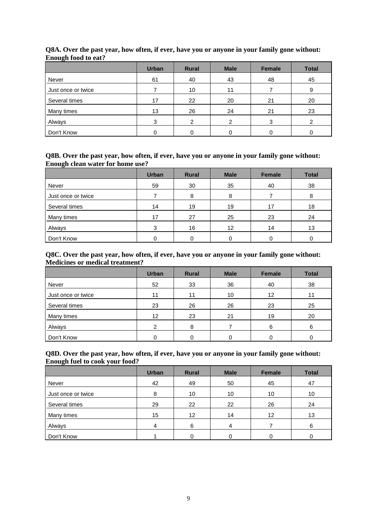|                    | <b>Urban</b> | <b>Rural</b> | <b>Male</b> | Female | <b>Total</b> |
|--------------------|--------------|--------------|-------------|--------|--------------|
| Never              | 61           | 40           | 43          | 48     | 45           |
| Just once or twice |              | 10           | 11          |        | 9            |
| Several times      | 17           | 22           | 20          | 21     | 20           |
| Many times         | 13           | 26           | 24          | 21     | 23           |
| Always             | 3            | ົ            | ົ           | 3      |              |
| Don't Know         | 0            |              |             |        |              |

#### **Q8A. Over the past year, how often, if ever, have you or anyone in your family gone without: Enough food to eat?**

#### **Q8B. Over the past year, how often, if ever, have you or anyone in your family gone without: Enough clean water for home use?**

|                    | <b>Urban</b> | <b>Rural</b> | <b>Male</b>     | <b>Female</b> | <b>Total</b> |
|--------------------|--------------|--------------|-----------------|---------------|--------------|
| Never              | 59           | 30           | 35              | 40            | 38           |
| Just once or twice |              | 8            | 8               |               | 8            |
| Several times      | 14           | 19           | 19              | 17            | 18           |
| Many times         | 17           | 27           | 25              | 23            | 24           |
| Always             | 3            | 16           | 12 <sup>°</sup> | 14            | 13           |
| Don't Know         | 0            |              |                 |               |              |

#### **Q8C. Over the past year, how often, if ever, have you or anyone in your family gone without: Medicines or medical treatment?**

|                    | <b>Urban</b>  | <b>Rural</b> | <b>Male</b> | <b>Female</b> | <b>Total</b> |
|--------------------|---------------|--------------|-------------|---------------|--------------|
| Never              | 52            | 33           | 36          | 40            | 38           |
| Just once or twice | 11            | 11           | 10          | 12            | 11           |
| Several times      | 23            | 26           | 26          | 23            | 25           |
| Many times         | 12            | 23           | 21          | 19            | 20           |
| Always             | $\mathcal{P}$ | 8            |             | 6             | 6            |
| Don't Know         |               |              |             |               |              |

#### **Q8D. Over the past year, how often, if ever, have you or anyone in your family gone without: Enough fuel to cook your food?**

|                    | <b>Urban</b> | Rural | <b>Male</b> | Female | <b>Total</b> |
|--------------------|--------------|-------|-------------|--------|--------------|
| Never              | 42           | 49    | 50          | 45     | 47           |
| Just once or twice | 8            | 10    | 10          | 10     | 10           |
| Several times      | 29           | 22    | 22          | 26     | 24           |
| Many times         | 15           | 12    | 14          | 12     | 13           |
| Always             | 4            | 6     | 4           |        | 6            |
| Don't Know         |              |       |             |        |              |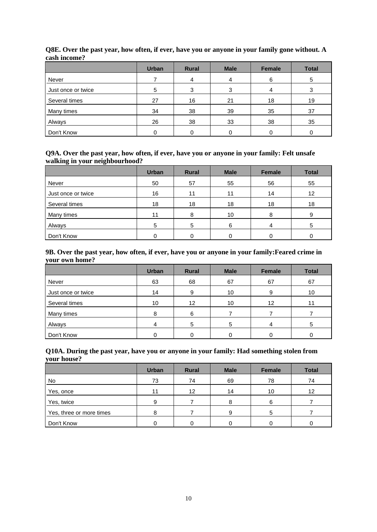|                    | <b>Urban</b> | <b>Rural</b> | <b>Male</b> | Female | <b>Total</b> |
|--------------------|--------------|--------------|-------------|--------|--------------|
| Never              |              | 4            | 4           | 6      | 5            |
| Just once or twice | 5            | 3            |             |        |              |
| Several times      | 27           | 16           | 21          | 18     | 19           |
| Many times         | 34           | 38           | 39          | 35     | 37           |
| Always             | 26           | 38           | 33          | 38     | 35           |
| Don't Know         |              |              |             |        |              |

#### **Q8E. Over the past year, how often, if ever, have you or anyone in your family gone without. A cash income?**

#### **Q9A. Over the past year, how often, if ever, have you or anyone in your family: Felt unsafe walking in your neighbourhood?**

|                    | <b>Urban</b> | <b>Rural</b> | <b>Male</b> | <b>Female</b> | <b>Total</b> |
|--------------------|--------------|--------------|-------------|---------------|--------------|
| Never              | 50           | 57           | 55          | 56            | 55           |
| Just once or twice | 16           | 11           | 11          | 14            | 12           |
| Several times      | 18           | 18           | 18          | 18            | 18           |
| Many times         | 11           | 8            | 10          | 8             |              |
| Always             | 5            | 5            | 6           | 4             |              |
| Don't Know         | 0            |              |             |               |              |

#### **9B. Over the past year, how often, if ever, have you or anyone in your family:Feared crime in your own home?**

|                    | <b>Urban</b> | <b>Rural</b> | <b>Male</b> | Female | <b>Total</b> |
|--------------------|--------------|--------------|-------------|--------|--------------|
| Never              | 63           | 68           | 67          | 67     | 67           |
| Just once or twice | 14           | 9            | 10          | 9      | 10           |
| Several times      | 10           | 12           | 10          | 12     | 11           |
| Many times         | 8            | 6            |             |        |              |
| Always             | 4            | 5            | 5           | 4      | 5            |
| Don't Know         |              |              |             |        |              |

#### **Q10A. During the past year, have you or anyone in your family: Had something stolen from your house?**

|                          | <b>Urban</b> | <b>Rural</b> | <b>Male</b> | <b>Female</b> | <b>Total</b> |
|--------------------------|--------------|--------------|-------------|---------------|--------------|
| <b>No</b>                | 73           | 74           | 69          | 78            | 74           |
| Yes, once                | 11           | 12           | 14          | 10            | 12           |
| Yes, twice               | 9            |              | 8           | 6             |              |
| Yes, three or more times | 8            |              | 9           | 5             |              |
| Don't Know               |              |              |             |               |              |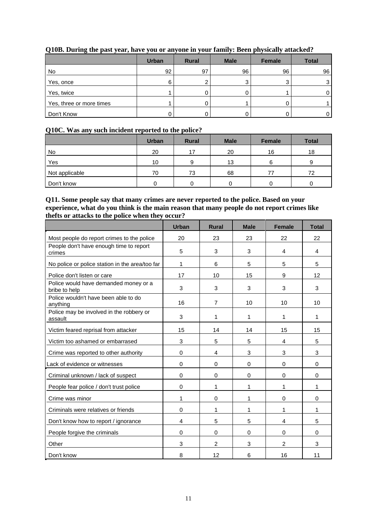|                          | <b>Urban</b> | <b>Rural</b> | <b>Male</b> | <b>Female</b> |    |
|--------------------------|--------------|--------------|-------------|---------------|----|
| No                       | 92           | 97           | 96          | 96            | 96 |
| Yes, once                | 6            |              | ⌒<br>J      | ◠             |    |
| Yes, twice               |              | υ            |             |               | 0  |
| Yes, three or more times |              | J            |             |               |    |
| Don't Know               |              |              |             |               |    |

#### **Q10B. During the past year, have you or anyone in your family: Been physically attacked?**

#### **Q10C. Was any such incident reported to the police?**

|                | <b>Urban</b> | <b>Rural</b> | <b>Male</b> | Female | <b>Total</b> |
|----------------|--------------|--------------|-------------|--------|--------------|
| No             | 20           | 17           | 20          | 16     | 18           |
| Yes            | 10           | 9            | 13          | 6      |              |
| Not applicable | 70           | 73           | 68          |        | 72           |
| Don't know     | C            |              |             |        |              |

#### **Q11. Some people say that many crimes are never reported to the police. Based on your experience, what do you think is the main reason that many people do not report crimes like thefts or attacks to the police when they occur?**

|                                                        | <b>Urban</b> | <b>Rural</b>   | <b>Male</b> | <b>Female</b>  | <b>Total</b> |
|--------------------------------------------------------|--------------|----------------|-------------|----------------|--------------|
| Most people do report crimes to the police             | 20           | 23             | 23          | 22             | 22           |
| People don't have enough time to report<br>crimes      | 5            | 3              | 3           | 4              | 4            |
| No police or police station in the area/too far        | 1            | 6              | 5           | 5              | 5            |
| Police don't listen or care                            | 17           | 10             | 15          | 9              | 12           |
| Police would have demanded money or a<br>bribe to help | 3            | 3              | 3           | 3              | 3            |
| Police wouldn't have been able to do<br>anything       | 16           | $\overline{7}$ | 10          | 10             | 10           |
| Police may be involved in the robbery or<br>assault    | 3            | 1              | 1           | 1              | 1            |
| Victim feared reprisal from attacker                   | 15           | 14             | 14          | 15             | 15           |
| Victim too ashamed or embarrased                       | 3            | 5              | 5           | $\overline{4}$ | 5            |
| Crime was reported to other authority                  | $\Omega$     | 4              | 3           | 3              | 3            |
| Lack of evidence or witnesses                          | $\Omega$     | $\Omega$       | $\Omega$    | 0              | $\Omega$     |
| Criminal unknown / lack of suspect                     | 0            | $\mathbf 0$    | 0           | $\mathbf 0$    | $\Omega$     |
| People fear police / don't trust police                | 0            | 1              | 1           | 1              | 1            |
| Crime was minor                                        | 1            | 0              | 1           | 0              | 0            |
| Criminals were relatives or friends                    | 0            | 1              | 1           | 1              | 1            |
| Don't know how to report / ignorance                   | 4            | 5              | 5           | $\overline{4}$ | 5            |
| People forgive the criminals                           | $\Omega$     | $\Omega$       | 0           | 0              | $\Omega$     |
| Other                                                  | 3            | $\overline{2}$ | 3           | $\overline{2}$ | 3            |
| Don't know                                             | 8            | 12             | 6           | 16             | 11           |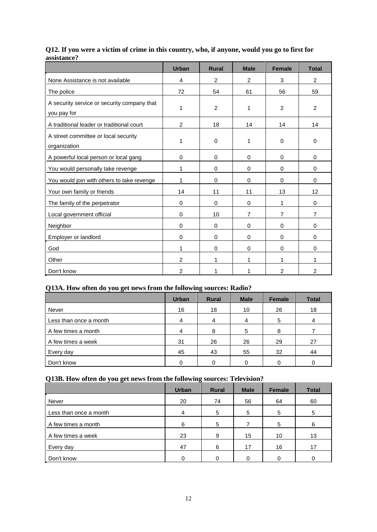|                                                            | <b>Urban</b>   | <b>Rural</b> | <b>Male</b>    | <b>Female</b>  | <b>Total</b>   |
|------------------------------------------------------------|----------------|--------------|----------------|----------------|----------------|
| None Assistance is not available                           | 4              | 2            | 2              | 3              | 2              |
| The police                                                 | 72             | 54           | 61             | 56             | 59             |
| A security service or security company that<br>you pay for | 1              | 2            | 1              | 2              | 2              |
| A traditional leader or traditional court                  | $\overline{2}$ | 18           | 14             | 14             | 14             |
| A street committee or local security<br>organization       | 1              | $\mathbf 0$  | 1              | $\Omega$       | 0              |
| A powerful local person or local gang                      | 0              | 0            | 0              | 0              | 0              |
| You would personally take revenge                          | 1              | 0            | 0              | 0              | 0              |
| You would join with others to take revenge                 | 1              | 0            | 0              | $\Omega$       | 0              |
| Your own family or friends                                 | 14             | 11           | 11             | 13             | 12             |
| The family of the perpetrator                              | 0              | 0            | 0              | 1              | 0              |
| Local government official                                  | 0              | 10           | $\overline{7}$ | $\overline{7}$ | 7              |
| Neighbor                                                   | 0              | 0            | 0              | 0              | 0              |
| Employer or landlord                                       | 0              | 0            | 0              | $\Omega$       | 0              |
| God                                                        | 1              | 0            | 0              | 0              | 0              |
| Other                                                      | $\overline{2}$ | 1            | 1              | 1              | 1              |
| Don't know                                                 | $\overline{2}$ | 1            | 1              | $\overline{2}$ | $\overline{2}$ |

#### **Q12. If you were a victim of crime in this country, who, if anyone, would you go to first for assistance?**

#### **Q13A. How often do you get news from the following sources: Radio?**

|                        | <b>Urban</b> | <b>Rural</b> | <b>Male</b> | <b>Female</b> | <b>Total</b> |
|------------------------|--------------|--------------|-------------|---------------|--------------|
| Never                  | 16           | 18           | 10          | 26            | 18           |
| Less than once a month | 4            | 4            | 4           | 5             | 4            |
| A few times a month    |              | 8            | 5           | 8             |              |
| A few times a week     | 31           | 26           | 26          | 29            | 27           |
| Every day              | 45           | 43           | 55          | 32            | 44           |
| Don't know             |              | ი            | 0           |               |              |

## **Q13B. How often do you get news from the following sources: Television?**

|                        | <b>Urban</b> | <b>Rural</b> | <b>Male</b> | <b>Female</b> | <b>Total</b> |
|------------------------|--------------|--------------|-------------|---------------|--------------|
| Never                  | 20           | 74           | 56          | 64            | 60           |
| Less than once a month | 4            | 5            | 5           | 5             | 5            |
| A few times a month    | 6            | 5            |             | 5             | 6            |
| A few times a week     | 23           | 9            | 15          | 10            | 13           |
| Every day              | 47           | 6            | 17          | 16            | 17           |
| Don't know             | 0            |              |             |               | 0            |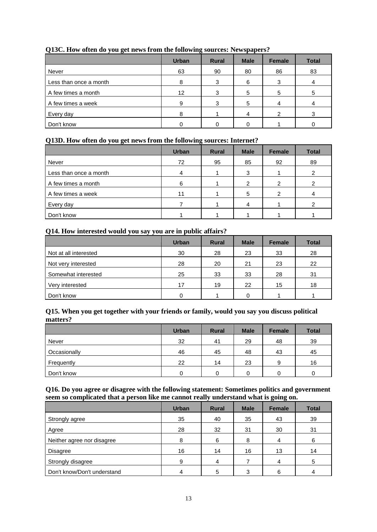|                        | $\overline{ }$ |              | .           |               |              |
|------------------------|----------------|--------------|-------------|---------------|--------------|
|                        | <b>Urban</b>   | <b>Rural</b> | <b>Male</b> | <b>Female</b> | <b>Total</b> |
| Never                  | 63             | 90           | 80          | 86            | 83           |
| Less than once a month | 8              | 3            | 6           |               |              |
| A few times a month    | 12             | 3            | 5           | 5             | 5            |
| A few times a week     | 9              | ≏            | 5           |               |              |
| Every day              | 8              |              |             |               | 3            |
| Don't know             |                |              |             |               |              |

#### **Q13C. How often do you get news from the following sources: Newspapers?**

#### **Q13D. How often do you get news from the following sources: Internet?**

|                        | <b>Urban</b> | <b>Rural</b> | <b>Male</b> | Female | <b>Total</b> |
|------------------------|--------------|--------------|-------------|--------|--------------|
| Never                  | 72           | 95           | 85          | 92     | 89           |
| Less than once a month |              |              | 3           |        |              |
| A few times a month    | 6            |              | 2           | ົ      |              |
| A few times a week     | 11           |              | 5           |        |              |
| Every day              |              |              | 4           |        |              |
| Don't know             |              |              |             |        |              |

#### **Q14. How interested would you say you are in public affairs?**

|                       | <b>Urban</b> | <b>Rural</b> | <b>Male</b> | <b>Female</b> | <b>Total</b> |
|-----------------------|--------------|--------------|-------------|---------------|--------------|
| Not at all interested | 30           | 28           | 23          | 33            | 28           |
| Not very interested   | 28           | 20           | 21          | 23            | 22           |
| Somewhat interested   | 25           | 33           | 33          | 28            | 31           |
| Very interested       | 17           | 19           | 22          | 15            | 18           |
| Don't know            |              |              | ŋ           |               |              |

#### **Q15. When you get together with your friends or family, would you say you discuss political matters?**

|              | <b>Urban</b> | <b>Rural</b> | <b>Male</b> | <b>Female</b> | <b>Total</b> |
|--------------|--------------|--------------|-------------|---------------|--------------|
| Never        | 32           | 41           | 29          | 48            | 39           |
| Occasionally | 46           | 45           | 48          | 43            | 45           |
| Frequently   | 22           | 14           | 23          | 9             | 16           |
| Don't know   |              |              |             |               |              |

#### **Q16. Do you agree or disagree with the following statement: Sometimes politics and government seem so complicated that a person like me cannot really understand what is going on.**

|                             | <b>Urban</b> | <b>Rural</b> | <b>Male</b> | <b>Female</b> | <b>Total</b> |
|-----------------------------|--------------|--------------|-------------|---------------|--------------|
| Strongly agree              | 35           | 40           | 35          | 43            | 39           |
| Agree                       | 28           | 32           | 31          | 30            | 31           |
| Neither agree nor disagree  | 8            | 6            | 8           |               | 6            |
| <b>Disagree</b>             | 16           | 14           | 16          | 13            | 14           |
| Strongly disagree           | 9            | 4            |             | 4             | 5            |
| Don't know/Don't understand |              |              | ◠           |               |              |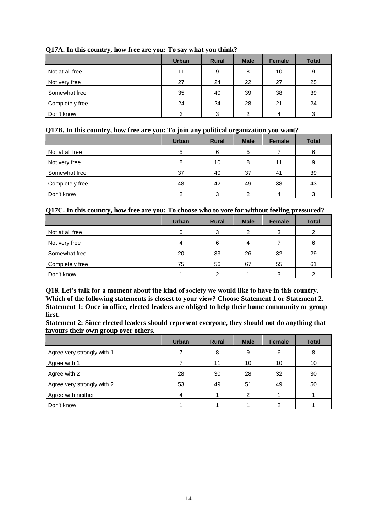|                 | <b>Urban</b> | <b>Rural</b> | <b>Male</b> | <b>Female</b> | <b>Total</b> |
|-----------------|--------------|--------------|-------------|---------------|--------------|
| Not at all free | 11           | 9            | 8           | 10            | 9            |
| Not very free   | 27           | 24           | 22          | 27            | 25           |
| Somewhat free   | 35           | 40           | 39          | 38            | 39           |
| Completely free | 24           | 24           | 28          | 21            | 24           |
| Don't know      | 3            | 3            | ົ           | 4             | 3            |

#### **Q17A. In this country, how free are you: To say what you think?**

#### **Q17B. In this country, how free are you: To join any political organization you want?**

|                 | <b>Urban</b> | <b>Rural</b> | <b>Male</b> | <b>Female</b> | <b>Total</b> |
|-----------------|--------------|--------------|-------------|---------------|--------------|
| Not at all free | 5            | 6            | 5           |               | 6            |
| Not very free   | 8            | 10           | 8           | 11            | 9            |
| Somewhat free   | 37           | 40           | 37          | 41            | 39           |
| Completely free | 48           | 42           | 49          | 38            | 43           |
| Don't know      | າ            | 3            | ົ           |               | 3            |

#### **Q17C. In this country, how free are you: To choose who to vote for without feeling pressured?**

|                 | <b>Urban</b> | <b>Rural</b> | <b>Male</b>    | <b>Female</b> | <b>Total</b> |
|-----------------|--------------|--------------|----------------|---------------|--------------|
| Not at all free |              | 3            | 2              | 3             | 2            |
| Not very free   |              | 6            | $\overline{4}$ |               | 6            |
| Somewhat free   | 20           | 33           | 26             | 32            | 29           |
| Completely free | 75           | 56           | 67             | 55            | 61           |
| Don't know      |              | ົ            |                | າ             | ⌒            |

**Q18. Let's talk for a moment about the kind of society we would like to have in this country. Which of the following statements is closest to your view? Choose Statement 1 or Statement 2. Statement 1: Once in office, elected leaders are obliged to help their home community or group first.**

**Statement 2: Since elected leaders should represent everyone, they should not do anything that favours their own group over others.**

|                            | <b>Urban</b> | <b>Rural</b> | <b>Male</b> | <b>Female</b> | <b>Total</b> |
|----------------------------|--------------|--------------|-------------|---------------|--------------|
| Agree very strongly with 1 |              | 8            | 9           | 6             | 8            |
| Agree with 1               |              | 11           | 10          | 10            | 10           |
| Agree with 2               | 28           | 30           | 28          | 32            | 30           |
| Agree very strongly with 2 | 53           | 49           | 51          | 49            | 50           |
| Agree with neither         | 4            |              | 2           |               |              |
| Don't know                 |              |              |             |               |              |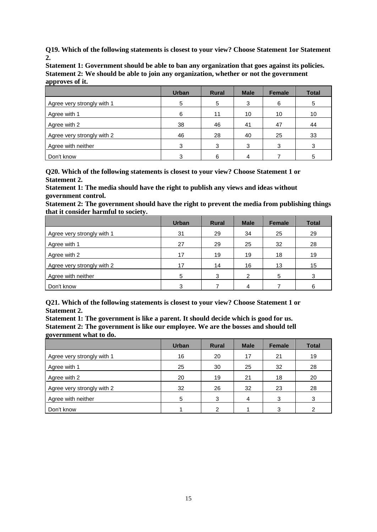**Q19. Which of the following statements is closest to your view? Choose Statement 1or Statement 2.** 

**Statement 1: Government should be able to ban any organization that goes against its policies. Statement 2: We should be able to join any organization, whether or not the government approves of it.**

|                            | <b>Urban</b> | <b>Rural</b> | <b>Male</b> | <b>Female</b> | <b>Total</b> |
|----------------------------|--------------|--------------|-------------|---------------|--------------|
| Agree very strongly with 1 | 5            | 5            | 3           | 6             | 5            |
| Agree with 1               | 6            | 11           | 10          | 10            | 10           |
| Agree with 2               | 38           | 46           | 41          | 47            | 44           |
| Agree very strongly with 2 | 46           | 28           | 40          | 25            | 33           |
| Agree with neither         | 3            | 3            | 3           | 3             | 3            |
| Don't know                 |              |              |             |               | 5            |

**Q20. Which of the following statements is closest to your view? Choose Statement 1 or Statement 2.** 

**Statement 1: The media should have the right to publish any views and ideas without government control.**

**Statement 2: The government should have the right to prevent the media from publishing things that it consider harmful to society.**

|                            | <b>Urban</b> | <b>Rural</b> | <b>Male</b>   | <b>Female</b> | <b>Total</b> |
|----------------------------|--------------|--------------|---------------|---------------|--------------|
| Agree very strongly with 1 | 31           | 29           | 34            | 25            | 29           |
| Agree with 1               | 27           | 29           | 25            | 32            | 28           |
| Agree with 2               | 17           | 19           | 19            | 18            | 19           |
| Agree very strongly with 2 | 17           | 14           | 16            | 13            | 15           |
| Agree with neither         | 5            | 3            | $\mathcal{P}$ | 5             | 3            |
| Don't know                 | 3            |              | 4             |               | 6            |

**Q21. Which of the following statements is closest to your view? Choose Statement 1 or Statement 2.** 

**Statement 1: The government is like a parent. It should decide which is good for us. Statement 2: The government is like our employee. We are the bosses and should tell government what to do.**

|                            | <b>Urban</b> | <b>Rural</b> | <b>Male</b> | <b>Female</b> | <b>Total</b> |
|----------------------------|--------------|--------------|-------------|---------------|--------------|
| Agree very strongly with 1 | 16           | 20           | 17          | 21            | 19           |
| Agree with 1               | 25           | 30           | 25          | 32            | 28           |
| Agree with 2               | 20           | 19           | 21          | 18            | 20           |
| Agree very strongly with 2 | 32           | 26           | 32          | 23            | 28           |
| Agree with neither         | 5            | 3            | 4           | 3             | 3            |
| Don't know                 |              |              |             | 3             |              |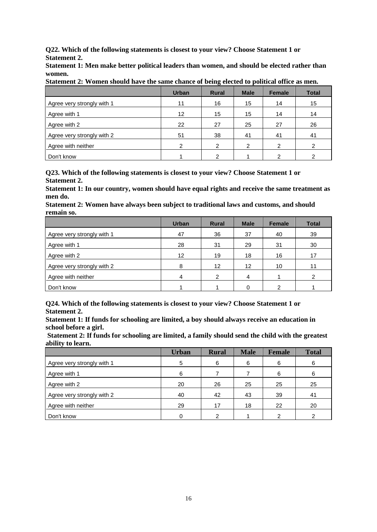**Q22. Which of the following statements is closest to your view? Choose Statement 1 or Statement 2.** 

**Statement 1: Men make better political leaders than women, and should be elected rather than women.**

|                            | <b>Urban</b>      | ັ<br><b>Rural</b> | <b>Male</b> | <b>Female</b> | <b>Total</b> |
|----------------------------|-------------------|-------------------|-------------|---------------|--------------|
| Agree very strongly with 1 | 11                | 16                | 15          | 14            | 15           |
| Agree with 1               | $12 \overline{ }$ | 15                | 15          | 14            | 14           |
| Agree with 2               | 22                | 27                | 25          | 27            | 26           |
| Agree very strongly with 2 | 51                | 38                | 41          | 41            | 41           |
| Agree with neither         | ົ                 | $\mathcal{P}$     | 2           | ົ             | າ            |
| Don't know                 |                   | ົ                 |             |               |              |

**Statement 2: Women should have the same chance of being elected to political office as men.**

**Q23. Which of the following statements is closest to your view? Choose Statement 1 or Statement 2.** 

**Statement 1: In our country, women should have equal rights and receive the same treatment as men do.**

**Statement 2: Women have always been subject to traditional laws and customs, and should remain so.**

|                            | <b>Urban</b>      | <b>Rural</b>      | <b>Male</b> | <b>Female</b> | <b>Total</b> |
|----------------------------|-------------------|-------------------|-------------|---------------|--------------|
| Agree very strongly with 1 | 47                | 36                | 37          | 40            | 39           |
| Agree with 1               | 28                | 31                | 29          | 31            | 30           |
| Agree with 2               | $12 \overline{ }$ | 19                | 18          | 16            | 17           |
| Agree very strongly with 2 | 8                 | $12 \overline{ }$ | 12          | 10            | 11           |
| Agree with neither         |                   | っ                 | 4           |               |              |
| Don't know                 |                   |                   |             |               |              |

**Q24. Which of the following statements is closest to your view? Choose Statement 1 or Statement 2.** 

**Statement 1: If funds for schooling are limited, a boy should always receive an education in school before a girl.**

**Statement 2: If funds for schooling are limited, a family should send the child with the greatest ability to learn.**

|                            | <b>Urban</b> | <b>Rural</b> | <b>Male</b> | <b>Female</b> | <b>Total</b> |
|----------------------------|--------------|--------------|-------------|---------------|--------------|
| Agree very strongly with 1 | 5            | 6            | 6           | 6             | 6            |
| Agree with 1               | 6            |              |             | 6             | 6            |
| Agree with 2               | 20           | 26           | 25          | 25            | 25           |
| Agree very strongly with 2 | 40           | 42           | 43          | 39            | 41           |
| Agree with neither         | 29           | 17           | 18          | 22            | 20           |
| Don't know                 |              |              |             | ົ             |              |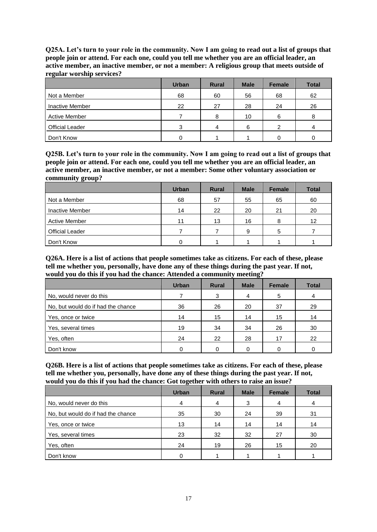**Q25A. Let's turn to your role in the community. Now I am going to read out a list of groups that people join or attend. For each one, could you tell me whether you are an official leader, an active member, an inactive member, or not a member: A religious group that meets outside of regular worship services?**

|                        | <b>Urban</b> | <b>Rural</b> | <b>Male</b> | <b>Female</b> | <b>Total</b> |
|------------------------|--------------|--------------|-------------|---------------|--------------|
| Not a Member           | 68           | 60           | 56          | 68            | 62           |
| Inactive Member        | 22           | 27           | 28          | 24            | 26           |
| <b>Active Member</b>   |              | 8            | 10          | 6             | 8            |
| <b>Official Leader</b> | З            | 4            | 6           |               | 4            |
| Don't Know             |              |              |             |               |              |

**Q25B. Let's turn to your role in the community. Now I am going to read out a list of groups that people join or attend. For each one, could you tell me whether you are an official leader, an active member, an inactive member, or not a member: Some other voluntary association or community group?**

|                        | <b>Urban</b> | <b>Rural</b> | <b>Male</b> | <b>Female</b> | <b>Total</b> |
|------------------------|--------------|--------------|-------------|---------------|--------------|
| Not a Member           | 68           | 57           | 55          | 65            | 60           |
| Inactive Member        | 14           | 22           | 20          | 21            | 20           |
| <b>Active Member</b>   | 11           | 13           | 16          | 8             | 12           |
| <b>Official Leader</b> |              |              | 9           | 5             |              |
| Don't Know             |              |              |             |               |              |

**Q26A. Here is a list of actions that people sometimes take as citizens. For each of these, please tell me whether you, personally, have done any of these things during the past year. If not, would you do this if you had the chance: Attended a community meeting?**

|                                    | <b>Urban</b> | <b>Rural</b> | <b>Male</b> | <b>Female</b> | <b>Total</b> |
|------------------------------------|--------------|--------------|-------------|---------------|--------------|
| No, would never do this            |              | 3            | 4           | 5             | 4            |
| No, but would do if had the chance | 36           | 26           | 20          | 37            | 29           |
| Yes, once or twice                 | 14           | 15           | 14          | 15            | 14           |
| Yes, several times                 | 19           | 34           | 34          | 26            | 30           |
| Yes, often                         | 24           | 22           | 28          | 17            | 22           |
| Don't know                         |              |              |             |               |              |

**Q26B. Here is a list of actions that people sometimes take as citizens. For each of these, please tell me whether you, personally, have done any of these things during the past year. If not, would you do this if you had the chance: Got together with others to raise an issue?**

|                                    | <b>Urban</b> | <b>Rural</b> | <b>Male</b> | <b>Female</b> | <b>Total</b> |
|------------------------------------|--------------|--------------|-------------|---------------|--------------|
| No, would never do this            | 4            | 4            | 3           | 4             | 4            |
| No, but would do if had the chance | 35           | 30           | 24          | 39            | 31           |
| Yes, once or twice                 | 13           | 14           | 14          | 14            | 14           |
| Yes, several times                 | 23           | 32           | 32          | 27            | 30           |
| Yes, often                         | 24           | 19           | 26          | 15            | 20           |
| Don't know                         |              |              |             |               |              |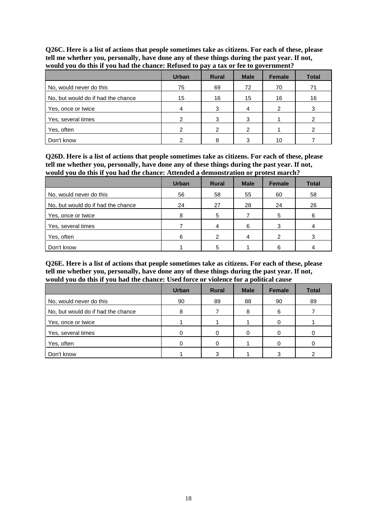**Q26C. Here is a list of actions that people sometimes take as citizens. For each of these, please tell me whether you, personally, have done any of these things during the past year. If not, would you do this if you had the chance: Refused to pay a tax or fee to government?**

|                                    | <b>Urban</b> | <b>Rural</b> | <b>Male</b> | <b>Female</b> | <b>Total</b> |
|------------------------------------|--------------|--------------|-------------|---------------|--------------|
| No, would never do this            | 75           | 69           | 72          | 70            | 71           |
| No, but would do if had the chance | 15           | 16           | 15          | 16            | 16           |
| Yes, once or twice                 | 4            | 3            | 4           | າ             | 3            |
| Yes, several times                 |              | 2            | з           |               |              |
| Yes, often                         |              | ◠            | 2           |               |              |
| Don't know                         |              |              |             | 10            |              |

**Q26D. Here is a list of actions that people sometimes take as citizens. For each of these, please tell me whether you, personally, have done any of these things during the past year. If not, would you do this if you had the chance: Attended a demonstration or protest march?**

|                                    | <b>Urban</b> | <b>Rural</b> | <b>Male</b> | <b>Female</b> | <b>Total</b> |
|------------------------------------|--------------|--------------|-------------|---------------|--------------|
| No, would never do this            | 56           | 58           | 55          | 60            | 58           |
| No, but would do if had the chance | 24           | 27           | 28          | 24            | 26           |
| Yes, once or twice                 | 8            | 5            |             | 5             | 6            |
| Yes, several times                 |              | 4            | 6           | 3             |              |
| Yes, often                         | 6            | ົ            | 4           | ົ             |              |
| Don't know                         |              | 5            |             |               |              |

**Q26E. Here is a list of actions that people sometimes take as citizens. For each of these, please tell me whether you, personally, have done any of these things during the past year. If not, would you do this if you had the chance: Used force or violence for a political cause**

|                                    | <b>Urban</b> | <b>Rural</b> | <b>Male</b> | <b>Female</b> | <b>Total</b> |
|------------------------------------|--------------|--------------|-------------|---------------|--------------|
| No, would never do this            | 90           | 89           | 88          | 90            | 89           |
| No, but would do if had the chance | 8            |              | 8           | 6             |              |
| Yes, once or twice                 |              |              |             |               |              |
| Yes, several times                 |              |              |             |               |              |
| Yes, often                         |              |              |             |               |              |
| Don't know                         |              | З            |             |               |              |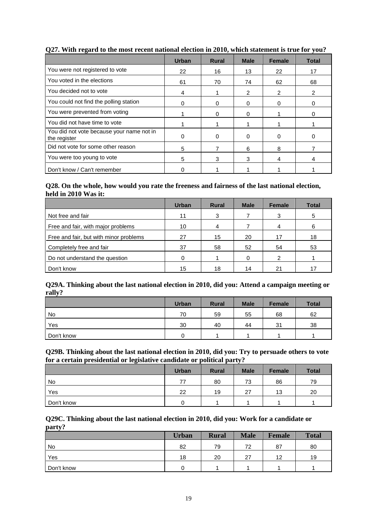|                                                           | Urban | <b>Rural</b> | <b>Male</b>  | <b>Female</b> | <b>Total</b> |
|-----------------------------------------------------------|-------|--------------|--------------|---------------|--------------|
| You were not registered to vote                           | 22    | 16           | 13           | 22            | 17           |
| You voted in the elections                                | 61    | 70           | 74           | 62            | 68           |
| You decided not to vote                                   | 4     |              | 2            | 2             | 2            |
| You could not find the polling station                    | 0     | 0            | 0            | O             | 0            |
| You were prevented from voting                            |       | O            | $\mathbf{0}$ |               |              |
| You did not have time to vote                             |       |              |              |               |              |
| You did not vote because your name not in<br>the register | 0     | $\Omega$     | $\Omega$     | O             |              |
| Did not vote for some other reason                        | 5     | 7            | 6            | 8             |              |
| You were too young to vote                                | 5     | 3            | 3            | 4             | 4            |
| Don't know / Can't remember                               |       |              |              |               |              |

#### **Q27. With regard to the most recent national election in 2010, which statement is true for you?**

#### **Q28. On the whole, how would you rate the freeness and fairness of the last national election, held in 2010 Was it:**

|                                        | <b>Urban</b> | <b>Rural</b> | <b>Male</b> | <b>Female</b> | <b>Total</b> |
|----------------------------------------|--------------|--------------|-------------|---------------|--------------|
| Not free and fair                      | 11           | 3            |             | 3             | 5            |
| Free and fair, with major problems     | 10           | 4            |             |               | 6            |
| Free and fair, but with minor problems | 27           | 15           | 20          | 17            | 18           |
| Completely free and fair               | 37           | 58           | 52          | 54            | 53           |
| Do not understand the question         |              |              |             | ◠             |              |
| Don't know                             | 15           | 18           | 14          | 21            |              |

#### **Q29A. Thinking about the last national election in 2010, did you: Attend a campaign meeting or rally?**

|            | <b>Urban</b> | <b>Rural</b> | <b>Male</b> | <b>Female</b> | <b>Total</b> |
|------------|--------------|--------------|-------------|---------------|--------------|
| <b>No</b>  | 70           | 59           | 55          | 68            | 62           |
| Yes        | 30           | 40           | 44          | 31            | 38           |
| Don't know |              |              |             |               |              |

#### **Q29B. Thinking about the last national election in 2010, did you: Try to persuade others to vote for a certain presidential or legislative candidate or political party?**

|            | <b>Urban</b> | <b>Rural</b> | <b>Male</b> | <b>Female</b> | <b>Total</b> |
|------------|--------------|--------------|-------------|---------------|--------------|
| No         | 77           | 80           | 73          | 86            | 79           |
| Yes        | 22           | 19           | 27          | 13            | 20           |
| Don't know |              |              |             |               |              |

#### **Q29C. Thinking about the last national election in 2010, did you: Work for a candidate or party?**

|            | <b>Urban</b> | <b>Rural</b> | <b>Male</b> | <b>Female</b> | <b>Total</b> |
|------------|--------------|--------------|-------------|---------------|--------------|
| No         | 82           | 79           | 70          | 87            | 80           |
| Yes        | 18           | 20           | 27          | 12            | 19           |
| Don't know |              |              |             |               |              |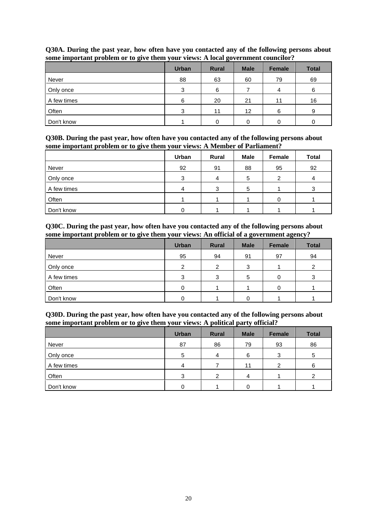|             | <b>Urban</b> | <b>Rural</b> | <b>Male</b> | <b>Female</b> | <b>Total</b> |
|-------------|--------------|--------------|-------------|---------------|--------------|
| Never       | 88           | 63           | 60          | 79            | 69           |
| Only once   | 3            | 6            |             | 4             | 6            |
| A few times | 6            | 20           | 21          | 11            | 16           |
| Often       | 3            | 11           | 12          | 6             | 9            |
| Don't know  |              |              |             |               | 0            |

#### **Q30A. During the past year, how often have you contacted any of the following persons about some important problem or to give them your views: A local government councilor?**

**Q30B. During the past year, how often have you contacted any of the following persons about some important problem or to give them your views: A Member of Parliament?**

|             | Urban | Rural | <b>Male</b> | Female | <b>Total</b> |
|-------------|-------|-------|-------------|--------|--------------|
| Never       | 92    | 91    | 88          | 95     | 92           |
| Only once   | 3     | 4     | 5           | ົ      |              |
| A few times | 4     |       | 5           |        |              |
| Often       |       |       |             |        |              |
| Don't know  |       |       |             |        |              |

**Q30C. During the past year, how often have you contacted any of the following persons about some important problem or to give them your views: An official of a government agency?**

|             | <b>Urban</b> | <b>Rural</b> | <b>Male</b> | Female | <b>Total</b> |
|-------------|--------------|--------------|-------------|--------|--------------|
| Never       | 95           | 94           | 91          | 97     | 94           |
| Only once   | ົ            | റ            | 3           |        | っ            |
| A few times | 3            | 3            | 5           |        |              |
| Often       |              |              |             |        |              |
| Don't know  |              |              |             |        |              |

| Q30D. During the past year, how often have you contacted any of the following persons about |
|---------------------------------------------------------------------------------------------|
| some important problem or to give them your views: A political party official?              |

|             | <b>Urban</b> | <b>Rural</b> | <b>Male</b> | <b>Female</b> | <b>Total</b> |
|-------------|--------------|--------------|-------------|---------------|--------------|
| Never       | 87           | 86           | 79          | 93            | 86           |
| Only once   | 5            | 4            | 6           | 3             | 5            |
| A few times | 4            |              | 11          | ⌒             | 6            |
| Often       | 3            | ົ            | 4           |               | ⌒            |
| Don't know  |              |              |             |               |              |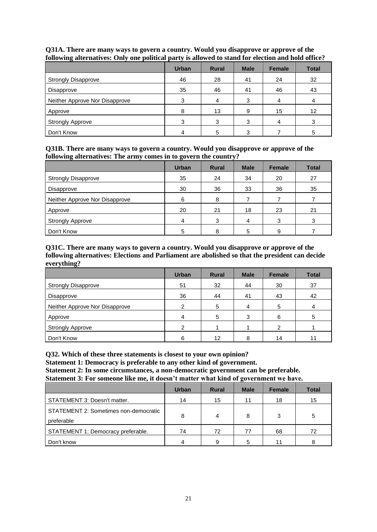| $\tilde{\phantom{a}}$          |              |              |             |        |              |
|--------------------------------|--------------|--------------|-------------|--------|--------------|
|                                | <b>Urban</b> | <b>Rural</b> | <b>Male</b> | Female | <b>Total</b> |
| <b>Strongly Disapprove</b>     | 46           | 28           | 41          | 24     | 32           |
| Disapprove                     | 35           | 46           | 41          | 46     | 43           |
| Neither Approve Nor Disapprove | 3            | 4            | 3           | 4      |              |
| Approve                        | 8            | 13           | 9           | 15     | 12           |
| <b>Strongly Approve</b>        | 3            | 3            | 3           | 4      | 3            |
| Don't Know                     |              | 5            | 3           |        | 5            |

#### **Q31A. There are many ways to govern a country. Would you disapprove or approve of the following alternatives: Only one political party is allowed to stand for election and hold office?**

#### **Q31B. There are many ways to govern a country. Would you disapprove or approve of the following alternatives: The army comes in to govern the country?**

|                                | <b>Urban</b> | <b>Rural</b> | <b>Male</b> | Female | <b>Total</b> |
|--------------------------------|--------------|--------------|-------------|--------|--------------|
| <b>Strongly Disapprove</b>     | 35           | 24           | 34          | 20     | 27           |
| Disapprove                     | 30           | 36           | 33          | 36     | 35           |
| Neither Approve Nor Disapprove | 6            | 8            |             |        |              |
| Approve                        | 20           | 21           | 18          | 23     | 21           |
| <b>Strongly Approve</b>        | 4            | 3            | 4           | 3      | 3            |
| Don't Know                     | 5            | 8            | 5           | 9      |              |

#### **Q31C. There are many ways to govern a country. Would you disapprove or approve of the following alternatives: Elections and Parliament are abolished so that the president can decide everything?**

|                                | <b>Urban</b>  | <b>Rural</b> | <b>Male</b> | <b>Female</b> | <b>Total</b> |
|--------------------------------|---------------|--------------|-------------|---------------|--------------|
| <b>Strongly Disapprove</b>     | 51            | 32           | 44          | 30            | 37           |
| Disapprove                     | 36            | 44           | 41          | 43            | 42           |
| Neither Approve Nor Disapprove |               | 5            | 4           | 5             |              |
| Approve                        |               | 5            | 3           | 6             | 5            |
| <b>Strongly Approve</b>        | $\mathcal{P}$ |              |             | າ             |              |
| Don't Know                     |               | 12           |             | 14            |              |

**Q32. Which of these three statements is closest to your own opinion?** 

**Statement 1: Democracy is preferable to any other kind of government.**

**Statement 2: In some circumstances, a non-democratic government can be preferable.**

**Statement 3: For someone like me, it doesn't matter what kind of government we have.**

|                                                     | <b>Urban</b> | <b>Rural</b> | <b>Male</b> | <b>Female</b> | <b>Total</b> |
|-----------------------------------------------------|--------------|--------------|-------------|---------------|--------------|
| STATEMENT 3: Doesn't matter.                        | 14           | 15           | 11          | 18            | 15           |
| STATEMENT 2: Sometimes non-democratic<br>preferable | 8            | 4            | 8           | 3             | 5            |
| STATEMENT 1: Democracy preferable.                  | 74           | 72           | 77          | 68            | 72           |
| Don't know                                          | 4            | 9            | 5           | 11            |              |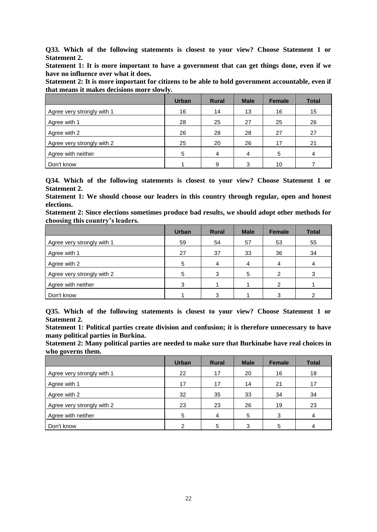**Q33. Which of the following statements is closest to your view? Choose Statement 1 or Statement 2.** 

**Statement 1: It is more important to have a government that can get things done, even if we have no influence over what it does.**

**Statement 2: It is more important for citizens to be able to hold government accountable, even if that means it makes decisions more slowly.**

|                            | <b>Urban</b> | <b>Rural</b> | <b>Male</b> | <b>Female</b> | <b>Total</b> |
|----------------------------|--------------|--------------|-------------|---------------|--------------|
| Agree very strongly with 1 | 16           | 14           | 13          | 16            | 15           |
| Agree with 1               | 28           | 25           | 27          | 25            | 26           |
| Agree with 2               | 26           | 28           | 28          | 27            | 27           |
| Agree very strongly with 2 | 25           | 20           | 26          | 17            | 21           |
| Agree with neither         | 5            | 4            | 4           | 5             | 4            |
| Don't know                 |              | 9            | 3           | 10            |              |

**Q34. Which of the following statements is closest to your view? Choose Statement 1 or Statement 2.** 

**Statement 1: We should choose our leaders in this country through regular, open and honest elections.**

**Statement 2: Since elections sometimes produce bad results, we should adopt other methods for choosing this country's leaders.**

|                            | <b>Urban</b> | <b>Rural</b> | <b>Male</b> | <b>Female</b> | <b>Total</b> |
|----------------------------|--------------|--------------|-------------|---------------|--------------|
| Agree very strongly with 1 | 59           | 54           | 57          | 53            | 55           |
| Agree with 1               | 27           | 37           | 33          | 36            | 34           |
| Agree with 2               | 5            | 4            |             |               |              |
| Agree very strongly with 2 | 5            | 3            | 5           | 2             |              |
| Agree with neither         | 3            |              |             |               |              |
| Don't know                 |              | ົ            |             |               |              |

**Q35. Which of the following statements is closest to your view? Choose Statement 1 or Statement 2.** 

**Statement 1: Political parties create division and confusion; it is therefore unnecessary to have many political parties in Burkina.**

**Statement 2: Many political parties are needed to make sure that Burkinabe have real choices in who governs them.**

|                            | <b>Urban</b> | <b>Rural</b> | <b>Male</b> | <b>Female</b> | <b>Total</b> |
|----------------------------|--------------|--------------|-------------|---------------|--------------|
| Agree very strongly with 1 | 22           | 17           | 20          | 16            | 18           |
| Agree with 1               | 17           | 17           | 14          | 21            | 17           |
| Agree with 2               | 32           | 35           | 33          | 34            | 34           |
| Agree very strongly with 2 | 23           | 23           | 26          | 19            | 23           |
| Agree with neither         | 5            | 4            | 5           | 3             | 4            |
| Don't know                 | 2            | 5            | 3           | .5            |              |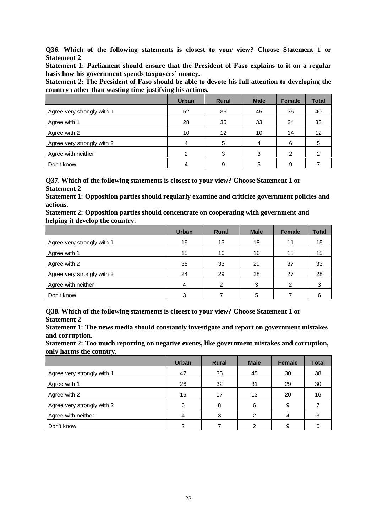**Q36. Which of the following statements is closest to your view? Choose Statement 1 or Statement 2**

**Statement 1: Parliament should ensure that the President of Faso explains to it on a regular basis how his government spends taxpayers' money.**

**Statement 2: The President of Faso should be able to devote his full attention to developing the country rather than wasting time justifying his actions.**

|                            | <b>Urban</b> | <b>Rural</b> | <b>Male</b> | <b>Female</b> | <b>Total</b>      |
|----------------------------|--------------|--------------|-------------|---------------|-------------------|
| Agree very strongly with 1 | 52           | 36           | 45          | 35            | 40                |
| Agree with 1               | 28           | 35           | 33          | 34            | 33                |
| Agree with 2               | 10           | 12           | 10          | 14            | $12 \overline{ }$ |
| Agree very strongly with 2 | 4            | 5            | 4           | 6             | 5                 |
| Agree with neither         | າ            | 3            | 3           | 2             |                   |
| Don't know                 | 4            | 9            | 5           | 9             |                   |

**Q37. Which of the following statements is closest to your view? Choose Statement 1 or Statement 2**

**Statement 1: Opposition parties should regularly examine and criticize government policies and actions.**

| Statement 2: Opposition parties should concentrate on cooperating with government and |  |
|---------------------------------------------------------------------------------------|--|
| helping it develop the country.                                                       |  |

|                            | <b>Urban</b> | <b>Rural</b>  | <b>Male</b> | <b>Female</b> | <b>Total</b> |
|----------------------------|--------------|---------------|-------------|---------------|--------------|
| Agree very strongly with 1 | 19           | 13            | 18          | 11            | 15           |
| Agree with 1               | 15           | 16            | 16          | 15            | 15           |
| Agree with 2               | 35           | 33            | 29          | 37            | 33           |
| Agree very strongly with 2 | 24           | 29            | 28          | 27            | 28           |
| Agree with neither         | 4            | $\mathcal{P}$ | 3           | 2             | 3            |
| Don't know                 | 3            |               | 5           |               | 6            |

**Q38. Which of the following statements is closest to your view? Choose Statement 1 or Statement 2**

**Statement 1: The news media should constantly investigate and report on government mistakes and corruption.**

**Statement 2: Too much reporting on negative events, like government mistakes and corruption, only harms the country.**

|                            | <b>Urban</b> | <b>Rural</b> | <b>Male</b>   | <b>Female</b> | <b>Total</b> |
|----------------------------|--------------|--------------|---------------|---------------|--------------|
| Agree very strongly with 1 | 47           | 35           | 45            | 30            | 38           |
| Agree with 1               | 26           | 32           | 31            | 29            | 30           |
| Agree with 2               | 16           | 17           | 13            | 20            | 16           |
| Agree very strongly with 2 | 6            |              | 6             | 9             |              |
| Agree with neither         | 4            | 3            | $\mathcal{P}$ | 4             | 3            |
| Don't know                 |              |              | っ             | я             |              |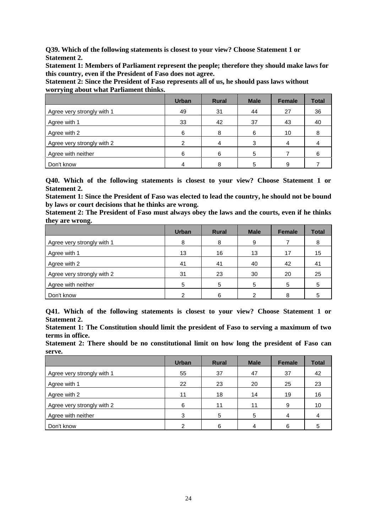**Q39. Which of the following statements is closest to your view? Choose Statement 1 or Statement 2.** 

**Statement 1: Members of Parliament represent the people; therefore they should make laws for this country, even if the President of Faso does not agree.**

**Statement 2: Since the President of Faso represents all of us, he should pass laws without worrying about what Parliament thinks.**

|                            | <b>Urban</b> | <b>Rural</b> | <b>Male</b> | Female | <b>Total</b> |
|----------------------------|--------------|--------------|-------------|--------|--------------|
| Agree very strongly with 1 | 49           | 31           | 44          | 27     | 36           |
| Agree with 1               | 33           | 42           | 37          | 43     | 40           |
| Agree with 2               | 6            | 8            | 6           | 10     |              |
| Agree very strongly with 2 | ≘            |              | 3           |        |              |
| Agree with neither         | 6            | 6            | 5           |        | 6            |
| Don't know                 |              |              | 5           |        |              |

**Q40. Which of the following statements is closest to your view? Choose Statement 1 or Statement 2.** 

**Statement 1: Since the President of Faso was elected to lead the country, he should not be bound by laws or court decisions that he thinks are wrong.** 

**Statement 2: The President of Faso must always obey the laws and the courts, even if he thinks they are wrong.**

|                            | <b>Urban</b> | <b>Rural</b> | <b>Male</b> | Female | <b>Total</b> |
|----------------------------|--------------|--------------|-------------|--------|--------------|
| Agree very strongly with 1 | 8            | 8            | 9           |        | 8            |
| Agree with 1               | 13           | 16           | 13          | 17     | 15           |
| Agree with 2               | 41           | 41           | 40          | 42     | -41          |
| Agree very strongly with 2 | 31           | 23           | 30          | 20     | 25           |
| Agree with neither         | 5            | 5            | 5           | 5      |              |
| Don't know                 |              |              | 2           |        |              |

**Q41. Which of the following statements is closest to your view? Choose Statement 1 or Statement 2.**

**Statement 1: The Constitution should limit the president of Faso to serving a maximum of two terms in office.**

**Statement 2: There should be no constitutional limit on how long the president of Faso can serve.**

|                            | <b>Urban</b> | <b>Rural</b> | <b>Male</b> | <b>Female</b> | <b>Total</b> |
|----------------------------|--------------|--------------|-------------|---------------|--------------|
| Agree very strongly with 1 | 55           | 37           | 47          | 37            | 42           |
| Agree with 1               | 22           | 23           | 20          | 25            | 23           |
| Agree with 2               | 11           | 18           | 14          | 19            | 16           |
| Agree very strongly with 2 | 6            | 11           | 11          | 9             | 10           |
| Agree with neither         | 3            | 5            | 5           |               | 4            |
| Don't know                 |              | 6            | 4           | հ             |              |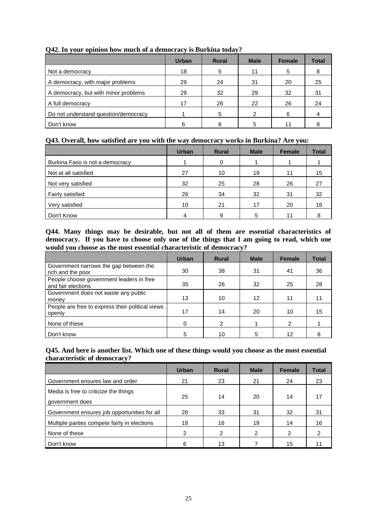|                                      | <b>Urban</b> | <b>Rural</b> | <b>Male</b> | <b>Female</b> | <b>Total</b> |
|--------------------------------------|--------------|--------------|-------------|---------------|--------------|
| Not a democracy                      | 18           | 5            | 11          | 5             | 8            |
| A democracy, with major problems     | 29           | 24           | 31          | 20            | 25           |
| A democracy, but with minor problems | 29           | 32           | 29          | 32            | 31           |
| A full democracy                     | 17           | 26           | 22          | 26            | 24           |
| Do not understand question/democracy |              | 5            | 2           | 6             |              |
| Don't know                           | 6            | 8            | 5           |               |              |

#### **Q42. In your opinion how much of a democracy is Burkina today?**

#### **Q43. Overall, how satisfied are you with the way democracy works in Burkina? Are you:**

|                                 | <b>Urban</b> | <b>Rural</b> | <b>Male</b> | <b>Female</b> | <b>Total</b> |
|---------------------------------|--------------|--------------|-------------|---------------|--------------|
| Burkina Faso is not a democracy |              | 0            |             |               |              |
| Not at all satisfied            | 27           | 10           | 19          | 11            | 15           |
| Not very satisfied              | 32           | 25           | 28          | 26            | 27           |
| Fairly satisfied                | 26           | 34           | 32          | 31            | 32           |
| Very satisfied                  | 10           | 21           | 17          | 20            | 18           |
| Don't Know                      | 4            | 9            | 5           | 11            |              |

**Q44. Many things may be desirable, but not all of them are essential characteristics of democracy. If you have to choose only one of the things that I am going to read, which one would you choose as the most essential characteristic of democracy?**

|                                                                | <b>Urban</b> | <b>Rural</b> | <b>Male</b> | <b>Female</b> | Total |
|----------------------------------------------------------------|--------------|--------------|-------------|---------------|-------|
| Government narrows the gap between the<br>rich and the poor    | 30           | 38           | 31          | 41            | 36    |
| People choose government leaders in free<br>and fair elections | 35           | 26           | 32          | 25            | 28    |
| Government does not waste any public<br>money                  | 13           | 10           | 12          | 11            | 11    |
| People are free to express their political views<br>openly     | 17           | 14           | 20          | 10            | 15    |
| None of these                                                  | 0            | 2            |             | 2             |       |
| Don't know                                                     | 5            | 10           |             | 12            |       |

**Q45. And here is another list. Which one of these things would you choose as the most essential characteristic of democracy?**

|                                                          | <b>Urban</b> | <b>Rural</b>  | <b>Male</b>   | <b>Female</b> | <b>Total</b> |
|----------------------------------------------------------|--------------|---------------|---------------|---------------|--------------|
| Government ensures law and order                         | 21           | 23            | 21            | 24            | 23           |
| Media is free to criticize the things<br>government does | 25           | 14            | 20            | 14            | 17           |
| Government ensures job opportunities for all             | 28           | 33            | 31            | 32            | 31           |
| Multiple parties compete fairly in elections             | 18           | 16            | 19            | 14            | 16           |
| None of these                                            | 2            | $\mathcal{P}$ | $\mathcal{P}$ | 2             | 2            |
| Don't know                                               | 6            | 13            |               | 15            |              |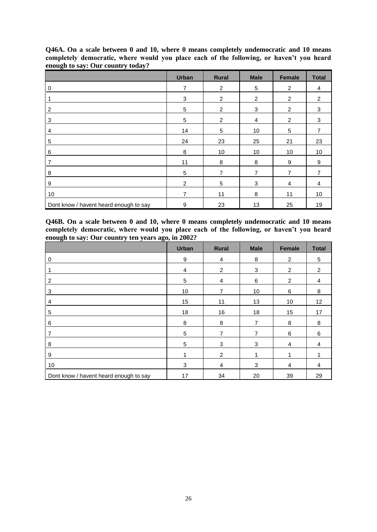|                                        | <b>Urban</b>   | <b>Rural</b>   | <b>Male</b>    | <b>Female</b>  | <b>Total</b> |
|----------------------------------------|----------------|----------------|----------------|----------------|--------------|
| 0                                      | $\overline{7}$ | $\overline{2}$ | 5              | $\overline{2}$ | 4            |
|                                        | 3              | $\overline{2}$ | $\overline{2}$ | $\overline{c}$ | 2            |
| 2                                      | 5              | $\overline{2}$ | 3              | $\overline{2}$ | 3            |
| 3                                      | 5              | $\overline{2}$ | 4              | 2              | 3            |
| 4                                      | 14             | 5              | 10             | 5              | 7            |
| 5                                      | 24             | 23             | 25             | 21             | 23           |
| 6                                      | 8              | 10             | 10             | 10             | 10           |
| 7                                      | 11             | 8              | 8              | 9              | 9            |
| 8                                      | 5              | 7              | $\overline{7}$ | $\overline{7}$ | 7            |
| 9                                      | 2              | 5              | 3              | 4              | 4            |
| 10                                     | 7              | 11             | 8              | 11             | 10           |
| Dont know / havent heard enough to say | 9              | 23             | 13             | 25             | 19           |

**Q46A. On a scale between 0 and 10, where 0 means completely undemocratic and 10 means completely democratic, where would you place each of the following, or haven't you heard enough to say: Our country today?**

**Q46B. On a scale between 0 and 10, where 0 means completely undemocratic and 10 means completely democratic, where would you place each of the following, or haven't you heard enough to say: Our country ten years ago, in 2002?**

|                                        | <b>Urban</b>   | <b>Rural</b>   | <b>Male</b>    | Female         | <b>Total</b> |
|----------------------------------------|----------------|----------------|----------------|----------------|--------------|
| 0                                      | 9              | 4              | 8              | $\overline{2}$ | 5            |
| 1                                      | $\overline{4}$ | $\overline{c}$ | 3              | $\overline{2}$ | 2            |
| 2                                      | $\sqrt{5}$     | 4              | 6              | $\overline{2}$ | 4            |
| 3                                      | 10             | $\overline{7}$ | 10             | 6              | 8            |
| 4                                      | 15             | 11             | 13             | 10             | 12           |
| 5                                      | 18             | 16             | 18             | 15             | 17           |
| 6                                      | 8              | 8              | $\overline{7}$ | 8              | 8            |
| 7                                      | $\overline{5}$ | 7              | 7              | 6              | 6            |
| 8                                      | 5              | 3              | 3              | 4              | 4            |
| 9                                      | 1              | $\overline{2}$ | 1              |                |              |
| 10                                     | 3              | $\overline{4}$ | 3              | 4              | 4            |
| Dont know / havent heard enough to say | 17             | 34             | 20             | 39             | 29           |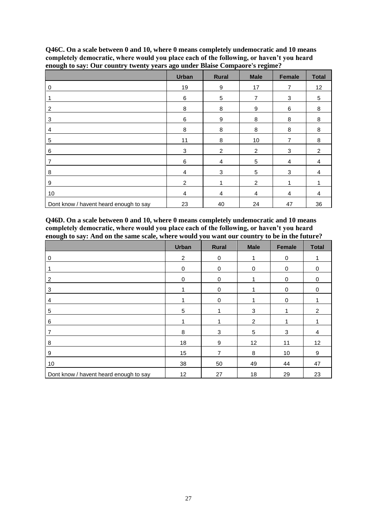|                                        | <b>Urban</b> | <b>Rural</b> | <b>Male</b>    | Female         | <b>Total</b> |
|----------------------------------------|--------------|--------------|----------------|----------------|--------------|
| $\mathbf 0$                            | 19           | 9            | 17             | $\overline{7}$ | 12           |
|                                        | 6            | 5            | $\overline{7}$ | 3              | 5            |
| $\overline{2}$                         | $\bf 8$      | 8            | 9              | 6              | 8            |
| 3                                      | 6            | 9            | 8              | 8              | 8            |
| 4                                      | 8            | 8            | 8              | 8              | 8            |
| 5                                      | 11           | 8            | 10             | 7              | 8            |
| 6                                      | 3            | 2            | 2              | 3              | 2            |
| 7                                      | 6            | 4            | 5              | 4              | 4            |
| 8                                      | 4            | 3            | 5              | 3              | 4            |
| 9                                      | 2            |              | 2              |                |              |
| 10                                     | 4            | 4            | 4              | 4              | 4            |
| Dont know / havent heard enough to say | 23           | 40           | 24             | 47             | 36           |

**Q46C. On a scale between 0 and 10, where 0 means completely undemocratic and 10 means completely democratic, where would you place each of the following, or haven't you heard enough to say: Our country twenty years ago under Blaise Compaore's regime?**

**Q46D. On a scale between 0 and 10, where 0 means completely undemocratic and 10 means completely democratic, where would you place each of the following, or haven't you heard enough to say: And on the same scale, where would you want our country to be in the future?**

|                                        | <b>Urban</b>   | Rural       | <b>Male</b> | Female   | <b>Total</b>   |
|----------------------------------------|----------------|-------------|-------------|----------|----------------|
| 0                                      | $\overline{2}$ | $\mathbf 0$ | 1           | 0        |                |
|                                        | 0              | 0           | 0           | 0        | 0              |
| 2                                      | 0              | 0           |             | 0        | 0              |
| 3                                      |                | $\mathbf 0$ |             | $\Omega$ | $\Omega$       |
| 4                                      |                | 0           |             | 0        |                |
| 5                                      | 5              |             | 3           |          | $\overline{2}$ |
| 6                                      | 1              |             | 2           |          |                |
| 7                                      | 8              | 3           | 5           | 3        | 4              |
| 8                                      | 18             | 9           | 12          | 11       | 12             |
| 9                                      | 15             | 7           | 8           | 10       | 9              |
| 10                                     | 38             | 50          | 49          | 44       | 47             |
| Dont know / havent heard enough to say | 12             | 27          | 18          | 29       | 23             |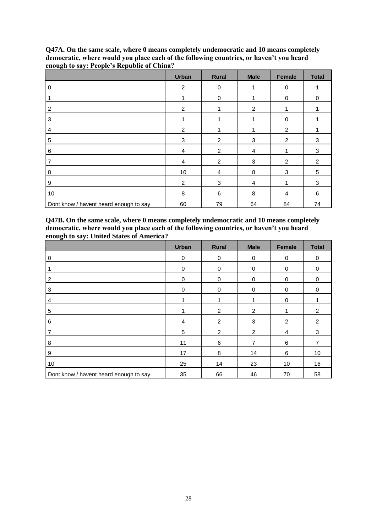|                                        | <b>Urban</b>   | <b>Rural</b>   | <b>Male</b>    | <b>Female</b>  | <b>Total</b> |
|----------------------------------------|----------------|----------------|----------------|----------------|--------------|
| 0                                      | $\overline{c}$ | 0              | 1              | 0              |              |
|                                        |                | $\mathbf 0$    |                | 0              | $\Omega$     |
| 2                                      | $\overline{2}$ |                | 2              |                |              |
| 3                                      |                |                |                | 0              |              |
| 4                                      | $\overline{2}$ |                |                | 2              |              |
| 5                                      | 3              | $\overline{2}$ | 3              | 2              | 3            |
| 6                                      | 4              | 2              | 4              |                | 3            |
| 7                                      | $\overline{4}$ | $\overline{2}$ | 3              | 2              | 2            |
| 8                                      | 10             | 4              | 8              | 3              | 5            |
| 9                                      | 2              | 3              | $\overline{4}$ |                | 3            |
| 10                                     | 8              | 6              | $\,8\,$        | $\overline{4}$ | 6            |
| Dont know / havent heard enough to say | 60             | 79             | 64             | 84             | 74           |

**Q47A. On the same scale, where 0 means completely undemocratic and 10 means completely democratic, where would you place each of the following countries, or haven't you heard enough to say: People's Republic of China?**

**Q47B. On the same scale, where 0 means completely undemocratic and 10 means completely democratic, where would you place each of the following countries, or haven't you heard enough to say: United States of America?**

|                                        | <b>Urban</b> | Rural     | <b>Male</b>    | <b>Female</b>  | <b>Total</b>   |
|----------------------------------------|--------------|-----------|----------------|----------------|----------------|
| 0                                      | 0            | 0         | 0              | 0              | 0              |
|                                        | 0            | $\pmb{0}$ | $\pmb{0}$      | 0              | 0              |
| 2                                      | 0            | 0         | 0              | 0              | $\Omega$       |
| 3                                      | 0            | 0         | $\mathbf 0$    | $\Omega$       | $\Omega$       |
| 4                                      |              |           |                | 0              |                |
| 5                                      |              | 2         | 2              |                | $\overline{2}$ |
| 6                                      | 4            | 2         | 3              | $\overline{2}$ | 2              |
| 7                                      | 5            | 2         | $\overline{2}$ | 4              | 3              |
| 8                                      | 11           | 6         | $\overline{7}$ | 6              |                |
| 9                                      | 17           | 8         | 14             | 6              | 10             |
| 10                                     | 25           | 14        | 23             | 10             | 16             |
| Dont know / havent heard enough to say | 35           | 66        | 46             | 70             | 58             |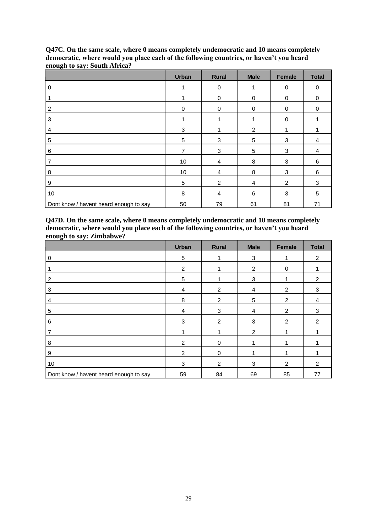|                                        | <b>Urban</b>   | <b>Rural</b> | <b>Male</b>    | <b>Female</b> | <b>Total</b> |
|----------------------------------------|----------------|--------------|----------------|---------------|--------------|
| 0                                      | 1              | 0            | 1              | 0             | 0            |
|                                        |                | 0            | $\mathbf 0$    | 0             | 0            |
| 2                                      | 0              | $\mathbf 0$  | 0              | 0             | 0            |
| 3                                      |                |              |                | $\mathbf 0$   |              |
| 4                                      | 3              |              | 2              |               |              |
| 5                                      | 5              | 3            | 5              | 3             | 4            |
| 6                                      | $\overline{7}$ | 3            | 5              | 3             | 4            |
| 7                                      | 10             | 4            | 8              | 3             | 6            |
| 8                                      | 10             | 4            | 8              | 3             | 6            |
| 9                                      | 5              | 2            | $\overline{4}$ | 2             | 3            |
| 10                                     | 8              | 4            | $\,6\,$        | 3             | 5            |
| Dont know / havent heard enough to say | 50             | 79           | 61             | 81            | 71           |

**Q47C. On the same scale, where 0 means completely undemocratic and 10 means completely democratic, where would you place each of the following countries, or haven't you heard enough to say: South Africa?**

**Q47D. On the same scale, where 0 means completely undemocratic and 10 means completely democratic, where would you place each of the following countries, or haven't you heard enough to say: Zimbabwe?**

|                                        | <b>Urban</b>   | <b>Rural</b>   | <b>Male</b>    | Female         | <b>Total</b>   |
|----------------------------------------|----------------|----------------|----------------|----------------|----------------|
| 0                                      | 5              |                | 3              |                | 2              |
|                                        | $\overline{2}$ |                | 2              | $\Omega$       |                |
| $\overline{2}$                         | 5              |                | 3              |                | 2              |
| 3                                      | 4              | $\overline{2}$ | $\overline{4}$ | 2              | 3              |
| 4                                      | 8              | 2              | 5              | $\overline{2}$ | 4              |
| 5                                      | $\overline{4}$ | 3              | $\overline{4}$ | 2              | 3              |
| 6                                      | 3              | 2              | 3              | 2              | 2              |
| 7                                      |                |                | 2              |                |                |
| 8                                      | 2              | $\Omega$       |                |                |                |
| 9                                      | 2              | $\Omega$       |                |                |                |
| 10                                     | 3              | $\mathfrak{p}$ | 3              | 2              | $\mathfrak{p}$ |
| Dont know / havent heard enough to say | 59             | 84             | 69             | 85             | 77             |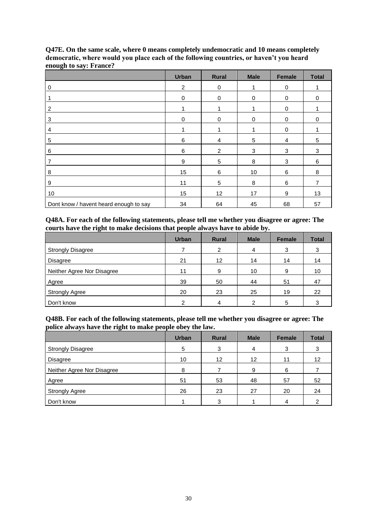|                                        | <b>Urban</b>   | <b>Rural</b>   | <b>Male</b> | <b>Female</b> | <b>Total</b>   |
|----------------------------------------|----------------|----------------|-------------|---------------|----------------|
| $\mathbf 0$                            | $\overline{2}$ | 0              | 1           | 0             |                |
|                                        | 0              | $\mathbf 0$    | 0           | 0             | 0              |
| 2                                      | 1              |                |             | 0             |                |
| 3                                      | 0              | $\mathbf 0$    | 0           | 0             | 0              |
| 4                                      |                |                |             | 0             |                |
| 5                                      | 6              | 4              | $\sqrt{5}$  | 4             | 5              |
| 6                                      | 6              | $\overline{2}$ | 3           | 3             | 3              |
| 7                                      | 9              | 5              | 8           | 3             | 6              |
| 8                                      | 15             | 6              | 10          | 6             | 8              |
| 9                                      | 11             | 5              | 8           | 6             | $\overline{7}$ |
| 10                                     | 15             | 12             | 17          | 9             | 13             |
| Dont know / havent heard enough to say | 34             | 64             | 45          | 68            | 57             |

**Q47E. On the same scale, where 0 means completely undemocratic and 10 means completely democratic, where would you place each of the following countries, or haven't you heard enough to say: France?**

**Q48A. For each of the following statements, please tell me whether you disagree or agree: The courts have the right to make decisions that people always have to abide by.**

|                            | <b>Urban</b> | <b>Rural</b> | <b>Male</b> | <b>Female</b> | <b>Total</b> |
|----------------------------|--------------|--------------|-------------|---------------|--------------|
| <b>Strongly Disagree</b>   |              | 2            | 4           | 3             | 3            |
| <b>Disagree</b>            | 21           | 12           | 14          | 14            | 14           |
| Neither Agree Nor Disagree | 11           | 9            | 10          | 9             | 10           |
| Agree                      | 39           | 50           | 44          | 51            | 47           |
| <b>Strongly Agree</b>      | 20           | 23           | 25          | 19            | 22           |
| Don't know                 | ົ            |              | っ           | 5             |              |

**Q48B. For each of the following statements, please tell me whether you disagree or agree: The police always have the right to make people obey the law.**

|                            | <b>Urban</b> | <b>Rural</b>      | <b>Male</b> | <b>Female</b> | <b>Total</b> |
|----------------------------|--------------|-------------------|-------------|---------------|--------------|
| <b>Strongly Disagree</b>   | 5            | 3                 | 4           | 3             | 3            |
| Disagree                   | 10           | $12 \overline{ }$ | 12          | 11            | 12           |
| Neither Agree Nor Disagree | 8            |                   | 9           | 6             |              |
| Agree                      | 51           | 53                | 48          | 57            | 52           |
| <b>Strongly Agree</b>      | 26           | 23                | 27          | 20            | 24           |
| Don't know                 |              |                   |             | Δ             |              |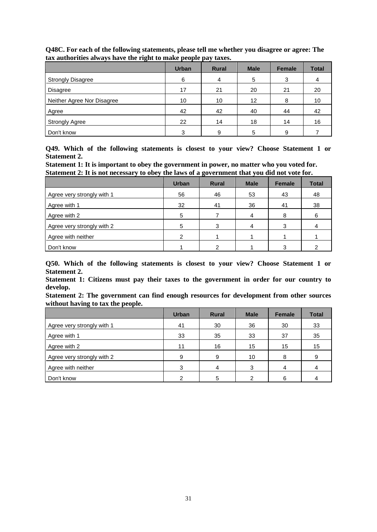|                            | <b>Urban</b> | <b>Rural</b> | <b>Male</b> | Female | <b>Total</b> |
|----------------------------|--------------|--------------|-------------|--------|--------------|
| <b>Strongly Disagree</b>   | 6            |              | 5           | 3      |              |
| Disagree                   | 17           | 21           | 20          | 21     | 20           |
| Neither Agree Nor Disagree | 10           | 10           | 12          | 8      | 10           |
| Agree                      | 42           | 42           | 40          | 44     | 42           |
| <b>Strongly Agree</b>      | 22           | 14           | 18          | 14     | 16           |
| Don't know                 | 3            | 9            | 5           | 9      |              |

**Q48C. For each of the following statements, please tell me whether you disagree or agree: The tax authorities always have the right to make people pay taxes.**

**Q49. Which of the following statements is closest to your view? Choose Statement 1 or Statement 2.** 

**Statement 1: It is important to obey the government in power, no matter who you voted for. Statement 2: It is not necessary to obey the laws of a government that you did not vote for.**

|                            | <b>Urban</b> | <b>Rural</b> | <b>Male</b> | <b>Female</b> | <b>Total</b> |
|----------------------------|--------------|--------------|-------------|---------------|--------------|
| Agree very strongly with 1 | 56           | 46           | 53          | 43            | 48           |
| Agree with 1               | 32           | 41           | 36          | 41            | 38           |
| Agree with 2               | 5            |              | 4           | 8             | 6            |
| Agree very strongly with 2 | 5            | 3            | 4           | 3             |              |
| Agree with neither         | ◠            |              |             |               |              |
| Don't know                 |              |              |             | 3             |              |

**Q50. Which of the following statements is closest to your view? Choose Statement 1 or Statement 2.** 

**Statement 1: Citizens must pay their taxes to the government in order for our country to develop.** 

**Statement 2: The government can find enough resources for development from other sources without having to tax the people.**

|                            | <b>Urban</b> | <b>Rural</b> | <b>Male</b> | <b>Female</b> | <b>Total</b> |
|----------------------------|--------------|--------------|-------------|---------------|--------------|
| Agree very strongly with 1 | 41           | 30           | 36          | 30            | 33           |
| Agree with 1               | 33           | 35           | 33          | 37            | 35           |
| Agree with 2               | 11           | 16           | 15          | 15            | 15           |
| Agree very strongly with 2 | 9            | 9            | 10          | 8             | 9            |
| Agree with neither         | 3            | 4            | 3           | 4             |              |
| Don't know                 | ⌒            | 5            |             | 6             |              |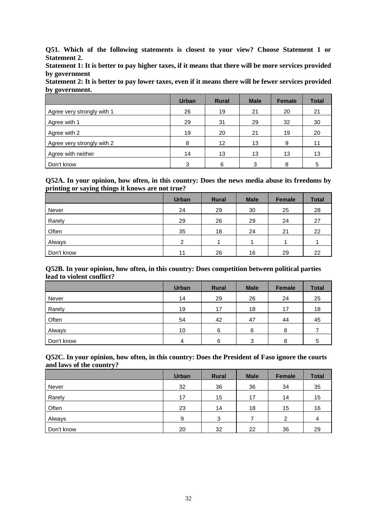**Q51. Which of the following statements is closest to your view? Choose Statement 1 or Statement 2.** 

**Statement 1: It is better to pay higher taxes, if it means that there will be more services provided by government** 

**Statement 2: It is better to pay lower taxes, even if it means there will be fewer services provided by government.**

|                            | <b>Urban</b> | <b>Rural</b> | <b>Male</b> | <b>Female</b> | <b>Total</b> |
|----------------------------|--------------|--------------|-------------|---------------|--------------|
| Agree very strongly with 1 | 26           | 19           | 21          | 20            | 21           |
| Agree with 1               | 29           | 31           | 29          | 32            | 30           |
| Agree with 2               | 19           | 20           | 21          | 19            | 20           |
| Agree very strongly with 2 | 8            | 12           | 13          | 9             | 11           |
| Agree with neither         | 14           | 13           | 13          | 13            | 13           |
| Don't know                 | 3            | 6            | 3           | 8             |              |

#### **Q52A. In your opinion, how often, in this country: Does the news media abuse its freedoms by printing or saying things it knows are not true?**

|            | <b>Urban</b>  | <b>Rural</b> | <b>Male</b> | <b>Female</b> | <b>Total</b> |
|------------|---------------|--------------|-------------|---------------|--------------|
| Never      | 24            | 29           | 30          | 25            | 28           |
| Rarely     | 29            | 26           | 29          | 24            | 27           |
| Often      | 35            | 18           | 24          | 21            | 22           |
| Always     | $\mathcal{P}$ |              | л           |               |              |
| Don't know | 11            | 26           | 16          | 29            | 22           |

#### **Q52B. In your opinion, how often, in this country: Does competition between political parties lead to violent conflict?**

|            | <b>Urban</b> | <b>Rural</b> | <b>Male</b> | <b>Female</b> | <b>Total</b> |
|------------|--------------|--------------|-------------|---------------|--------------|
| Never      | 14           | 29           | 26          | 24            | 25           |
| Rarely     | 19           | 17           | 18          | 17            | 18           |
| Often      | 54           | 42           | 47          | 44            | 45           |
| Always     | 10           | 6            | 6           | 8             |              |
| Don't know | Δ            | 6            | 3           | 8             | 5            |

#### **Q52C. In your opinion, how often, in this country: Does the President of Faso ignore the courts and laws of the country?**

|            | <b>Urban</b> | <b>Rural</b> | <b>Male</b> | <b>Female</b> | <b>Total</b> |
|------------|--------------|--------------|-------------|---------------|--------------|
| Never      | 32           | 36           | 36          | 34            | 35           |
| Rarely     | 17           | 15           | 17          | 14            | 15           |
| Often      | 23           | 14           | 18          | 15            | 16           |
| Always     | 9            | 3            |             | 2             | 4            |
| Don't know | 20           | 32           | 22          | 36            | 29           |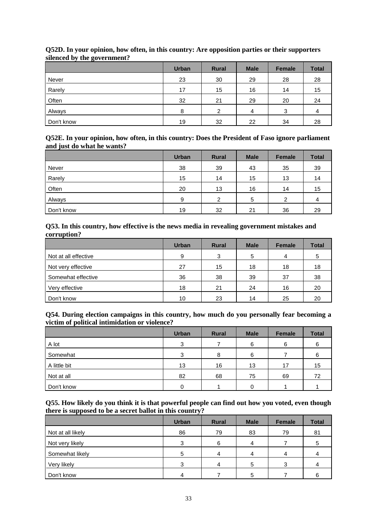|            | <b>Urban</b> | <b>Rural</b> | <b>Male</b> | <b>Female</b> | <b>Total</b> |
|------------|--------------|--------------|-------------|---------------|--------------|
| Never      | 23           | 30           | 29          | 28            | 28           |
| Rarely     | 17           | 15           | 16          | 14            | 15           |
| Often      | 32           | 21           | 29          | 20            | 24           |
| Always     | 8            | ົ            | 4           | 3             | 4            |
| Don't know | 19           | 32           | 22          | 34            | 28           |

#### **Q52D. In your opinion, how often, in this country: Are opposition parties or their supporters silenced by the government?**

#### **Q52E. In your opinion, how often, in this country: Does the President of Faso ignore parliament and just do what he wants?**

|            | <b>Urban</b> | <b>Rural</b>  | <b>Male</b> | <b>Female</b> | <b>Total</b> |
|------------|--------------|---------------|-------------|---------------|--------------|
| Never      | 38           | 39            | 43          | 35            | 39           |
| Rarely     | 15           | 14            | 15          | 13            | 14           |
| Often      | 20           | 13            | 16          | 14            | 15           |
| Always     | 9            | $\mathcal{P}$ | 5           | 2             | 4            |
| Don't know | 19           | 32            | 21          | 36            | 29           |

#### **Q53. In this country, how effective is the news media in revealing government mistakes and corruption?**

|                      | <b>Urban</b> | <b>Rural</b> | <b>Male</b> | <b>Female</b> | <b>Total</b> |
|----------------------|--------------|--------------|-------------|---------------|--------------|
| Not at all effective | 9            | 3            | 5           | 4             | 5            |
| Not very effective   | 27           | 15           | 18          | 18            | 18           |
| Somewhat effective   | 36           | 38           | 39          | 37            | 38           |
| Very effective       | 18           | 21           | 24          | 16            | 20           |
| Don't know           | 10           | 23           | 14          | 25            | 20           |

#### **Q54. During election campaigns in this country, how much do you personally fear becoming a victim of political intimidation or violence?**

|              | <b>Urban</b> | <b>Rural</b> | <b>Male</b> | <b>Female</b> | <b>Total</b> |
|--------------|--------------|--------------|-------------|---------------|--------------|
| A lot        | 3            |              | 6           | 6             | 6            |
| Somewhat     | 3            | 8            | 6           |               | 6            |
| A little bit | 13           | 16           | 13          | 17            | 15           |
| Not at all   | 82           | 68           | 75          | 69            | 72           |
| Don't know   |              |              |             |               |              |

#### **Q55. How likely do you think it is that powerful people can find out how you voted, even though there is supposed to be a secret ballot in this country?**

|                   | <b>Urban</b> | <b>Rural</b> | <b>Male</b> | <b>Female</b> | <b>Total</b> |
|-------------------|--------------|--------------|-------------|---------------|--------------|
| Not at all likely | 86           | 79           | 83          | 79            | 81           |
| Not very likely   | 3            | 6            |             |               |              |
| Somewhat likely   | 5            |              |             | 4             |              |
| Very likely       | 3            |              | 5           | 3             |              |
| Don't know        |              |              | 5           |               |              |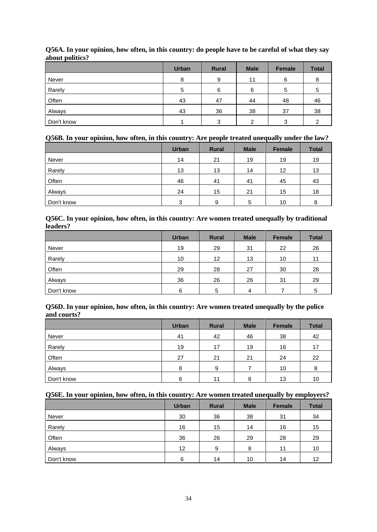|            | <b>Urban</b> | <b>Rural</b> | <b>Male</b> | <b>Female</b> | <b>Total</b> |
|------------|--------------|--------------|-------------|---------------|--------------|
| Never      | 8            | 9            | 11          | 6             | 8            |
| Rarely     | 5            | 6            | 6           | 5             | 5            |
| Often      | 43           | 47           | 44          | 48            | 46           |
| Always     | 43           | 36           | 38          | 37            | 38           |
| Don't know |              | ◠            | ົ           | 3             |              |

#### **Q56A. In your opinion, how often, in this country: do people have to be careful of what they say about politics?**

## **Q56B. In your opinion, how often, in this country: Are people treated unequally under the law?**

|            | <b>Urban</b> | <b>Rural</b> | <b>Male</b> | <b>Female</b> | <b>Total</b> |
|------------|--------------|--------------|-------------|---------------|--------------|
| Never      | 14           | 21           | 19          | 19            | 19           |
| Rarely     | 13           | 13           | 14          | 12            | 13           |
| Often      | 46           | 41           | 41          | 45            | 43           |
| Always     | 24           | 15           | 21          | 15            | 18           |
| Don't know | 3            | 9            | 5           | 10            | 8            |

#### **Q56C. In your opinion, how often, in this country: Are women treated unequally by traditional leaders?**

|            | <b>Urban</b> | <b>Rural</b>      | <b>Male</b> | <b>Female</b> | <b>Total</b> |
|------------|--------------|-------------------|-------------|---------------|--------------|
| Never      | 19           | 29                | 31          | 22            | 26           |
| Rarely     | 10           | $12 \overline{ }$ | 13          | 10            | 11           |
| Often      | 29           | 28                | 27          | 30            | 28           |
| Always     | 36           | 26                | 26          | 31            | 29           |
| Don't know | 6            | 5                 | Δ           |               | 5            |

#### **Q56D. In your opinion, how often, in this country: Are women treated unequally by the police and courts?**

|            | <b>Urban</b> | <b>Rural</b> | <b>Male</b> | <b>Female</b> | <b>Total</b> |
|------------|--------------|--------------|-------------|---------------|--------------|
| Never      | 41           | 42           | 46          | 38            | 42           |
| Rarely     | 19           | 17           | 19          | 16            | 17           |
| Often      | 27           | 21           | 21          | 24            | 22           |
| Always     | 8            | 9            |             | 10            | 8            |
| Don't know | 6            | 11           | 8           | 13            | 10           |

#### **Q56E. In your opinion, how often, in this country: Are women treated unequally by employers?**

|            | <b>Urban</b> | <b>Rural</b> | <b>Male</b> | <b>Female</b> | <b>Total</b> |
|------------|--------------|--------------|-------------|---------------|--------------|
| Never      | 30           | 36           | 38          | 31            | 34           |
| Rarely     | 16           | 15           | 14          | 16            | 15           |
| Often      | 36           | 26           | 29          | 28            | 29           |
| Always     | 12           | 9            | 8           | 11            | 10           |
| Don't know | 6            | 14           | 10          | 14            | 12           |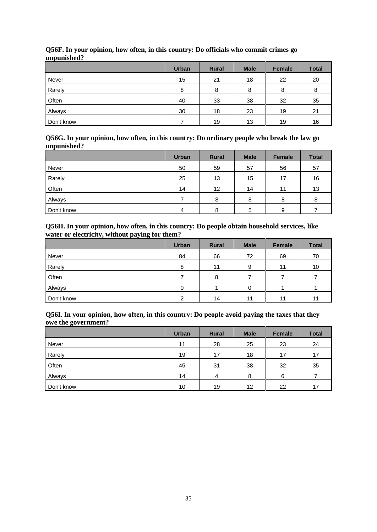|            | <b>Urban</b> | <b>Rural</b> | <b>Male</b> | <b>Female</b> | <b>Total</b> |
|------------|--------------|--------------|-------------|---------------|--------------|
| Never      | 15           | 21           | 18          | 22            | 20           |
| Rarely     | 8            | 8            | 8           | 8             | 8            |
| Often      | 40           | 33           | 38          | 32            | 35           |
| Always     | 30           | 18           | 23          | 19            | 21           |
| Don't know |              | 19           | 13          | 19            | 16           |

#### **Q56F. In your opinion, how often, in this country: Do officials who commit crimes go unpunished?**

**Q56G. In your opinion, how often, in this country: Do ordinary people who break the law go unpunished?**

|            | <b>Urban</b> | <b>Rural</b> | <b>Male</b> | <b>Female</b> | <b>Total</b> |
|------------|--------------|--------------|-------------|---------------|--------------|
| Never      | 50           | 59           | 57          | 56            | 57           |
| Rarely     | 25           | 13           | 15          | 17            | 16           |
| Often      | 14           | 12           | 14          | 11            | 13           |
| Always     |              | 8            | 8           | 8             | 8            |
| Don't know | 4            | 8            | 5           | 9             |              |

#### **Q56H. In your opinion, how often, in this country: Do people obtain household services, like water or electricity, without paying for them?**

|            | <b>Urban</b> | <b>Rural</b> | <b>Male</b> | Female | <b>Total</b> |
|------------|--------------|--------------|-------------|--------|--------------|
| Never      | 84           | 66           | 72          | 69     | 70           |
| Rarely     | 8            | 11           | 9           | 11     | 10           |
| Often      |              | 8            |             |        |              |
| Always     | 0            |              | 0           |        |              |
| Don't know | C            | 14           | 11          | 11     | 11           |

#### **Q56I. In your opinion, how often, in this country: Do people avoid paying the taxes that they owe the government?**

|            | <b>Urban</b> | <b>Rural</b> | <b>Male</b> | <b>Female</b> | <b>Total</b> |
|------------|--------------|--------------|-------------|---------------|--------------|
| Never      | 11           | 28           | 25          | 23            | 24           |
| Rarely     | 19           | 17           | 18          | 17            | 17           |
| Often      | 45           | 31           | 38          | 32            | 35           |
| Always     | 14           | 4            | 8           | 6             |              |
| Don't know | 10           | 19           | 12          | 22            | 17           |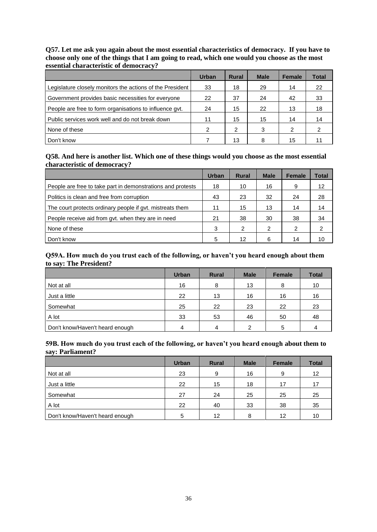#### **Q57. Let me ask you again about the most essential characteristics of democracy. If you have to choose only one of the things that I am going to read, which one would you choose as the most essential characteristic of democracy?**

|                                                           | <b>Urban</b> | <b>Rural</b> | <b>Male</b> | <b>Female</b> | <b>Total</b> |
|-----------------------------------------------------------|--------------|--------------|-------------|---------------|--------------|
| Legislature closely monitors the actions of the President | 33           | 18           | 29          | 14            | 22           |
| Government provides basic necessities for everyone        | 22           | 37           | 24          | 42            | 33           |
| People are free to form organisations to influence gvt.   | 24           | 15           | 22          | 13            | 18           |
| Public services work well and do not break down           | 11           | 15           | 15          | 14            | 14           |
| None of these                                             | 2            | 2            | 3           | 2             |              |
| Don't know                                                |              | 13           | 8           | 15            |              |

#### **Q58. And here is another list. Which one of these things would you choose as the most essential characteristic of democracy?**

|                                                             | Urban | <b>Rural</b>   | <b>Male</b> | <b>Female</b> | Total |
|-------------------------------------------------------------|-------|----------------|-------------|---------------|-------|
| People are free to take part in demonstrations and protests | 18    | 10             | 16          | 9             | 12    |
| Politics is clean and free from corruption                  | 43    | 23             | 32          | 24            | 28    |
| The court protects ordinary people if gyt. mistreats them   | 11    | 15             | 13          | 14            | 14    |
| People receive aid from gvt. when they are in need          | 21    | 38             | 30          | 38            | 34    |
| None of these                                               | 3     | $\overline{2}$ | 2           | 2             | 2     |
| Don't know                                                  | 5     | 12             | 6           | 14            | 10    |

#### **Q59A. How much do you trust each of the following, or haven't you heard enough about them to say: The President?**

|                                 | <b>Urban</b> | <b>Rural</b> | <b>Male</b> | <b>Female</b> | <b>Total</b> |
|---------------------------------|--------------|--------------|-------------|---------------|--------------|
| Not at all                      | 16           | 8            | 13          | 8             | 10           |
| Just a little                   | 22           | 13           | 16          | 16            | 16           |
| Somewhat                        | 25           | 22           | 23          | 22            | 23           |
| A lot                           | 33           | 53           | 46          | 50            | 48           |
| Don't know/Haven't heard enough | 4            | 4            | C           | 5             |              |

#### **59B. How much do you trust each of the following, or haven't you heard enough about them to say: Parliament?**

|                                 | <b>Urban</b> | <b>Rural</b> | <b>Male</b> | <b>Female</b> | <b>Total</b> |
|---------------------------------|--------------|--------------|-------------|---------------|--------------|
| Not at all                      | 23           | 9            | 16          | 9             | 12           |
| Just a little                   | 22           | 15           | 18          | 17            | 17           |
| Somewhat                        | 27           | 24           | 25          | 25            | 25           |
| A lot                           | 22           | 40           | 33          | 38            | 35           |
| Don't know/Haven't heard enough | 5            | 12           | 8           | 12            | 10           |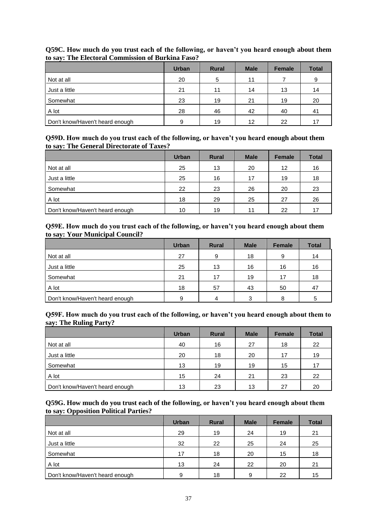|                                 | <b>Urban</b> | <b>Rural</b> | <b>Male</b> | <b>Female</b> | <b>Total</b> |
|---------------------------------|--------------|--------------|-------------|---------------|--------------|
| Not at all                      | 20           | 5            | 11          |               | 9            |
| Just a little                   | 21           | 11           | 14          | 13            | 14           |
| Somewhat                        | 23           | 19           | 21          | 19            | 20           |
| A lot                           | 28           | 46           | 42          | 40            | 41           |
| Don't know/Haven't heard enough | 9            | 19           | 12          | 22            | 17           |

## **Q59C. How much do you trust each of the following, or haven't you heard enough about them to say: The Electoral Commission of Burkina Faso?**

## **Q59D. How much do you trust each of the following, or haven't you heard enough about them to say: The General Directorate of Taxes?**

|                                 | <b>Urban</b> | <b>Rural</b> | <b>Male</b> | <b>Female</b> | <b>Total</b> |
|---------------------------------|--------------|--------------|-------------|---------------|--------------|
| Not at all                      | 25           | 13           | 20          | 12            | 16           |
| Just a little                   | 25           | 16           | 17          | 19            | 18           |
| Somewhat                        | 22           | 23           | 26          | 20            | 23           |
| A lot                           | 18           | 29           | 25          | 27            | 26           |
| Don't know/Haven't heard enough | 10           | 19           | 11          | 22            | 17           |

#### **Q59E. How much do you trust each of the following, or haven't you heard enough about them to say: Your Municipal Council?**

|                                 | <b>Urban</b> | <b>Rural</b> | <b>Male</b> | <b>Female</b> | <b>Total</b> |
|---------------------------------|--------------|--------------|-------------|---------------|--------------|
| Not at all                      | 27           | 9            | 18          | 9             | 14           |
| Just a little                   | 25           | 13           | 16          | 16            | 16           |
| Somewhat                        | 21           | 17           | 19          | 17            | 18           |
| A lot                           | 18           | 57           | 43          | 50            | 47           |
| Don't know/Haven't heard enough |              | 4            | 3           | 8             | 5            |

#### **Q59F. How much do you trust each of the following, or haven't you heard enough about them to say: The Ruling Party?**

|                                 | <b>Urban</b> | <b>Rural</b> | <b>Male</b> | <b>Female</b> | <b>Total</b> |
|---------------------------------|--------------|--------------|-------------|---------------|--------------|
| Not at all                      | 40           | 16           | 27          | 18            | 22           |
| Just a little                   | 20           | 18           | 20          | 17            | 19           |
| Somewhat                        | 13           | 19           | 19          | 15            | 17           |
| A lot                           | 15           | 24           | 21          | 23            | 22           |
| Don't know/Haven't heard enough | 13           | 23           | 13          | 27            | 20           |

#### **Q59G. How much do you trust each of the following, or haven't you heard enough about them to say: Opposition Political Parties?**

|                                 | <b>Urban</b> | <b>Rural</b> | <b>Male</b> | <b>Female</b> | <b>Total</b> |
|---------------------------------|--------------|--------------|-------------|---------------|--------------|
| Not at all                      | 29           | 19           | 24          | 19            | 21           |
| Just a little                   | 32           | 22           | 25          | 24            | 25           |
| Somewhat                        | 17           | 18           | 20          | 15            | 18           |
| A lot                           | 13           | 24           | 22          | 20            | 21           |
| Don't know/Haven't heard enough | 9            | 18           | 9           | 22            | 15           |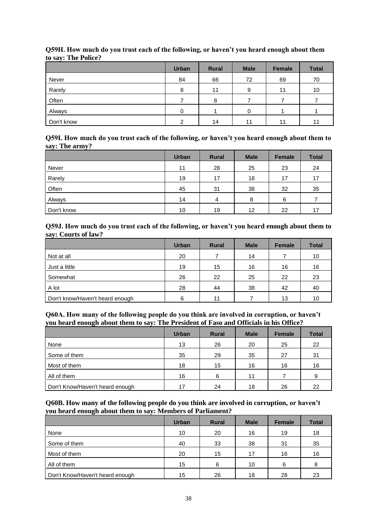|            | <b>Urban</b> | <b>Rural</b> | <b>Male</b> | Female | <b>Total</b> |
|------------|--------------|--------------|-------------|--------|--------------|
| Never      | 84           | 66           | 72          | 69     | 70           |
| Rarely     | 8            | 11           | 9           | 11     | 10           |
| Often      |              | 8            |             |        |              |
| Always     | O            |              | U           |        |              |
| Don't know | ⌒            | 14           | 11          | 11     | 11           |

## **Q59H. How much do you trust each of the following, or haven't you heard enough about them to say: The Police?**

**Q59I. How much do you trust each of the following, or haven't you heard enough about them to say: The army?**

|            | <b>Urban</b> | <b>Rural</b> | <b>Male</b> | <b>Female</b> | <b>Total</b> |
|------------|--------------|--------------|-------------|---------------|--------------|
| Never      | 11           | 28           | 25          | 23            | 24           |
| Rarely     | 19           | 17           | 18          | 17            | 17           |
| Often      | 45           | 31           | 38          | 32            | 35           |
| Always     | 14           | 4            | 8           | 6             |              |
| Don't know | 10           | 19           | 12          | 22            | 17           |

#### **Q59J. How much do you trust each of the following, or haven't you heard enough about them to say: Courts of law?**

|                                 | <b>Urban</b> | <b>Rural</b> | <b>Male</b> | <b>Female</b> | <b>Total</b> |
|---------------------------------|--------------|--------------|-------------|---------------|--------------|
| Not at all                      | 20           |              | 14          |               | 10           |
| Just a little                   | 19           | 15           | 16          | 16            | 16           |
| Somewhat                        | 26           | 22           | 25          | 22            | 23           |
| A lot                           | 28           | 44           | 38          | 42            | 40           |
| Don't know/Haven't heard enough | 6            | 11           |             | 13            | 10           |

#### **Q60A. How many of the following people do you think are involved in corruption, or haven't you heard enough about them to say: The President of Faso and Officials in his Office?**

|                                 | <b>Urban</b> | <b>Rural</b> | <b>Male</b> | <b>Female</b> | <b>Total</b> |
|---------------------------------|--------------|--------------|-------------|---------------|--------------|
| None                            | 13           | 26           | 20          | 25            | 22           |
| Some of them                    | 35           | 29           | 35          | 27            | 31           |
| Most of them                    | 18           | 15           | 16          | 16            | 16           |
| All of them                     | 16           | 6            | 11          |               | 9            |
| Don't Know/Haven't heard enough | 17           | 24           | 18          | 26            | 22           |

#### **Q60B. How many of the following people do you think are involved in corruption, or haven't you heard enough about them to say: Members of Parliament?**

|                                 | <b>Urban</b> | <b>Rural</b> | <b>Male</b> | <b>Female</b> | <b>Total</b> |
|---------------------------------|--------------|--------------|-------------|---------------|--------------|
| None                            | 10           | 20           | 16          | 19            | 18           |
| Some of them                    | 40           | 33           | 38          | 31            | 35           |
| Most of them                    | 20           | 15           | 17          | 16            | 16           |
| All of them                     | 15           | 6            | 10          | 6             | 8            |
| Don't Know/Haven't heard enough | 15           | 26           | 18          | 28            | 23           |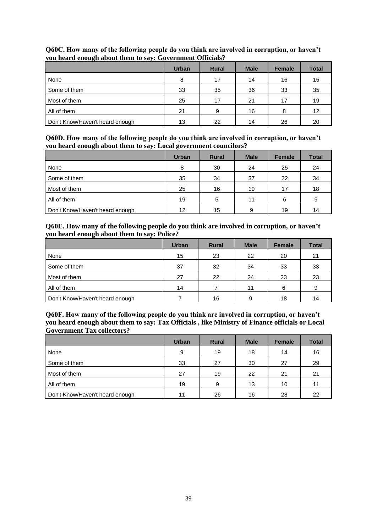|                                 | <b>Urban</b> | <b>Rural</b> | <b>Male</b> | <b>Female</b> | <b>Total</b> |
|---------------------------------|--------------|--------------|-------------|---------------|--------------|
| None                            | 8            | 17           | 14          | 16            | 15           |
| Some of them                    | 33           | 35           | 36          | 33            | 35           |
| Most of them                    | 25           | 17           | 21          | 17            | 19           |
| All of them                     | 21           | 9            | 16          | 8             | 12           |
| Don't Know/Haven't heard enough | 13           | 22           | 14          | 26            | 20           |

## **Q60C. How many of the following people do you think are involved in corruption, or haven't you heard enough about them to say: Government Officials?**

**Q60D. How many of the following people do you think are involved in corruption, or haven't you heard enough about them to say: Local government councilors?**

|                                 | <b>Urban</b> | <b>Rural</b> | <b>Male</b> | <b>Female</b> | <b>Total</b> |
|---------------------------------|--------------|--------------|-------------|---------------|--------------|
| None                            | 8            | 30           | 24          | 25            | 24           |
| Some of them                    | 35           | 34           | 37          | 32            | 34           |
| Most of them                    | 25           | 16           | 19          | 17            | 18           |
| All of them                     | 19           | 5            | 11          | 6             | 9            |
| Don't Know/Haven't heard enough | 12           | 15           | 9           | 19            | 14           |

## **Q60E. How many of the following people do you think are involved in corruption, or haven't you heard enough about them to say: Police?**

|                                 | <b>Urban</b> | <b>Rural</b> | <b>Male</b> | <b>Female</b> | <b>Total</b> |
|---------------------------------|--------------|--------------|-------------|---------------|--------------|
| None                            | 15           | 23           | 22          | 20            | 21           |
| Some of them                    | 37           | 32           | 34          | 33            | 33           |
| Most of them                    | 27           | 22           | 24          | 23            | 23           |
| All of them                     | 14           |              | 11          | 6             | 9            |
| Don't Know/Haven't heard enough |              | 16           | 9           | 18            | 14           |

**Q60F. How many of the following people do you think are involved in corruption, or haven't you heard enough about them to say: Tax Officials , like Ministry of Finance officials or Local Government Tax collectors?**

|                                 | <b>Urban</b> | <b>Rural</b> | <b>Male</b> | <b>Female</b> | <b>Total</b> |
|---------------------------------|--------------|--------------|-------------|---------------|--------------|
| None                            | 9            | 19           | 18          | 14            | 16           |
| Some of them                    | 33           | 27           | 30          | 27            | 29           |
| Most of them                    | 27           | 19           | 22          | 21            | 21           |
| All of them                     | 19           | 9.           | 13          | 10            | 11           |
| Don't Know/Haven't heard enough | 11           | 26           | 16          | 28            | 22           |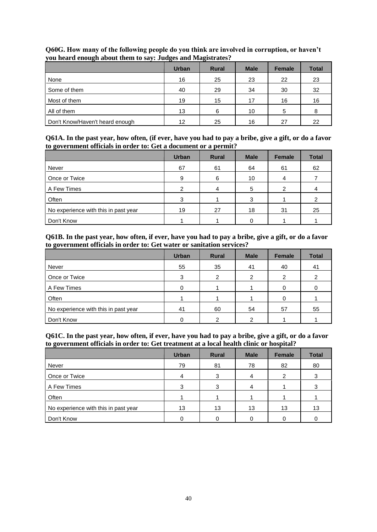|                                 | $\tilde{\phantom{a}}$<br><b>Urban</b> | $\tilde{\phantom{a}}$<br><b>Rural</b> | <b>Male</b> | <b>Female</b> | <b>Total</b> |
|---------------------------------|---------------------------------------|---------------------------------------|-------------|---------------|--------------|
| None                            | 16                                    | 25                                    | 23          | 22            | 23           |
| Some of them                    | 40                                    | 29                                    | 34          | 30            | 32           |
| Most of them                    | 19                                    | 15                                    | 17          | 16            | 16           |
| All of them                     | 13                                    | 6                                     | 10          | 5             | 8            |
| Don't Know/Haven't heard enough | 12                                    | 25                                    | 16          | 27            | 22           |

**Q60G. How many of the following people do you think are involved in corruption, or haven't you heard enough about them to say: Judges and Magistrates?**

**Q61A. In the past year, how often, (if ever, have you had to pay a bribe, give a gift, or do a favor to government officials in order to: Get a document or a permit?**

|                                      | <b>Urban</b> | <b>Rural</b> | <b>Male</b> | <b>Female</b> | <b>Total</b> |
|--------------------------------------|--------------|--------------|-------------|---------------|--------------|
| Never                                | 67           | 61           | 64          | 61            | 62           |
| Once or Twice                        | 9            | 6            | 10          | 4             |              |
| A Few Times                          |              | 4            | 5           |               |              |
| Often                                | з            |              | 3           |               |              |
| No experience with this in past year | 19           | 27           | 18          | 31            | 25           |
| Don't Know                           |              |              |             |               |              |

## **Q61B. In the past year, how often, if ever, have you had to pay a bribe, give a gift, or do a favor to government officials in order to: Get water or sanitation services?**

|                                      | <b>Urban</b> | <b>Rural</b>  | <b>Male</b> | <b>Female</b> | <b>Total</b> |
|--------------------------------------|--------------|---------------|-------------|---------------|--------------|
| Never                                | 55           | 35            | 41          | 40            | 41           |
| Once or Twice                        | 3            | $\mathcal{P}$ | 2           | 2             |              |
| A Few Times                          |              |               |             |               |              |
| Often                                |              |               |             |               |              |
| No experience with this in past year | 41           | 60            | 54          | 57            | 55           |
| Don't Know                           |              |               | ◠           |               |              |

#### **Q61C. In the past year, how often, if ever, have you had to pay a bribe, give a gift, or do a favor to government officials in order to: Get treatment at a local health clinic or hospital?**

|                                      | <b>Urban</b> | <b>Rural</b> | <b>Male</b> | Female | <b>Total</b> |
|--------------------------------------|--------------|--------------|-------------|--------|--------------|
| Never                                | 79           | 81           | 78          | 82     | 80           |
| Once or Twice                        | 4            | 3            | 4           | 2      |              |
| A Few Times                          | 3            | 3            |             |        | 3            |
| Often                                |              |              |             |        |              |
| No experience with this in past year | 13           | 13           | 13          | 13     | 13           |
| Don't Know                           |              |              |             |        |              |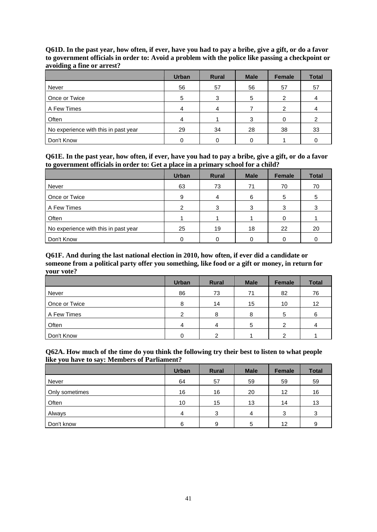|                                      | <b>Urban</b> | <b>Rural</b> | <b>Male</b> | <b>Female</b> | <b>Total</b> |
|--------------------------------------|--------------|--------------|-------------|---------------|--------------|
| Never                                | 56           | 57           | 56          | 57            | 57           |
| Once or Twice                        | 5            | 3            | 5           |               |              |
| A Few Times                          |              | 4            |             | 2             |              |
| Often                                |              |              |             |               |              |
| No experience with this in past year | 29           | 34           | 28          | 38            | 33           |
| Don't Know                           |              |              |             |               |              |

**Q61D. In the past year, how often, if ever, have you had to pay a bribe, give a gift, or do a favor to government officials in order to: Avoid a problem with the police like passing a checkpoint or avoiding a fine or arrest?**

**Q61E. In the past year, how often, if ever, have you had to pay a bribe, give a gift, or do a favor to government officials in order to: Get a place in a primary school for a child?**

|                                      | <b>Urban</b>  | <b>Rural</b> | <b>Male</b> | <b>Female</b> | <b>Total</b> |
|--------------------------------------|---------------|--------------|-------------|---------------|--------------|
| Never                                | 63            | 73           | 71          | 70            | 70           |
| Once or Twice                        | 9             | 4            | 6           | 5             | 5            |
| A Few Times                          | $\mathcal{P}$ | 3            | 3           | 3             |              |
| Often                                |               |              |             |               |              |
| No experience with this in past year | 25            | 19           | 18          | 22            | 20           |
| Don't Know                           |               |              |             |               |              |

**Q61F. And during the last national election in 2010, how often, if ever did a candidate or someone from a political party offer you something, like food or a gift or money, in return for your vote?**

|               | <b>Urban</b> | <b>Rural</b> | <b>Male</b> | <b>Female</b> | <b>Total</b> |
|---------------|--------------|--------------|-------------|---------------|--------------|
| Never         | 86           | 73           | 71          | 82            | 76           |
| Once or Twice | 8            | 14           | 15          | 10            | 12           |
| A Few Times   | 2            | 8            | 8           | 5             | 6            |
| Often         | 4            | 4            | 5           | 2             |              |
| Don't Know    |              | ◠            |             | ົ             |              |

**Q62A. How much of the time do you think the following try their best to listen to what people like you have to say: Members of Parliament?**

|                | <b>Urban</b> | <b>Rural</b> | <b>Male</b> | <b>Female</b> | <b>Total</b> |
|----------------|--------------|--------------|-------------|---------------|--------------|
| Never          | 64           | 57           | 59          | 59            | 59           |
| Only sometimes | 16           | 16           | 20          | 12            | 16           |
| Often          | 10           | 15           | 13          | 14            | 13           |
| Always         | 4            | 3            | 4           | 3             | 3            |
| Don't know     | 6            | 9            | 5           | 12            | 9            |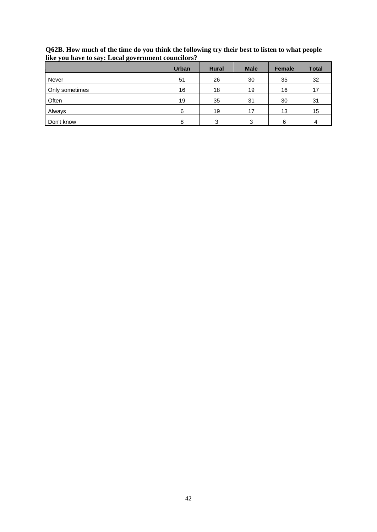| $\ddot{\phantom{1}}$<br>ັ | <b>Urban</b> | <b>Rural</b> | <b>Male</b> | <b>Female</b> | <b>Total</b> |
|---------------------------|--------------|--------------|-------------|---------------|--------------|
| Never                     | 51           | 26           | 30          | 35            | 32           |
| Only sometimes            | 16           | 18           | 19          | 16            | 17           |
| Often                     | 19           | 35           | 31          | 30            | 31           |
| Always                    | 6            | 19           | 17          | 13            | 15           |
| Don't know                | 8            | 3            | 3           | 6             | 4            |

**Q62B. How much of the time do you think the following try their best to listen to what people like you have to say: Local government councilors?**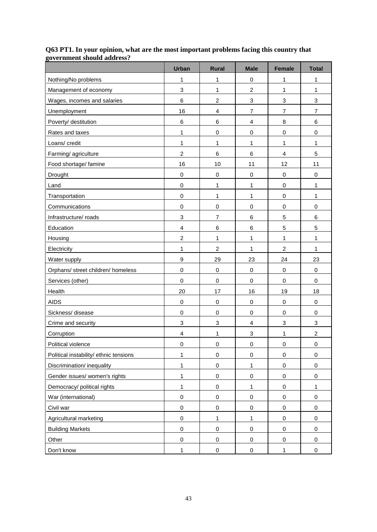|                                        | <b>Urban</b>            | <b>Rural</b>     | <b>Male</b>             | <b>Female</b>             | <b>Total</b>   |
|----------------------------------------|-------------------------|------------------|-------------------------|---------------------------|----------------|
| Nothing/No problems                    | 1                       | 1                | 0                       | 1                         | 1              |
| Management of economy                  | 3                       | 1                | $\overline{\mathbf{c}}$ | 1                         | 1              |
| Wages, incomes and salaries            | 6                       | $\overline{c}$   | 3                       | $\ensuremath{\mathsf{3}}$ | 3              |
| Unemployment                           | 16                      | $\overline{4}$   | $\overline{7}$          | $\overline{7}$            | $\overline{7}$ |
| Poverty/ destitution                   | 6                       | $\,6$            | 4                       | 8                         | 6              |
| Rates and taxes                        | 1                       | $\pmb{0}$        | 0                       | $\pmb{0}$                 | 0              |
| Loans/ credit                          | $\mathbf{1}$            | 1                | 1                       | $\mathbf{1}$              | $\mathbf{1}$   |
| Farming/agriculture                    | $\overline{c}$          | $\,6$            | 6                       | 4                         | 5              |
| Food shortage/ famine                  | 16                      | 10               | 11                      | 12                        | 11             |
| Drought                                | 0                       | $\pmb{0}$        | 0                       | $\pmb{0}$                 | 0              |
| Land                                   | $\mathbf 0$             | 1                | 1                       | $\pmb{0}$                 | $\mathbf{1}$   |
| Transportation                         | $\mathbf 0$             | $\mathbf{1}$     | 1                       | $\pmb{0}$                 | $\mathbf{1}$   |
| Communications                         | 0                       | $\pmb{0}$        | $\mathsf 0$             | $\mathbf 0$               | 0              |
| Infrastructure/ roads                  | 3                       | $\overline{7}$   | 6                       | 5                         | 6              |
| Education                              | 4                       | $\,6$            | 6                       | 5                         | 5              |
| Housing                                | $\overline{c}$          | 1                | 1                       | 1                         | 1              |
| Electricity                            | 1                       | $\boldsymbol{2}$ | 1                       | $\overline{c}$            | 1              |
| Water supply                           | 9                       | 29               | 23                      | 24                        | 23             |
| Orphans/ street children/ homeless     | $\mathbf 0$             | $\mathbf 0$      | $\mathsf 0$             | $\mathbf 0$               | $\mathbf 0$    |
| Services (other)                       | $\mathbf 0$             | $\pmb{0}$        | $\mathsf 0$             | $\pmb{0}$                 | $\mathbf 0$    |
| Health                                 | 20                      | 17               | 16                      | 19                        | 18             |
| <b>AIDS</b>                            | $\,0\,$                 | $\pmb{0}$        | 0                       | $\pmb{0}$                 | $\,0\,$        |
| Sickness/disease                       | $\mathbf 0$             | $\pmb{0}$        | $\mathsf 0$             | $\mathbf 0$               | $\mathbf 0$    |
| Crime and security                     | 3                       | $\sqrt{3}$       | 4                       | 3                         | 3              |
| Corruption                             | $\overline{\mathbf{4}}$ | 1                | 3                       | 1                         | $\overline{c}$ |
| Political violence                     | 0                       | $\pmb{0}$        | 0                       | $\pmb{0}$                 | $\mathbf 0$    |
| Political instability/ ethnic tensions | $\mathbf{1}$            | $\pmb{0}$        | $\pmb{0}$               | $\pmb{0}$                 | $\mathbf 0$    |
| Discrimination/ inequality             | $\mathbf{1}$            | $\pmb{0}$        | 1                       | $\mathbf 0$               | $\mathbf 0$    |
| Gender issues/ women's rights          | 1                       | $\pmb{0}$        | 0                       | $\mathbf 0$               | $\mathbf 0$    |
| Democracy/ political rights            | $\mathbf{1}$            | $\pmb{0}$        | 1                       | $\pmb{0}$                 | 1              |
| War (international)                    | $\mathbf 0$             | $\pmb{0}$        | 0                       | 0                         | 0              |
| Civil war                              | 0                       | $\pmb{0}$        | $\mathsf 0$             | $\mathbf 0$               | $\mathbf 0$    |
| Agricultural marketing                 | 0                       | $\mathbf{1}$     | 1                       | $\mathbf 0$               | $\mathsf 0$    |
| <b>Building Markets</b>                | $\mathbf 0$             | $\pmb{0}$        | $\pmb{0}$               | $\pmb{0}$                 | $\mathbf 0$    |
| Other                                  | $\pmb{0}$               | $\pmb{0}$        | 0                       | $\,0\,$                   | 0              |
| Don't know                             | $\mathbf{1}$            | $\pmb{0}$        | $\pmb{0}$               | 1                         | $\mathbf 0$    |

### **Q63 PT1. In your opinion, what are the most important problems facing this country that government should address?**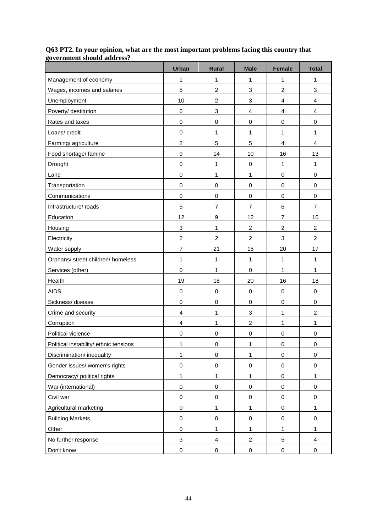|                                        | <b>Urban</b>              | <b>Rural</b>     | <b>Male</b>      | <b>Female</b>             | <b>Total</b>            |
|----------------------------------------|---------------------------|------------------|------------------|---------------------------|-------------------------|
| Management of economy                  | 1                         | 1                | 1                | 1                         | 1                       |
| Wages, incomes and salaries            | 5                         | $\boldsymbol{2}$ | 3                | $\boldsymbol{2}$          | 3                       |
| Unemployment                           | 10                        | $\overline{2}$   | $\sqrt{3}$       | $\overline{\mathbf{4}}$   | 4                       |
| Poverty/ destitution                   | 6                         | 3                | $\overline{4}$   | 4                         | 4                       |
| Rates and taxes                        | $\mathbf 0$               | $\pmb{0}$        | $\mathbf 0$      | 0                         | 0                       |
| Loans/ credit                          | $\mathbf 0$               | 1                | 1                | 1                         | 1                       |
| Farming/agriculture                    | $\overline{c}$            | 5                | 5                | $\overline{\mathbf{4}}$   | $\overline{4}$          |
| Food shortage/ famine                  | $\boldsymbol{9}$          | 14               | 10               | 16                        | 13                      |
| Drought                                | $\mathbf 0$               | 1                | $\boldsymbol{0}$ | 1                         | 1                       |
| Land                                   | $\mathbf 0$               | 1                | 1                | 0                         | 0                       |
| Transportation                         | $\mathbf 0$               | $\pmb{0}$        | 0                | 0                         | 0                       |
| Communications                         | 0                         | $\pmb{0}$        | $\pmb{0}$        | $\,0\,$                   | $\,0\,$                 |
| Infrastructure/ roads                  | 5                         | $\overline{7}$   | $\overline{7}$   | 6                         | $\overline{7}$          |
| Education                              | 12                        | $\boldsymbol{9}$ | 12               | $\overline{7}$            | 10                      |
| Housing                                | 3                         | 1                | $\overline{2}$   | $\overline{c}$            | $\overline{2}$          |
| Electricity                            | $\overline{c}$            | $\overline{c}$   | $\overline{c}$   | $\ensuremath{\mathsf{3}}$ | $\overline{c}$          |
| Water supply                           | $\overline{7}$            | 21               | 15               | 20                        | 17                      |
| Orphans/ street children/ homeless     | 1                         | 1                | 1                | 1                         | 1                       |
| Services (other)                       | 0                         | 1                | $\mathbf 0$      | $\mathbf{1}$              | $\mathbf{1}$            |
| Health                                 | 19                        | 18               | 20               | 16                        | 18                      |
| <b>AIDS</b>                            | 0                         | $\pmb{0}$        | $\mathbf 0$      | 0                         | 0                       |
| Sickness/disease                       | 0                         | 0                | 0                | $\,0\,$                   | 0                       |
| Crime and security                     | 4                         | 1                | $\sqrt{3}$       | 1                         | $\overline{\mathbf{c}}$ |
| Corruption                             | $\overline{4}$            | 1                | $\overline{c}$   | 1                         | 1                       |
| Political violence                     | 0                         | 0                | $\pmb{0}$        | $\,0\,$                   | 0                       |
| Political instability/ ethnic tensions | 1                         | $\mathbf 0$      | 1                | 0                         | $\mathbf 0$             |
| Discrimination/ inequality             | 1                         | $\mathbf 0$      | $\mathbf{1}$     | $\mathbf 0$               | $\mathbf 0$             |
| Gender issues/ women's rights          | $\mathbf 0$               | $\mathbf 0$      | $\pmb{0}$        | $\,0\,$                   | $\mathbf 0$             |
| Democracy/ political rights            | $\mathbf{1}$              | 1                | 1                | 0                         | 1                       |
| War (international)                    | $\mathbf 0$               | $\pmb{0}$        | 0                | 0                         | 0                       |
| Civil war                              | $\mathbf 0$               | $\pmb{0}$        | $\pmb{0}$        | 0                         | $\mathbf 0$             |
| Agricultural marketing                 | $\mathbf 0$               | 1                | 1                | $\mathbf 0$               | $\mathbf{1}$            |
| <b>Building Markets</b>                | $\mathbf 0$               | $\mathbf 0$      | $\pmb{0}$        | $\mathsf 0$               | $\mathbf 0$             |
| Other                                  | $\mathbf 0$               | 1                | 1                | $\mathbf{1}$              | 1                       |
| No further response                    | $\ensuremath{\mathsf{3}}$ | 4                | $\overline{c}$   | $\,$ 5 $\,$               | 4                       |
| Don't know                             | 0                         | $\pmb{0}$        | $\pmb{0}$        | 0                         | 0                       |

#### **Q63 PT2. In your opinion, what are the most important problems facing this country that government should address?**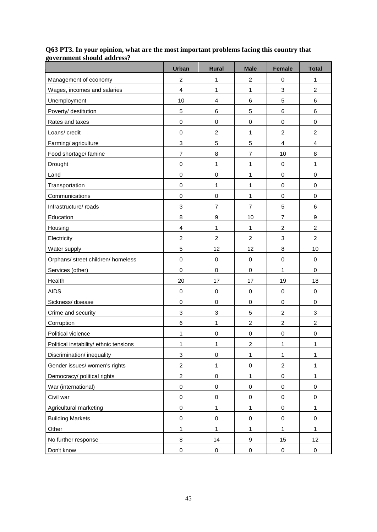|                                        | <b>Urban</b>   | <b>Rural</b>   | <b>Male</b>      | <b>Female</b>  | <b>Total</b>            |
|----------------------------------------|----------------|----------------|------------------|----------------|-------------------------|
| Management of economy                  | $\overline{c}$ | 1              | $\overline{c}$   | 0              | 1                       |
| Wages, incomes and salaries            | $\overline{4}$ | 1              | 1                | 3              | $\overline{\mathbf{c}}$ |
| Unemployment                           | 10             | $\overline{4}$ | $\,6$            | 5              | 6                       |
| Poverty/ destitution                   | 5              | 6              | 5                | 6              | 6                       |
| Rates and taxes                        | 0              | $\pmb{0}$      | $\pmb{0}$        | $\,0\,$        | $\,0\,$                 |
| Loans/ credit                          | 0              | $\overline{c}$ | 1                | $\overline{c}$ | $\overline{c}$          |
| Farming/agriculture                    | 3              | 5              | 5                | $\overline{4}$ | $\overline{4}$          |
| Food shortage/ famine                  | $\overline{7}$ | 8              | $\overline{7}$   | 10             | 8                       |
| Drought                                | $\mathbf 0$    | 1              | 1                | 0              | 1                       |
| Land                                   | 0              | $\pmb{0}$      | 1                | 0              | $\,0\,$                 |
| Transportation                         | 0              | 1              | 1                | 0              | 0                       |
| Communications                         | 0              | $\pmb{0}$      | 1                | $\mathbf 0$    | 0                       |
| Infrastructure/ roads                  | 3              | $\overline{7}$ | $\overline{7}$   | 5              | 6                       |
| Education                              | 8              | $\mathsf g$    | 10               | $\overline{7}$ | $\boldsymbol{9}$        |
| Housing                                | $\overline{4}$ | 1              | 1                | $\overline{c}$ | $\overline{c}$          |
| Electricity                            | $\overline{c}$ | $\overline{c}$ | $\overline{c}$   | 3              | $\overline{c}$          |
| Water supply                           | 5              | 12             | 12               | 8              | 10                      |
| Orphans/ street children/ homeless     | $\mathbf 0$    | $\mathbf 0$    | $\pmb{0}$        | $\mathbf 0$    | $\mathbf 0$             |
| Services (other)                       | $\mathbf 0$    | $\pmb{0}$      | $\boldsymbol{0}$ | 1              | 0                       |
| Health                                 | 20             | 17             | 17               | 19             | 18                      |
| <b>AIDS</b>                            | 0              | $\pmb{0}$      | 0                | $\,0\,$        | 0                       |
| Sickness/disease                       | 0              | $\pmb{0}$      | $\pmb{0}$        | $\mathbf 0$    | $\,0\,$                 |
| Crime and security                     | 3              | 3              | $\sqrt{5}$       | $\overline{c}$ | 3                       |
| Corruption                             | 6              | 1              | $\overline{c}$   | $\overline{c}$ | $\overline{c}$          |
| Political violence                     | 1              | 0              | 0                | 0              | 0                       |
| Political instability/ ethnic tensions | 1              | 1              | 2                | 1              | 1                       |
| Discrimination/ inequality             | $\mathbf 3$    | $\pmb{0}$      | $\mathbf{1}$     | $\mathbf{1}$   | 1                       |
| Gender issues/ women's rights          | $\overline{c}$ | 1              | $\pmb{0}$        | $\overline{c}$ | $\mathbf{1}$            |
| Democracy/ political rights            | $\overline{c}$ | $\pmb{0}$      | 1                | $\pmb{0}$      | $\mathbf{1}$            |
| War (international)                    | $\mathbf 0$    | $\pmb{0}$      | 0                | 0              | $\mathbf 0$             |
| Civil war                              | $\pmb{0}$      | $\pmb{0}$      | $\pmb{0}$        | 0              | $\mathbf 0$             |
| Agricultural marketing                 | $\mathbf 0$    | 1              | 1                | 0              | $\mathbf{1}$            |
| <b>Building Markets</b>                | $\mathbf 0$    | $\mathbf 0$    | $\pmb{0}$        | $\mathbf 0$    | $\mathbf 0$             |
| Other                                  | $\mathbf{1}$   | 1              | 1                | $\mathbf{1}$   | $\mathbf{1}$            |
| No further response                    | 8              | 14             | $\boldsymbol{9}$ | 15             | 12                      |
| Don't know                             | $\pmb{0}$      | $\pmb{0}$      | $\pmb{0}$        | 0              | 0                       |

#### **Q63 PT3. In your opinion, what are the most important problems facing this country that government should address?**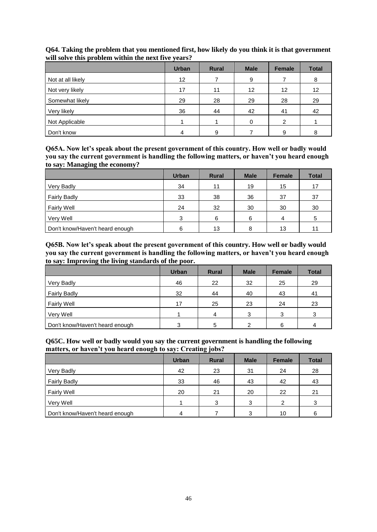|                   | <b>Urban</b>    | <b>Rural</b> | <b>Male</b>     | <b>Female</b>     | <b>Total</b> |
|-------------------|-----------------|--------------|-----------------|-------------------|--------------|
| Not at all likely | 12 <sup>°</sup> |              | 9               |                   | 8            |
| Not very likely   | 17              | 11           | 12 <sup>2</sup> | $12 \overline{ }$ | 12           |
| Somewhat likely   | 29              | 28           | 29              | 28                | 29           |
| Very likely       | 36              | 44           | 42              | 41                | 42           |
| Not Applicable    |                 |              |                 | 2                 |              |
| Don't know        |                 | 9            |                 | 9                 | o            |

## **Q64. Taking the problem that you mentioned first, how likely do you think it is that government will solve this problem within the next five years?**

**Q65A. Now let's speak about the present government of this country. How well or badly would you say the current government is handling the following matters, or haven't you heard enough to say: Managing the economy?**

|                                 | <b>Urban</b> | <b>Rural</b> | <b>Male</b> | <b>Female</b> | <b>Total</b> |
|---------------------------------|--------------|--------------|-------------|---------------|--------------|
| Very Badly                      | 34           | 11           | 19          | 15            | 17           |
| <b>Fairly Badly</b>             | 33           | 38           | 36          | 37            | 37           |
| <b>Fairly Well</b>              | 24           | 32           | 30          | 30            | 30           |
| Very Well                       | 3            | 6            | 6           | 4             | 5            |
| Don't know/Haven't heard enough | 6            | 13           | 8           | 13            | 11           |

**Q65B. Now let's speak about the present government of this country. How well or badly would you say the current government is handling the following matters, or haven't you heard enough to say: Improving the living standards of the poor.**

|                                 | <b>Urban</b> | <b>Rural</b> | <b>Male</b> | <b>Female</b> | <b>Total</b> |
|---------------------------------|--------------|--------------|-------------|---------------|--------------|
| Very Badly                      | 46           | 22           | 32          | 25            | 29           |
| <b>Fairly Badly</b>             | 32           | 44           | 40          | 43            | 41           |
| <b>Fairly Well</b>              | 17           | 25           | 23          | 24            | 23           |
| Very Well                       |              | 4            | ◠           | 3             | 3            |
| Don't know/Haven't heard enough | 2<br>v       | 5            |             | 6             | 4            |

**Q65C. How well or badly would you say the current government is handling the following matters, or haven't you heard enough to say: Creating jobs?**

|                                 | <b>Urban</b> | <b>Rural</b> | <b>Male</b> | <b>Female</b> | <b>Total</b> |
|---------------------------------|--------------|--------------|-------------|---------------|--------------|
| Very Badly                      | 42           | 23           | 31          | 24            | 28           |
| <b>Fairly Badly</b>             | 33           | 46           | 43          | 42            | 43           |
| <b>Fairly Well</b>              | 20           | 21           | 20          | 22            | 21           |
| Very Well                       |              | 3            | 3           | $\mathcal{P}$ | 3            |
| Don't know/Haven't heard enough | 4            |              | 3           | 10            | 6            |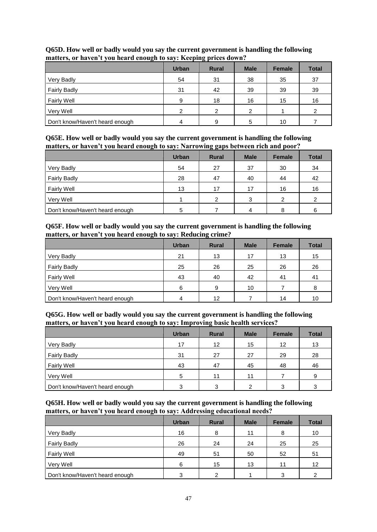| $\overline{ }$                  |              | $\sigma$ .   |             |               |              |
|---------------------------------|--------------|--------------|-------------|---------------|--------------|
|                                 | <b>Urban</b> | <b>Rural</b> | <b>Male</b> | <b>Female</b> | <b>Total</b> |
| Very Badly                      | 54           | 31           | 38          | 35            | 37           |
| <b>Fairly Badly</b>             | 31           | 42           | 39          | 39            | 39           |
| <b>Fairly Well</b>              | 9            | 18           | 16          | 15            | 16           |
| Very Well                       | 2            | 2            | າ           |               | 2            |
| Don't know/Haven't heard enough |              | 9            |             | 10            |              |

## **Q65D. How well or badly would you say the current government is handling the following matters, or haven't you heard enough to say: Keeping prices down?**

**Q65E. How well or badly would you say the current government is handling the following matters, or haven't you heard enough to say: Narrowing gaps between rich and poor?**

|                                 | <b>Urban</b> | <b>Rural</b> | <b>Male</b> | <b>Female</b> | <b>Total</b> |
|---------------------------------|--------------|--------------|-------------|---------------|--------------|
| Very Badly                      | 54           | 27           | 37          | 30            | 34           |
| <b>Fairly Badly</b>             | 28           | 47           | 40          | 44            | 42           |
| <b>Fairly Well</b>              | 13           | 17           | 17          | 16            | 16           |
| Very Well                       |              | っ            | 3           | 2             | 2            |
| Don't know/Haven't heard enough | 5            |              | 4           | 8             | 6            |

## **Q65F. How well or badly would you say the current government is handling the following matters, or haven't you heard enough to say: Reducing crime?**

|                                 | <b>Urban</b> | $\tilde{\phantom{a}}$<br><b>Rural</b> | <b>Male</b> | <b>Female</b> | <b>Total</b> |
|---------------------------------|--------------|---------------------------------------|-------------|---------------|--------------|
| Very Badly                      | 21           | 13                                    | 17          | 13            | 15           |
| <b>Fairly Badly</b>             | 25           | 26                                    | 25          | 26            | 26           |
| <b>Fairly Well</b>              | 43           | 40                                    | 42          | 41            | 41           |
| Very Well                       | 6            | 9                                     | 10          |               | 8            |
| Don't know/Haven't heard enough |              | 12                                    |             | 14            | 10           |

## **Q65G. How well or badly would you say the current government is handling the following matters, or haven't you heard enough to say: Improving basic health services?**

|                                 | <b>Urban</b> | <b>Rural</b> | <b>Male</b> | <b>Female</b> | <b>Total</b> |
|---------------------------------|--------------|--------------|-------------|---------------|--------------|
| Very Badly                      | 17           | 12           | 15          | 12            | 13           |
| <b>Fairly Badly</b>             | 31           | 27           | 27          | 29            | 28           |
| <b>Fairly Well</b>              | 43           | 47           | 45          | 48            | 46           |
| Very Well                       | 5            | 11           | 11          |               | 9            |
| Don't know/Haven't heard enough | 3            | 3            | ົ           | 3             | 3            |

#### **Q65H. How well or badly would you say the current government is handling the following matters, or haven't you heard enough to say: Addressing educational needs?**

|                                 | <b>Urban</b> | --<br><b>Rural</b> | <b>Male</b> | <b>Female</b> | <b>Total</b> |
|---------------------------------|--------------|--------------------|-------------|---------------|--------------|
| Very Badly                      | 16           | 8                  | 11          | 8             | 10           |
| <b>Fairly Badly</b>             | 26           | 24                 | 24          | 25            | 25           |
| <b>Fairly Well</b>              | 49           | 51                 | 50          | 52            | 51           |
| Very Well                       | 6            | 15                 | 13          | 11            | 12           |
| Don't know/Haven't heard enough | 3            | ົ                  |             | 3             | 2            |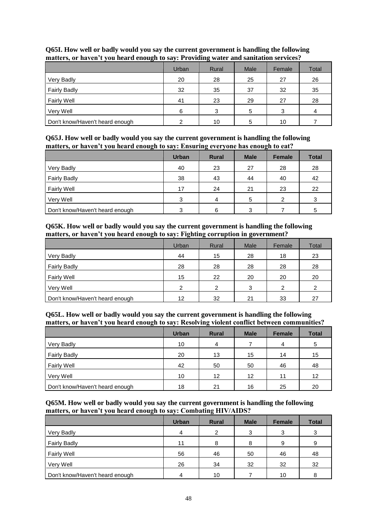| $\sqrt{ }$                      | Urban | 0<br>Rural | Male | Female | Total |
|---------------------------------|-------|------------|------|--------|-------|
| Very Badly                      | 20    | 28         | 25   | 27     | 26    |
| <b>Fairly Badly</b>             | 32    | 35         | 37   | 32     | 35    |
| <b>Fairly Well</b>              | 41    | 23         | 29   | 27     | 28    |
| Very Well                       | 6     | 3          | 5    | 3      |       |
| Don't know/Haven't heard enough |       | 10         |      | 10     |       |

## **Q65I. How well or badly would you say the current government is handling the following matters, or haven't you heard enough to say: Providing water and sanitation services?**

**Q65J. How well or badly would you say the current government is handling the following matters, or haven't you heard enough to say: Ensuring everyone has enough to eat?**

|                                 | <b>Urban</b> | <b>Rural</b> | <b>Male</b> | <b>Female</b> | <b>Total</b> |
|---------------------------------|--------------|--------------|-------------|---------------|--------------|
| Very Badly                      | 40           | 23           | 27          | 28            | 28           |
| <b>Fairly Badly</b>             | 38           | 43           | 44          | 40            | 42           |
| <b>Fairly Well</b>              | 17           | 24           | 21          | 23            | 22           |
| Very Well                       | 3            | 4            | 5           | 2             | 3            |
| Don't know/Haven't heard enough | 3            | 6            | 3           |               | 5            |

## **Q65K. How well or badly would you say the current government is handling the following matters, or haven't you heard enough to say: Fighting corruption in government?**

|                                 | Urban | Rural | Male | Female | Total |
|---------------------------------|-------|-------|------|--------|-------|
| Very Badly                      | 44    | 15    | 28   | 18     | 23    |
| <b>Fairly Badly</b>             | 28    | 28    | 28   | 28     | 28    |
| <b>Fairly Well</b>              | 15    | 22    | 20   | 20     | 20    |
| Very Well                       | 2     | 2     | 3    | 2      | 2     |
| Don't know/Haven't heard enough | 12    | 32    | 21   | 33     | 27    |

#### **Q65L. How well or badly would you say the current government is handling the following matters, or haven't you heard enough to say: Resolving violent conflict between communities?**

|                                 | <b>Urban</b> | <b>Rural</b> | <b>Male</b> | <b>Female</b> | <b>Total</b> |
|---------------------------------|--------------|--------------|-------------|---------------|--------------|
| Very Badly                      | 10           | 4            |             | 4             | 5            |
| <b>Fairly Badly</b>             | 20           | 13           | 15          | 14            | 15           |
| Fairly Well                     | 42           | 50           | 50          | 46            | 48           |
| Very Well                       | 10           | 12           | 12          | 11            | 12           |
| Don't know/Haven't heard enough | 18           | 21           | 16          | 25            | 20           |

## **Q65M. How well or badly would you say the current government is handling the following matters, or haven't you heard enough to say: Combating HIV/AIDS?**

|                                 | <b>Urban</b> | <b>Rural</b> | <b>Male</b> | <b>Female</b> | <b>Total</b> |
|---------------------------------|--------------|--------------|-------------|---------------|--------------|
| Very Badly                      | 4            | 2            | 3           | 3             | 3            |
| <b>Fairly Badly</b>             | 11           | 8            | 8           | 9             | 9            |
| <b>Fairly Well</b>              | 56           | 46           | 50          | 46            | 48           |
| Very Well                       | 26           | 34           | 32          | 32            | 32           |
| Don't know/Haven't heard enough | 4            | 10           |             | 10            | 8            |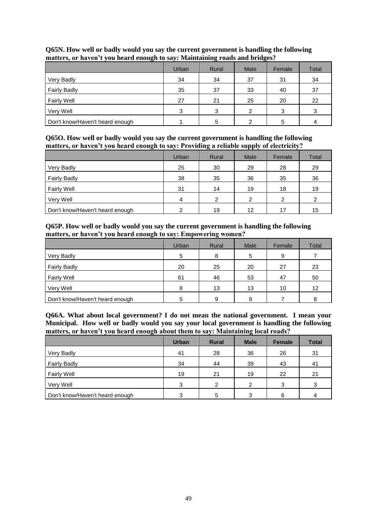| ັ                               |       | ັ     | ັ    |        |       |
|---------------------------------|-------|-------|------|--------|-------|
|                                 | Urban | Rural | Male | Female | Total |
| Very Badly                      | 34    | 34    | 37   | 31     | 34    |
| <b>Fairly Badly</b>             | 35    | 37    | 33   | 40     | 37    |
| <b>Fairly Well</b>              | 27    | 21    | 25   | 20     | 22    |
| Very Well                       | 3     | 3     | っ    | 3      | 3     |
| Don't know/Haven't heard enough |       | 5     |      | 5      |       |

## **Q65N. How well or badly would you say the current government is handling the following matters, or haven't you heard enough to say: Maintaining roads and bridges?**

**Q65O. How well or badly would you say the current government is handling the following matters, or haven't you heard enough to say: Providing a reliable supply of electricity?**

|                                 | Urban | Rural | Male | Female | Total |
|---------------------------------|-------|-------|------|--------|-------|
| Very Badly                      | 25    | 30    | 29   | 28     | 29    |
| <b>Fairly Badly</b>             | 38    | 35    | 36   | 35     | 36    |
| <b>Fairly Well</b>              | 31    | 14    | 19   | 18     | 19    |
| Very Well                       | 4     | າ     | 2    | 2      | 2     |
| Don't know/Haven't heard enough | ⌒     | 19    | 12   | 17     | 15    |

## **Q65P. How well or badly would you say the current government is handling the following matters, or haven't you heard enough to say: Empowering women?**

|                                 | Urban | Rural | Male | Female | Total |
|---------------------------------|-------|-------|------|--------|-------|
| Very Badly                      | 5     | 8     | 5    | 9      |       |
| <b>Fairly Badly</b>             | 20    | 25    | 20   | 27     | 23    |
| <b>Fairly Well</b>              | 61    | 46    | 53   | 47     | 50    |
| Very Well                       | 8     | 13    | 13   | 10     | 12    |
| Don't know/Haven't heard enough |       | 9     | 9    |        | 8     |

**Q66A. What about local government? I do not mean the national government. I mean your Municipal. How well or badly would you say your local government is handling the following matters, or haven't you heard enough about them to say: Maintaining local roads?**

|                                 | <b>Urban</b> | <b>Rural</b>   | <b>Male</b> | <b>Female</b> | <b>Total</b> |
|---------------------------------|--------------|----------------|-------------|---------------|--------------|
| Very Badly                      | 41           | 28             | 36          | 26            | 31           |
| <b>Fairly Badly</b>             | 34           | 44             | 39          | 43            | 41           |
| <b>Fairly Well</b>              | 19           | 21             | 19          | 22            | 21           |
| Very Well                       | 3            | $\mathfrak{p}$ | C           | 3             | 3            |
| Don't know/Haven't heard enough | っ            | 5              | ◠           | 6             | 4            |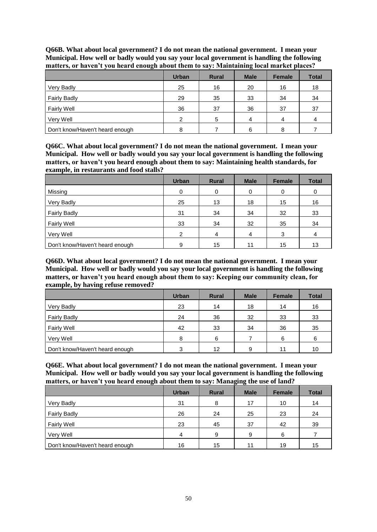|                                 | <b>Urban</b> | <b>Rural</b> | <b>Male</b> | <b>Female</b> | <b>Total</b> |
|---------------------------------|--------------|--------------|-------------|---------------|--------------|
| Very Badly                      | 25           | 16           | 20          | 16            | 18           |
| <b>Fairly Badly</b>             | 29           | 35           | 33          | 34            | 34           |
| Fairly Well                     | 36           | 37           | 36          | 37            | 37           |
| Very Well                       | ົ            | 5            | 4           | 4             |              |
| Don't know/Haven't heard enough |              |              | 6           | 8             |              |

**Q66B. What about local government? I do not mean the national government. I mean your Municipal. How well or badly would you say your local government is handling the following matters, or haven't you heard enough about them to say: Maintaining local market places?**

**Q66C. What about local government? I do not mean the national government. I mean your Municipal. How well or badly would you say your local government is handling the following matters, or haven't you heard enough about them to say: Maintaining health standards, for example, in restaurants and food stalls?**

|                                 | <b>Urban</b>   | <b>Rural</b> | <b>Male</b> | <b>Female</b> | <b>Total</b> |
|---------------------------------|----------------|--------------|-------------|---------------|--------------|
| Missing                         | $\Omega$       | 0            | 0           | 0             | 0            |
| Very Badly                      | 25             | 13           | 18          | 15            | 16           |
| <b>Fairly Badly</b>             | 31             | 34           | 34          | 32            | 33           |
| <b>Fairly Well</b>              | 33             | 34           | 32          | 35            | 34           |
| Very Well                       | $\mathfrak{p}$ | 4            | 4           | 3             | 4            |
| Don't know/Haven't heard enough | 9              | 15           | 11          | 15            | 13           |

**Q66D. What about local government? I do not mean the national government. I mean your Municipal. How well or badly would you say your local government is handling the following matters, or haven't you heard enough about them to say: Keeping our community clean, for example, by having refuse removed?**

|                                 | <b>Urban</b> | <b>Rural</b> | <b>Male</b> | <b>Female</b> | <b>Total</b> |
|---------------------------------|--------------|--------------|-------------|---------------|--------------|
| Very Badly                      | 23           | 14           | 18          | 14            | 16           |
| <b>Fairly Badly</b>             | 24           | 36           | 32          | 33            | 33           |
| <b>Fairly Well</b>              | 42           | 33           | 34          | 36            | 35           |
| Very Well                       | 8            | 6            |             | 6             | 6            |
| Don't know/Haven't heard enough | 3            | 12           | 9           | 11            | 10           |

**Q66E. What about local government? I do not mean the national government. I mean your Municipal. How well or badly would you say your local government is handling the following matters, or haven't you heard enough about them to say: Managing the use of land?**

|                                 | <b>Urban</b> | <b>Rural</b> | <b>Male</b> | <b>Female</b> | <b>Total</b> |
|---------------------------------|--------------|--------------|-------------|---------------|--------------|
| Very Badly                      | 31           | 8            | 17          | 10            | 14           |
| <b>Fairly Badly</b>             | 26           | 24           | 25          | 23            | 24           |
| <b>Fairly Well</b>              | 23           | 45           | 37          | 42            | 39           |
| Very Well                       | 4            | 9            | 9           | 6             |              |
| Don't know/Haven't heard enough | 16           | 15           | 11          | 19            | 15           |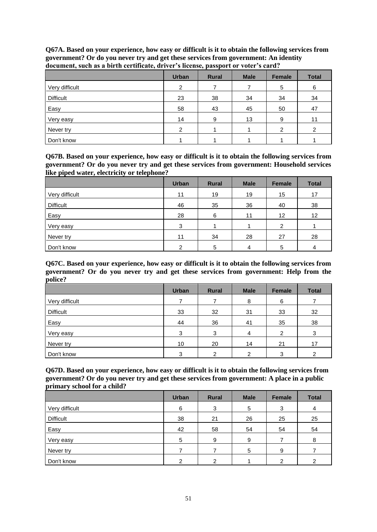|                  | <b>Urban</b> | <b>Rural</b> | <b>Male</b> | Female | <b>Total</b> |
|------------------|--------------|--------------|-------------|--------|--------------|
| Very difficult   | 2            |              |             | 5      | 6            |
| <b>Difficult</b> | 23           | 38           | 34          | 34     | 34           |
| Easy             | 58           | 43           | 45          | 50     | 47           |
| Very easy        | 14           | 9            | 13          | 9      | 11           |
| Never try        | ົ            |              |             | ົ      | 2            |
| Don't know       |              |              |             |        |              |

**Q67A. Based on your experience, how easy or difficult is it to obtain the following services from government? Or do you never try and get these services from government: An identity document, such as a birth certificate, driver's license, passport or voter's card?**

**Q67B. Based on your experience, how easy or difficult is it to obtain the following services from government? Or do you never try and get these services from government: Household services like piped water, electricity or telephone?**

|                  | <b>Urban</b> | <b>Rural</b> | <b>Male</b> | Female            | <b>Total</b> |
|------------------|--------------|--------------|-------------|-------------------|--------------|
| Very difficult   | 11           | 19           | 19          | 15                | 17           |
| <b>Difficult</b> | 46           | 35           | 36          | 40                | 38           |
| Easy             | 28           | 6            | 11          | $12 \overline{ }$ | 12           |
| Very easy        | 3            |              |             | $\mathfrak{p}$    |              |
| Never try        | 11           | 34           | 28          | 27                | 28           |
| Don't know       | າ            | 5            | 4           | 5                 | 4            |

**Q67C. Based on your experience, how easy or difficult is it to obtain the following services from government? Or do you never try and get these services from government: Help from the police?**

|                  | <b>Urban</b> | <b>Rural</b> | <b>Male</b> | Female | <b>Total</b> |
|------------------|--------------|--------------|-------------|--------|--------------|
| Very difficult   |              |              | 8           | 6      |              |
| <b>Difficult</b> | 33           | 32           | 31          | 33     | 32           |
| Easy             | 44           | 36           | 41          | 35     | 38           |
| Very easy        | 3            | 3            | 4           | 2      | 3            |
| Never try        | 10           | 20           | 14          | 21     | 17           |
| Don't know       | 3            | 2            | ົ           | 3      | ⌒            |

**Q67D. Based on your experience, how easy or difficult is it to obtain the following services from government? Or do you never try and get these services from government: A place in a public primary school for a child?**

|                  | <b>Urban</b> | <b>Rural</b> | <b>Male</b> | Female | <b>Total</b> |
|------------------|--------------|--------------|-------------|--------|--------------|
| Very difficult   | 6            | 3            | 5           | 3      | 4            |
| <b>Difficult</b> | 38           | 21           | 26          | 25     | 25           |
| Easy             | 42           | 58           | 54          | 54     | 54           |
| Very easy        | 5            | 9            | 9           |        | 8            |
| Never try        |              |              | 5           | 9      |              |
| Don't know       |              | 2            |             | າ      | 2            |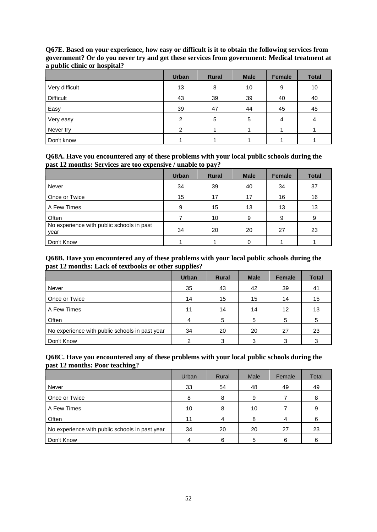|                  | <b>Urban</b>   | <b>Rural</b> | <b>Male</b> | Female | <b>Total</b> |
|------------------|----------------|--------------|-------------|--------|--------------|
| Very difficult   | 13             | 8            | 10          | 9      | 10           |
| <b>Difficult</b> | 43             | 39           | 39          | 40     | 40           |
| Easy             | 39             | 47           | 44          | 45     | 45           |
| Very easy        | $\mathcal{P}$  | 5            | 5           | 4      | 4            |
| Never try        | $\overline{2}$ |              |             |        |              |
| Don't know       |                |              |             |        |              |

**Q67E. Based on your experience, how easy or difficult is it to obtain the following services from government? Or do you never try and get these services from government: Medical treatment at a public clinic or hospital?**

#### **Q68A. Have you encountered any of these problems with your local public schools during the past 12 months: Services are too expensive / unable to pay?**

|                                                   | <b>Urban</b> | <b>Rural</b> | <b>Male</b> | <b>Female</b> | <b>Total</b> |
|---------------------------------------------------|--------------|--------------|-------------|---------------|--------------|
| Never                                             | 34           | 39           | 40          | 34            | 37           |
| Once or Twice                                     | 15           | 17           | 17          | 16            | 16           |
| A Few Times                                       | 9            | 15           | 13          | 13            | 13           |
| Often                                             |              | 10           | 9           | 9             | 9            |
| No experience with public schools in past<br>year | 34           | 20           | 20          | 27            | 23           |
| Don't Know                                        |              |              |             |               |              |

#### **Q68B. Have you encountered any of these problems with your local public schools during the past 12 months: Lack of textbooks or other supplies?**

|                                                | <b>Urban</b> | <b>Rural</b> | <b>Male</b> | <b>Female</b> | <b>Total</b> |
|------------------------------------------------|--------------|--------------|-------------|---------------|--------------|
| Never                                          | 35           | 43           | 42          | 39            | 41           |
| Once or Twice                                  | 14           | 15           | 15          | 14            | 15           |
| A Few Times                                    | 11           | 14           | 14          | 12            | 13           |
| <b>Often</b>                                   |              | 5            | 5           | 5             | 5            |
| No experience with public schools in past year | 34           | 20           | 20          | 27            | 23           |
| Don't Know                                     | 2            | 3            | 3           | 3             | 3            |

#### **Q68C. Have you encountered any of these problems with your local public schools during the past 12 months: Poor teaching?**

|                                                | Urban | Rural | <b>Male</b> | Female | Total |
|------------------------------------------------|-------|-------|-------------|--------|-------|
| Never                                          | 33    | 54    | 48          | 49     | 49    |
| Once or Twice                                  | 8     | 8     | 9           |        | 8     |
| A Few Times                                    | 10    | 8     | 10          |        |       |
| Often                                          | 11    | 4     | 8           | 4      |       |
| No experience with public schools in past year | 34    | 20    | 20          | 27     | 23    |
| Don't Know                                     | 4     | 6     | 5           | 6      |       |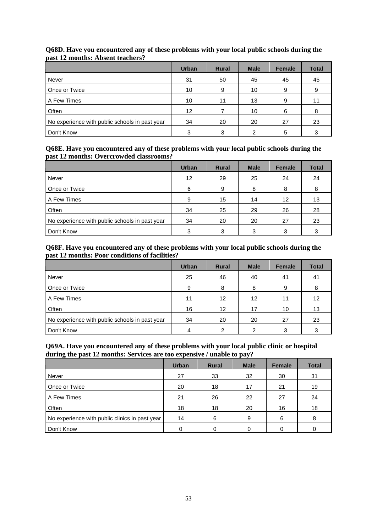|                                                | <b>Urban</b> | <b>Rural</b> | <b>Male</b> | <b>Female</b> | <b>Total</b> |
|------------------------------------------------|--------------|--------------|-------------|---------------|--------------|
| Never                                          | 31           | 50           | 45          | 45            | 45           |
| Once or Twice                                  | 10           | 9            | 10          | 9             | 9            |
| A Few Times                                    | 10           | 11           | 13          | 9             | 11           |
| Often                                          | 12           |              | 10          | 6             | 8            |
| No experience with public schools in past year | 34           | 20           | 20          | 27            | 23           |
| Don't Know                                     | 3            | 3            | 2           | 5             | っ            |

## **Q68D. Have you encountered any of these problems with your local public schools during the past 12 months: Absent teachers?**

#### **Q68E. Have you encountered any of these problems with your local public schools during the past 12 months: Overcrowded classrooms?**

|                                                | <b>Urban</b>    | <b>Rural</b> | <b>Male</b> | Female | <b>Total</b> |
|------------------------------------------------|-----------------|--------------|-------------|--------|--------------|
| Never                                          | 12 <sup>2</sup> | 29           | 25          | 24     | 24           |
| Once or Twice                                  | 6               | 9            | 8           | 8      | 8            |
| A Few Times                                    | 9               | 15           | 14          | 12     | 13           |
| Often                                          | 34              | 25           | 29          | 26     | 28           |
| No experience with public schools in past year | 34              | 20           | 20          | 27     | 23           |
| Don't Know                                     | 3               | 3            | 3           | 3      |              |

## **Q68F. Have you encountered any of these problems with your local public schools during the past 12 months: Poor conditions of facilities?**

|                                                | <b>Urban</b> | <b>Rural</b> | <b>Male</b>       | <b>Female</b> | <b>Total</b>    |
|------------------------------------------------|--------------|--------------|-------------------|---------------|-----------------|
| Never                                          | 25           | 46           | 40                | 41            | 41              |
| Once or Twice                                  | 9            | 8            | 8                 | 9             | 8               |
| A Few Times                                    | 11           | 12           | $12 \overline{ }$ | 11            | 12 <sup>2</sup> |
| Often                                          | 16           | 12           | 17                | 10            | 13              |
| No experience with public schools in past year | 34           | 20           | 20                | 27            | 23              |
| Don't Know                                     |              | 2            | 2                 | 3             | 3               |

#### **Q69A. Have you encountered any of these problems with your local public clinic or hospital during the past 12 months: Services are too expensive / unable to pay?**

|                                                | <b>Urban</b> | <b>Rural</b> | <b>Male</b> | <b>Female</b> | <b>Total</b> |
|------------------------------------------------|--------------|--------------|-------------|---------------|--------------|
| Never                                          | 27           | 33           | 32          | 30            | 31           |
| Once or Twice                                  | 20           | 18           | 17          | 21            | 19           |
| A Few Times                                    | 21           | 26           | 22          | 27            | 24           |
| <b>Often</b>                                   | 18           | 18           | 20          | 16            | 18           |
| No experience with public clinics in past year | 14           | 6            | 9           | 6             | 8            |
| Don't Know                                     |              |              |             |               | 0            |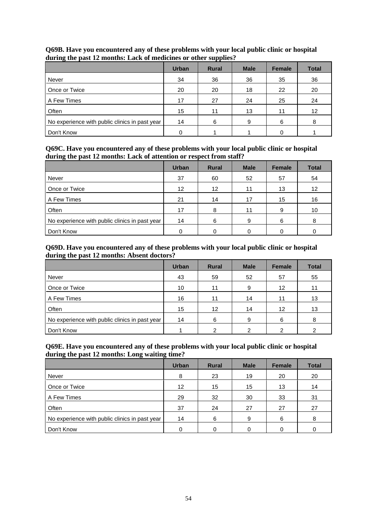|                                                | <b>Urban</b> | <b>Rural</b> | <b>Male</b> | <b>Female</b> | <b>Total</b> |
|------------------------------------------------|--------------|--------------|-------------|---------------|--------------|
| Never                                          | 34           | 36           | 36          | 35            | 36           |
| Once or Twice                                  | 20           | 20           | 18          | 22            | 20           |
| A Few Times                                    | 17           | 27           | 24          | 25            | 24           |
| Often                                          | 15           | 11           | 13          | 11            | 12           |
| No experience with public clinics in past year | 14           | 6            | 9           | 6             | 8            |
| Don't Know                                     |              |              |             | 0             |              |

## **Q69B. Have you encountered any of these problems with your local public clinic or hospital during the past 12 months: Lack of medicines or other supplies?**

#### **Q69C. Have you encountered any of these problems with your local public clinic or hospital during the past 12 months: Lack of attention or respect from staff?**

|                                                | <b>Urban</b>      | <b>Rural</b>    | <b>Male</b> | Female | <b>Total</b> |
|------------------------------------------------|-------------------|-----------------|-------------|--------|--------------|
| Never                                          | 37                | 60              | 52          | 57     | 54           |
| Once or Twice                                  | $12 \overline{ }$ | 12 <sup>2</sup> | 11          | 13     | 12           |
| A Few Times                                    | 21                | 14              | 17          | 15     | 16           |
| Often                                          | 17                | 8               | 11          | 9      | 10           |
| No experience with public clinics in past year | 14                | 6               | 9           | 6      | 8            |
| Don't Know                                     |                   |                 |             |        |              |

## **Q69D. Have you encountered any of these problems with your local public clinic or hospital during the past 12 months: Absent doctors?**

|                                                | <b>Urban</b> | <b>Rural</b>      | <b>Male</b> | <b>Female</b>     | <b>Total</b> |
|------------------------------------------------|--------------|-------------------|-------------|-------------------|--------------|
| Never                                          | 43           | 59                | 52          | 57                | 55           |
| Once or Twice                                  | 10           | 11                | 9           | $12 \overline{ }$ | 11           |
| A Few Times                                    | 16           | 11                | 14          | 11                | 13           |
| Often                                          | 15           | $12 \overline{ }$ | 14          | 12 <sup>2</sup>   | 13           |
| No experience with public clinics in past year | 14           | 6                 | 9           | 6                 | 8            |
| Don't Know                                     |              | 2                 |             | ົ                 |              |

#### **Q69E. Have you encountered any of these problems with your local public clinic or hospital during the past 12 months: Long waiting time?**

|                                                | <b>Urban</b>      | <b>Rural</b> | <b>Male</b> | <b>Female</b> | <b>Total</b> |
|------------------------------------------------|-------------------|--------------|-------------|---------------|--------------|
| Never                                          | 8                 | 23           | 19          | 20            | 20           |
| Once or Twice                                  | $12 \overline{ }$ | 15           | 15          | 13            | 14           |
| A Few Times                                    | 29                | 32           | 30          | 33            | 31           |
| Often                                          | 37                | 24           | 27          | 27            | 27           |
| No experience with public clinics in past year | 14                | 6            | 9           | 6             | 8            |
| Don't Know                                     |                   |              |             |               |              |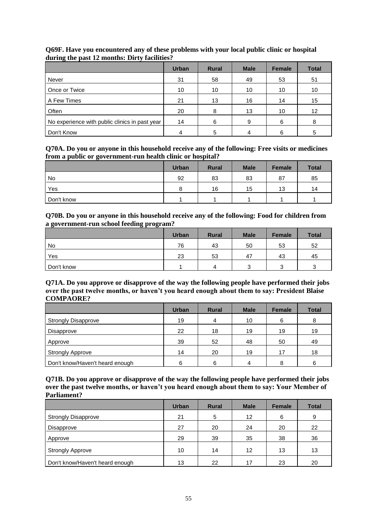|                                                | <b>Urban</b> | <b>Rural</b> | <b>Male</b> | <b>Female</b> | <b>Total</b> |
|------------------------------------------------|--------------|--------------|-------------|---------------|--------------|
| Never                                          | 31           | 58           | 49          | 53            | 51           |
| Once or Twice                                  | 10           | 10           | 10          | 10            | 10           |
| A Few Times                                    | 21           | 13           | 16          | 14            | 15           |
| Often                                          | 20           | 8            | 13          | 10            | 12           |
| No experience with public clinics in past year | 14           | 6            | q           | 6             | 8            |
| Don't Know                                     |              | 5            |             | 6             | 5            |

## **Q69F. Have you encountered any of these problems with your local public clinic or hospital during the past 12 months: Dirty facilities?**

#### **Q70A. Do you or anyone in this household receive any of the following: Free visits or medicines from a public or government-run health clinic or hospital?**

|            | <b>Urban</b> | <b>Rural</b> | <b>Male</b> | Female | <b>Total</b> |
|------------|--------------|--------------|-------------|--------|--------------|
| No         | 92           | 83           | 83          | 87     | 85           |
| Yes        |              | 16           | 15          | 13     | 14           |
| Don't know |              |              |             |        |              |

#### **Q70B. Do you or anyone in this household receive any of the following: Food for children from a government-run school feeding program?**

|            | <b>Urban</b> | <b>Rural</b> | <b>Male</b> | Female   | <b>Total</b> |
|------------|--------------|--------------|-------------|----------|--------------|
| No         | 76           | 43           | 50          | 53       | 52           |
| Yes        | 23           | 53           | 47          | 43       | 45           |
| Don't know |              | 4            |             | ົ<br>. . | ◠            |

#### **Q71A. Do you approve or disapprove of the way the following people have performed their jobs over the past twelve months, or haven't you heard enough about them to say: President Blaise COMPAORE?**

|                                 | <b>Urban</b> | <b>Rural</b> | <b>Male</b> | <b>Female</b> | <b>Total</b> |
|---------------------------------|--------------|--------------|-------------|---------------|--------------|
| <b>Strongly Disapprove</b>      | 19           | 4            | 10          | 6             | 8            |
| Disapprove                      | 22           | 18           | 19          | 19            | 19           |
| Approve                         | 39           | 52           | 48          | 50            | 49           |
| <b>Strongly Approve</b>         | 14           | 20           | 19          | 17            | 18           |
| Don't know/Haven't heard enough | հ            | 6            |             | 8             | 6            |

| Q71B. Do you approve or disapprove of the way the following people have performed their jobs |
|----------------------------------------------------------------------------------------------|
| over the past twelve months, or haven't you heard enough about them to say: Your Member of   |
| <b>Parliament?</b>                                                                           |

|                                 | <b>Urban</b> | <b>Rural</b> | <b>Male</b> | <b>Female</b> | <b>Total</b> |
|---------------------------------|--------------|--------------|-------------|---------------|--------------|
| <b>Strongly Disapprove</b>      | 21           | 5            | 12          | 6             | 9            |
| Disapprove                      | 27           | 20           | 24          | 20            | 22           |
| Approve                         | 29           | 39           | 35          | 38            | 36           |
| <b>Strongly Approve</b>         | 10           | 14           | 12          | 13            | 13           |
| Don't know/Haven't heard enough | 13           | 22           | 17          | 23            | 20           |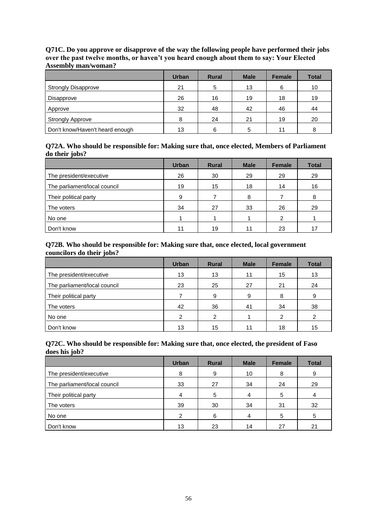|                                 | <b>Urban</b> | <b>Rural</b> | <b>Male</b> | <b>Female</b> | <b>Total</b> |
|---------------------------------|--------------|--------------|-------------|---------------|--------------|
| <b>Strongly Disapprove</b>      | 21           | 5            | 13          | 6             | 10           |
| Disapprove                      | 26           | 16           | 19          | 18            | 19           |
| Approve                         | 32           | 48           | 42          | 46            | 44           |
| <b>Strongly Approve</b>         | 8            | 24           | 21          | 19            | 20           |
| Don't know/Haven't heard enough | 13           | 6            | 5           | 11            | 8            |

**Q71C. Do you approve or disapprove of the way the following people have performed their jobs over the past twelve months, or haven't you heard enough about them to say: Your Elected Assembly man/woman?**

#### **Q72A. Who should be responsible for: Making sure that, once elected, Members of Parliament do their jobs?**

|                              | <b>Urban</b> | <b>Rural</b> | <b>Male</b> | <b>Female</b> | <b>Total</b> |
|------------------------------|--------------|--------------|-------------|---------------|--------------|
| The president/executive      | 26           | 30           | 29          | 29            | 29           |
| The parliament/local council | 19           | 15           | 18          | 14            | 16           |
| Their political party        | 9            |              | 8           |               | 8            |
| The voters                   | 34           | 27           | 33          | 26            | 29           |
| No one                       |              |              |             | 2             |              |
| Don't know                   | 11           | 19           |             | 23            | 17           |

#### **Q72B. Who should be responsible for: Making sure that, once elected, local government councilors do their jobs?**

|                              | <b>Urban</b> | <b>Rural</b> | <b>Male</b> | <b>Female</b> | <b>Total</b> |
|------------------------------|--------------|--------------|-------------|---------------|--------------|
| The president/executive      | 13           | 13           | 11          | 15            | 13           |
| The parliament/local council | 23           | 25           | 27          | 21            | 24           |
| Their political party        |              | 9            | 9           | 8             | 9            |
| The voters                   | 42           | 36           | 41          | 34            | 38           |
| No one                       | 2            | 2            |             | 2             | 2            |
| Don't know                   | 13           | 15           |             | 18            | 15           |

#### **Q72C. Who should be responsible for: Making sure that, once elected, the president of Faso does his job?**

|                              | <b>Urban</b>   | <b>Rural</b> | <b>Male</b> | <b>Female</b> | <b>Total</b> |
|------------------------------|----------------|--------------|-------------|---------------|--------------|
| The president/executive      | 8              | 9            | 10          | 8             | 9            |
| The parliament/local council | 33             | 27           | 34          | 24            | 29           |
| Their political party        |                | 5            |             | 5             |              |
| The voters                   | 39             | 30           | 34          | 31            | 32           |
| No one                       | $\mathfrak{p}$ | 6            | 4           | 5             | 5            |
| Don't know                   | 13             | 23           | 14          | 27            | 21           |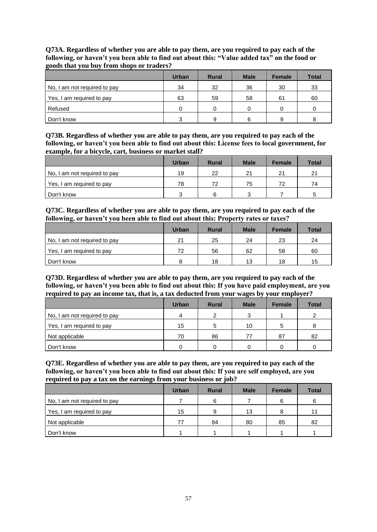**Q73A. Regardless of whether you are able to pay them, are you required to pay each of the following, or haven't you been able to find out about this: "Value added tax" on the food or goods that you buy from shops or traders?**

|                              | <b>Urban</b> | <b>Rural</b> | <b>Male</b> | <b>Female</b> | <b>Total</b> |
|------------------------------|--------------|--------------|-------------|---------------|--------------|
| No, I am not required to pay | 34           | 32           | 36          | 30            | 33           |
| Yes, I am required to pay    | 63           | 59           | 58          | 61            | 60           |
| Refused                      | O            | 0            |             | 0             | 0            |
| Don't know                   | ◠            | 9            | 6           | 9             | 8            |

**Q73B. Regardless of whether you are able to pay them, are you required to pay each of the following, or haven't you been able to find out about this: License fees to local government, for example, for a bicycle, cart, business or market stall?**

|                              | <b>Urban</b> | <b>Rural</b> | <b>Male</b> | <b>Female</b> | <b>Total</b> |
|------------------------------|--------------|--------------|-------------|---------------|--------------|
| No, I am not required to pay | 19           | 22           | 21          | 21            | 21           |
| Yes, I am required to pay    | 78           | 72           | 75          | 72            | 74           |
| Don't know                   |              | h            |             |               | 5            |

**Q73C. Regardless of whether you are able to pay them, are you required to pay each of the following, or haven't you been able to find out about this: Property rates or taxes?**

|                              | <b>Urban</b> | <b>Rural</b> | <b>Male</b> | <b>Female</b> | <b>Total</b> |
|------------------------------|--------------|--------------|-------------|---------------|--------------|
| No, I am not required to pay | 21           | 25           | 24          | 23            | 24           |
| Yes, I am required to pay    | 72           | 56           | 62          | 58            | 60           |
| Don't know                   |              | 18           | 13          | 18            | 15           |

**Q73D. Regardless of whether you are able to pay them, are you required to pay each of the following, or haven't you been able to find out about this: If you have paid employment, are you required to pay an income tax, that is, a tax deducted from your wages by your employer?**

|                              | <b>Urban</b> | <b>Rural</b> | <b>Male</b> | <b>Female</b> | <b>Total</b> |
|------------------------------|--------------|--------------|-------------|---------------|--------------|
| No, I am not required to pay | 4            | 2            | ົ           |               |              |
| Yes, I am required to pay    | 15           | 5            | 10          | 5             |              |
| Not applicable               | 70           | 86           | 77          | 87            | 82           |
| Don't know                   |              |              |             |               |              |

**Q73E. Regardless of whether you are able to pay them, are you required to pay each of the following, or haven't you been able to find out about this: If you are self employed, are you required to pay a tax on the earnings from your business or job?**

|                              | <b>Urban</b> | <b>Rural</b> | <b>Male</b> | <b>Female</b> | <b>Total</b> |
|------------------------------|--------------|--------------|-------------|---------------|--------------|
| No, I am not required to pay |              | 6            |             | 6             | 6            |
| Yes, I am required to pay    | 15           | 9            | 13          | 8             | 11           |
| Not applicable               | 77           | 84           | 80          | 85            | 82           |
| Don't know                   |              |              |             |               |              |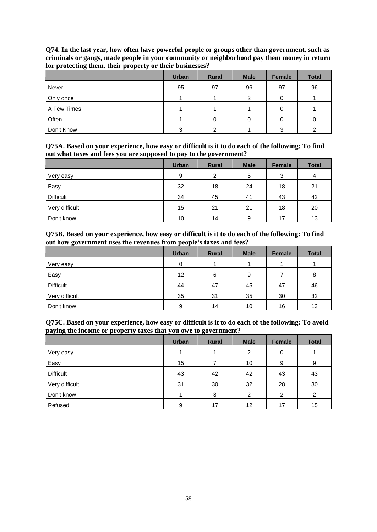|             | <b>Urban</b> | <b>Rural</b> | <b>Male</b> | <b>Female</b> | <b>Total</b> |
|-------------|--------------|--------------|-------------|---------------|--------------|
| Never       | 95           | 97           | 96          | 97            | 96           |
| Only once   |              |              | ົ           | 0             |              |
| A Few Times |              |              |             | 0             |              |
| Often       |              | 0            | 0           | 0             | 0            |
| Don't Know  | ົ            | າ            |             | ≘<br>د        | ົ            |

**Q74. In the last year, how often have powerful people or groups other than government, such as criminals or gangs, made people in your community or neighborhood pay them money in return for protecting them, their property or their businesses?**

**Q75A. Based on your experience, how easy or difficult is it to do each of the following: To find out what taxes and fees you are supposed to pay to the government?**

|                  | <b>Urban</b> | <b>Rural</b>   | <b>Male</b> | Female | <b>Total</b> |
|------------------|--------------|----------------|-------------|--------|--------------|
| Very easy        | 9            | $\mathfrak{p}$ | 5           | 3      | 4            |
| Easy             | 32           | 18             | 24          | 18     | 21           |
| <b>Difficult</b> | 34           | 45             | 41          | 43     | 42           |
| Very difficult   | 15           | 21             | 21          | 18     | 20           |
| Don't know       | 10           | 14             | 9           | 17     | 13           |

**Q75B. Based on your experience, how easy or difficult is it to do each of the following: To find out how government uses the revenues from people's taxes and fees?**

|                  | <b>Urban</b> | <b>Rural</b> | <b>Male</b> | <b>Female</b> | <b>Total</b> |
|------------------|--------------|--------------|-------------|---------------|--------------|
| Very easy        | $\Omega$     |              |             |               |              |
| Easy             | 12           | 6            | 9           |               | 8            |
| <b>Difficult</b> | 44           | 47           | 45          | 47            | 46           |
| Very difficult   | 35           | 31           | 35          | 30            | 32           |
| Don't know       | 9            | 14           | 10          | 16            | 13           |

**Q75C. Based on your experience, how easy or difficult is it to do each of the following: To avoid paying the income or property taxes that you owe to government?**

|                  | <b>Urban</b> | <b>Rural</b> | <b>Male</b> | Female | <b>Total</b> |
|------------------|--------------|--------------|-------------|--------|--------------|
| Very easy        |              |              | 2           | 0      |              |
| Easy             | 15           |              | 10          | 9      | 9            |
| <b>Difficult</b> | 43           | 42           | 42          | 43     | 43           |
| Very difficult   | 31           | 30           | 32          | 28     | 30           |
| Don't know       |              | 3            | ົ           | າ      | 2            |
| Refused          | 9            | 17           | 12          | 17     | 15           |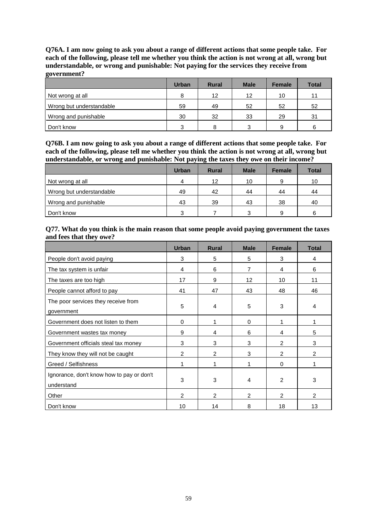**Q76A. I am now going to ask you about a range of different actions that some people take. For each of the following, please tell me whether you think the action is not wrong at all, wrong but understandable, or wrong and punishable: Not paying for the services they receive from government?**

|                          | <b>Urban</b> | <b>Rural</b> | <b>Male</b> | <b>Female</b> | <b>Total</b> |
|--------------------------|--------------|--------------|-------------|---------------|--------------|
| Not wrong at all         | 8            | 12           | 12          | 10            | 11           |
| Wrong but understandable | 59           | 49           | 52          | 52            | 52           |
| Wrong and punishable     | 30           | 32           | 33          | 29            | 31           |
| Don't know               | $\mathbf{r}$ | 8            | ≘           | 9             | 6            |

**Q76B. I am now going to ask you about a range of different actions that some people take. For each of the following, please tell me whether you think the action is not wrong at all, wrong but understandable, or wrong and punishable: Not paying the taxes they owe on their income?**

|                          | <b>Urban</b> | <b>Rural</b> | <b>Male</b> | <b>Female</b> | <b>Total</b> |
|--------------------------|--------------|--------------|-------------|---------------|--------------|
| Not wrong at all         | 4            | 12           | 10          | 9             | 10           |
| Wrong but understandable | 49           | 42           | 44          | 44            | 44           |
| Wrong and punishable     | 43           | 39           | 43          | 38            | 40           |
| Don't know               | ົ            |              | ົ           | 9             | 6            |

#### **Q77. What do you think is the main reason that some people avoid paying government the taxes and fees that they owe?**

|                                                         | <b>Urban</b>   | <b>Rural</b>   | <b>Male</b>     | <b>Female</b>  | <b>Total</b>   |
|---------------------------------------------------------|----------------|----------------|-----------------|----------------|----------------|
| People don't avoid paying                               | 3              | 5              | 5               | 3              | 4              |
| The tax system is unfair                                | 4              | 6              | 7               | 4              | 6              |
| The taxes are too high                                  | 17             | 9              | 12 <sup>2</sup> | 10             | 11             |
| People cannot afford to pay                             | 41             | 47             | 43              | 48             | 46             |
| The poor services they receive from<br>government       | 5              | $\overline{4}$ | 5               | 3              | 4              |
| Government does not listen to them                      | 0              | 1              | 0               | 1              |                |
| Government wastes tax money                             | 9              | 4              | 6               | 4              | 5              |
| Government officials steal tax money                    | 3              | 3              | 3               | $\overline{2}$ | 3              |
| They know they will not be caught                       | 2              | $\overline{2}$ | 3               | $\overline{2}$ | 2              |
| Greed / Selfishness                                     | 1              | 1              | 1               | $\Omega$       |                |
| Ignorance, don't know how to pay or don't<br>understand | 3              | 3              | 4               | $\overline{2}$ | 3              |
| Other                                                   | $\overline{2}$ | 2              | 2               | $\overline{2}$ | $\overline{2}$ |
| Don't know                                              | 10             | 14             | 8               | 18             | 13             |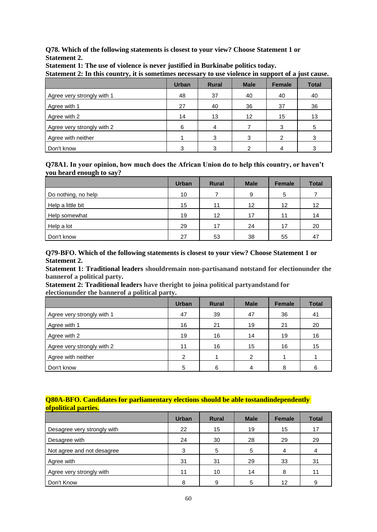**Q78. Which of the following statements is closest to your view? Choose Statement 1 or Statement 2.** 

| $\beta$ archiefle $\alpha$ , in this country, it is sometimes necessary to use violence in support or a just cause. |              |              |                   |               |              |  |
|---------------------------------------------------------------------------------------------------------------------|--------------|--------------|-------------------|---------------|--------------|--|
|                                                                                                                     | <b>Urban</b> | <b>Rural</b> | <b>Male</b>       | <b>Female</b> | <b>Total</b> |  |
| Agree very strongly with 1                                                                                          | 48           | 37           | 40                | 40            | 40           |  |
| Agree with 1                                                                                                        | 27           | 40           | 36                | 37            | 36           |  |
| Agree with 2                                                                                                        | 14           | 13           | $12 \overline{ }$ | 15            | 13           |  |
| Agree very strongly with 2                                                                                          | 6            |              |                   | 3             | 5            |  |
| Agree with neither                                                                                                  |              | 3            |                   |               |              |  |
| Don't know                                                                                                          |              |              |                   |               |              |  |

**Statement 1: The use of violence is never justified in Burkinabe politics today.**

**Statement 2: In this country, it is sometimes necessary to use violence in support of a just cause.**

#### **Q78A1. In your opinion, how much does the African Union do to help this country, or haven't you heard enough to say?**

|                     | <b>Urban</b> | <b>Rural</b> | <b>Male</b>       | <b>Female</b> | <b>Total</b> |
|---------------------|--------------|--------------|-------------------|---------------|--------------|
| Do nothing, no help | 10           |              | 9                 | 5             |              |
| Help a little bit   | 15           | 11           | $12 \overline{ }$ | 12            | 12           |
| Help somewhat       | 19           | 12           | 17                | 11            | 14           |
| Help a lot          | 29           | 17           | 24                | 17            | 20           |
| Don't know          | 27           | 53           | 38                | 55            | 47           |

**Q79-BFO. Which of the following statements is closest to your view? Choose Statement 1 or Statement 2.**

**Statement 1: Traditional leaders shouldremain non-partisanand notstand for electionunder the bannerof a political party.**

**Statement 2: Traditional leaders have theright to joina political partyandstand for electionunder the bannerof a political party.**

|                            | <b>Urban</b> | <b>Rural</b> | <b>Male</b> | <b>Female</b> | <b>Total</b> |
|----------------------------|--------------|--------------|-------------|---------------|--------------|
| Agree very strongly with 1 | 47           | 39           | 47          | 36            | 41           |
| Agree with 1               | 16           | 21           | 19          | 21            | 20           |
| Agree with 2               | 19           | 16           | 14          | 19            | 16           |
| Agree very strongly with 2 | 11           | 16           | 15          | 16            | 15           |
| Agree with neither         | 2            |              | 2           |               |              |
| Don't know                 | 5            | 6            | 4           |               | 6            |

### **Q80A-BFO. Candidates for parliamentary elections should be able tostandindependently ofpolitical parties.**

|                             | <b>Urban</b> | <b>Rural</b> | <b>Male</b> | <b>Female</b> | <b>Total</b> |
|-----------------------------|--------------|--------------|-------------|---------------|--------------|
| Desagree very strongly with | 22           | 15           | 19          | 15            | 17           |
| Desagree with               | 24           | 30           | 28          | 29            | 29           |
| Not agree and not desagree  | 3            | 5            | 5           | 4             |              |
| Agree with                  | 31           | 31           | 29          | 33            | 31           |
| Agree very strongly with    | 11           | 10           | 14          | 8             | 11           |
| Don't Know                  | 8            | 9            | 5           | 12            | 9            |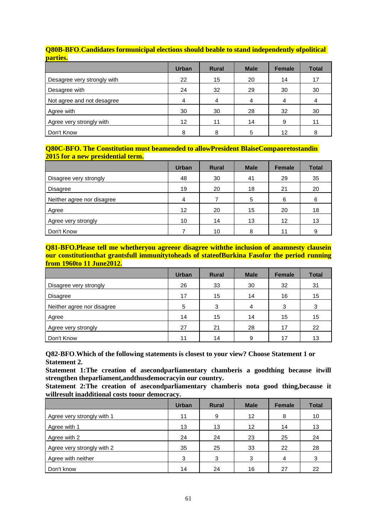| <b>DOME DECIDE</b>          |              |              |             |               |              |
|-----------------------------|--------------|--------------|-------------|---------------|--------------|
|                             | <b>Urban</b> | <b>Rural</b> | <b>Male</b> | <b>Female</b> | <b>Total</b> |
| Desagree very strongly with | 22           | 15           | 20          | 14            | 17           |
| Desagree with               | 24           | 32           | 29          | 30            | 30           |
| Not agree and not desagree  | 4            | 4            |             | 4             |              |
| Agree with                  | 30           | 30           | 28          | 32            | 30           |
| Agree very strongly with    | 12           | 11           | 14          | 9             | 11           |
| Don't Know                  | 8            | 8            | 5           | 12            | 8            |

#### **Q80B-BFO**.**Candidates formunicipal elections should beable to stand independently ofpolitical parties.**

#### **Q80C-BFO. The Constitution must beamended to allowPresident BlaiseCompaoretostandin 2015 for a new presidential term.**

|                            | <b>Urban</b> | <b>Rural</b> | <b>Male</b> | <b>Female</b> | <b>Total</b> |
|----------------------------|--------------|--------------|-------------|---------------|--------------|
| Disagree very strongly     | 48           | 30           | 41          | 29            | 35           |
| <b>Disagree</b>            | 19           | 20           | 18          | 21            | 20           |
| Neither agree nor disagree | 4            |              | 5           | 6             | 6            |
| Agree                      | 12           | 20           | 15          | 20            | 18           |
| Agree very strongly        | 10           | 14           | 13          | 12            | 13           |
| Don't Know                 |              | 10           | 8           | 11            |              |

#### **Q81-BFO.Please tell me whetheryou agreeor disagree withthe inclusion of anamnesty clausein our constitutionthat grantsfull immunitytoheads of stateofBurkina Fasofor the period running from 1960to 11 June2012.**

|                            | <b>Urban</b> | <b>Rural</b> | <b>Male</b> | <b>Female</b> | <b>Total</b> |
|----------------------------|--------------|--------------|-------------|---------------|--------------|
| Disagree very strongly     | 26           | 33           | 30          | 32            | 31           |
| <b>Disagree</b>            | 17           | 15           | 14          | 16            | 15           |
| Neither agree nor disagree | 5            | 3            | 4           | 3             | 3            |
| Agree                      | 14           | 15           | 14          | 15            | 15           |
| Agree very strongly        | 27           | 21           | 28          | 17            | 22           |
| Don't Know                 | 11           | 14           | 9           | 17            | 13           |

**Q82-BFO**.**Which of the following statements is closest to your view? Choose Statement 1 or Statement 2.**

**Statement 1:The creation of asecondparliamentary chamberis a goodthing because itwill strengthen theparliament,andthusdemocracyin our country.**

**Statement 2:The creation of asecondparliamentary chamberis nota good thing,because it willresult inadditional costs toour democracy.**

|                            | <b>Urban</b> | <b>Rural</b> | <b>Male</b>       | <b>Female</b> | <b>Total</b> |
|----------------------------|--------------|--------------|-------------------|---------------|--------------|
| Agree very strongly with 1 | 11           | 9            | $12 \overline{ }$ | 8             | 10           |
| Agree with 1               | 13           | 13           | 12                | 14            | 13           |
| Agree with 2               | 24           | 24           | 23                | 25            | 24           |
| Agree very strongly with 2 | 35           | 25           | 33                | 22            | 28           |
| Agree with neither         | 3            | 3            | 3                 | 4             | 3            |
| Don't know                 | 14           | 24           | 16                | 27            | 22           |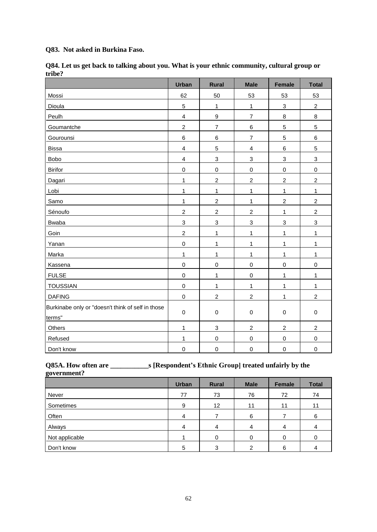**Q83. Not asked in Burkina Faso.**

|                                                             | <b>Urban</b>            | Rural                     | <b>Male</b>               | <b>Female</b>  | <b>Total</b>   |
|-------------------------------------------------------------|-------------------------|---------------------------|---------------------------|----------------|----------------|
| Mossi                                                       | 62                      | 50                        | 53                        | 53             | 53             |
| Dioula                                                      | 5                       | $\mathbf{1}$              | $\mathbf{1}$              | $\mathfrak{Z}$ | $\overline{2}$ |
| Peulh                                                       | 4                       | $\boldsymbol{9}$          | $\overline{7}$            | 8              | $\bf 8$        |
| Goumantche                                                  | $\overline{c}$          | $\overline{7}$            | 6                         | $\overline{5}$ | $\overline{5}$ |
| Gourounsi                                                   | 6                       | 6                         | $\overline{7}$            | $\overline{5}$ | $\,6$          |
| <b>Bissa</b>                                                | 4                       | 5                         | $\overline{\mathbf{4}}$   | $\,6$          | $\overline{5}$ |
| Bobo                                                        | $\overline{\mathbf{4}}$ | 3                         | 3                         | 3              | 3              |
| <b>Birifor</b>                                              | 0                       | $\mathbf 0$               | $\mathbf 0$               | $\pmb{0}$      | $\mathbf 0$    |
| Dagari                                                      | $\mathbf{1}$            | $\overline{c}$            | $\overline{c}$            | $\overline{c}$ | $\overline{c}$ |
| Lobi                                                        | $\mathbf{1}$            | $\mathbf{1}$              | $\mathbf{1}$              | 1              | $\mathbf{1}$   |
| Samo                                                        | $\mathbf{1}$            | $\overline{c}$            | $\mathbf{1}$              | $\overline{c}$ | $\overline{c}$ |
| Sénoufo                                                     | $\overline{c}$          | $\overline{c}$            | $\overline{c}$            | $\mathbf{1}$   | $\overline{c}$ |
| Bwaba                                                       | 3                       | $\ensuremath{\mathsf{3}}$ | $\ensuremath{\mathsf{3}}$ | 3              | 3              |
| Goin                                                        | $\overline{\mathbf{c}}$ | $\mathbf{1}$              | 1                         | 1              | $\mathbf{1}$   |
| Yanan                                                       | 0                       | $\mathbf{1}$              | $\mathbf{1}$              | 1              | $\mathbf{1}$   |
| Marka                                                       | $\mathbf{1}$            | $\mathbf{1}$              | $\mathbf{1}$              | 1              | $\mathbf{1}$   |
| Kassena                                                     | 0                       | $\mathbf 0$               | $\mathbf 0$               | $\mathbf 0$    | $\mathbf 0$    |
| <b>FULSE</b>                                                | $\mathsf 0$             | $\mathbf{1}$              | $\mathbf 0$               | $\mathbf{1}$   | $\mathbf{1}$   |
| <b>TOUSSIAN</b>                                             | 0                       | $\mathbf{1}$              | $\mathbf{1}$              | $\mathbf{1}$   | $\mathbf{1}$   |
| <b>DAFING</b>                                               | 0                       | $\overline{c}$            | $\boldsymbol{2}$          | $\mathbf{1}$   | $\overline{c}$ |
| Burkinabe only or "doesn't think of self in those<br>terms" | $\mathbf 0$             | $\mathbf 0$               | $\mathsf 0$               | $\mathsf 0$    | $\mathbf 0$    |
| Others                                                      | 1                       | 3                         | $\boldsymbol{2}$          | $\overline{c}$ | $\overline{c}$ |
| Refused                                                     | $\mathbf{1}$            | $\mathbf 0$               | $\mathbf 0$               | $\pmb{0}$      | $\pmb{0}$      |
| Don't know                                                  | 0                       | $\mathsf 0$               | $\mathbf 0$               | $\mathbf 0$    | $\mathbf 0$    |

**Q84. Let us get back to talking about you. What is your ethnic community, cultural group or tribe?**

## **Q85A. How often are \_\_\_\_\_\_\_\_\_\_\_s [Respondent's Ethnic Group] treated unfairly by the government?**

|                | <b>Urban</b> | <b>Rural</b> | <b>Male</b> | <b>Female</b> | <b>Total</b> |
|----------------|--------------|--------------|-------------|---------------|--------------|
| Never          | 77           | 73           | 76          | 72            | 74           |
| Sometimes      | 9            | 12           | 11          | 11            | 11           |
| Often          |              |              | 6           |               | 6            |
| Always         |              | 4            | 4           | 4             |              |
| Not applicable |              | 0            | 0           |               |              |
| Don't know     | 5            | 3            |             | 6             |              |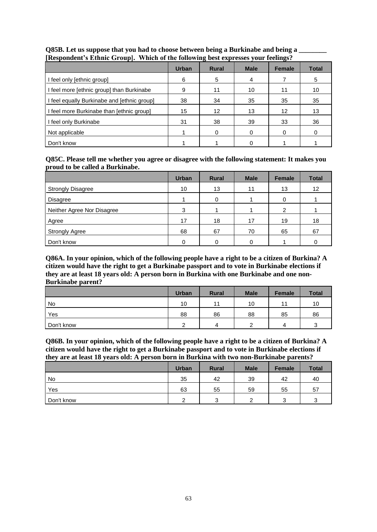| .                                         | <b>Urban</b> | $\overline{ }$<br><b>Rural</b> | <b>Male</b> | -<br><b>Female</b> | <b>Total</b> |
|-------------------------------------------|--------------|--------------------------------|-------------|--------------------|--------------|
| feel only [ethnic group]                  | 6            | 5                              | 4           |                    | 5            |
| I feel more [ethnic group] than Burkinabe | 9            | 11                             | 10          | 11                 | 10           |
| feel equally Burkinabe and [ethnic group] | 38           | 34                             | 35          | 35                 | 35           |
| I feel more Burkinabe than [ethnic group] | 15           | 12                             | 13          | 12                 | 13           |
| I feel only Burkinabe                     | 31           | 38                             | 39          | 33                 | 36           |
| Not applicable                            |              | 0                              | 0           | 0                  |              |
| Don't know                                |              |                                |             |                    |              |

## **Q85B. Let us suppose that you had to choose between being a Burkinabe and being a \_\_\_\_\_\_\_\_ [Respondent's Ethnic Group]. Which of the following best expresses your feelings?**

#### **Q85C. Please tell me whether you agree or disagree with the following statement: It makes you proud to be called a Burkinabe.**

|                            | <b>Urban</b> | <b>Rural</b> | <b>Male</b> | Female | <b>Total</b> |
|----------------------------|--------------|--------------|-------------|--------|--------------|
| <b>Strongly Disagree</b>   | 10           | 13           | 11          | 13     | 12           |
| Disagree                   |              | 0            |             |        |              |
| Neither Agree Nor Disagree | 3            |              |             | 2      |              |
| Agree                      | 17           | 18           | 17          | 19     | 18           |
| <b>Strongly Agree</b>      | 68           | 67           | 70          | 65     | 67           |
| Don't know                 | ი            |              |             |        |              |

**Q86A. In your opinion, which of the following people have a right to be a citizen of Burkina? A citizen would have the right to get a Burkinabe passport and to vote in Burkinabe elections if they are at least 18 years old: A person born in Burkina with one Burkinabe and one non-Burkinabe parent?**

|            | <b>Urban</b> | <b>Rural</b> | <b>Male</b> | <b>Female</b> | <b>Total</b> |
|------------|--------------|--------------|-------------|---------------|--------------|
| No         | 10           | 11           | 10          |               | 10           |
| Yes        | 88           | 86           | 88          | 85            | 86           |
| Don't know | ⌒            | 4            | ⌒           | 4             |              |

**Q86B. In your opinion, which of the following people have a right to be a citizen of Burkina? A citizen would have the right to get a Burkinabe passport and to vote in Burkinabe elections if they are at least 18 years old: A person born in Burkina with two non-Burkinabe parents?**

|            | <b>Urban</b> | <b>Rural</b> | <b>Male</b> | Female | <b>Total</b> |
|------------|--------------|--------------|-------------|--------|--------------|
| No         | 35           | 42           | 39          | 42     | 40           |
| Yes        | 63           | 55           | 59          | 55     | 57           |
| Don't know | ົ            | ີ            |             |        |              |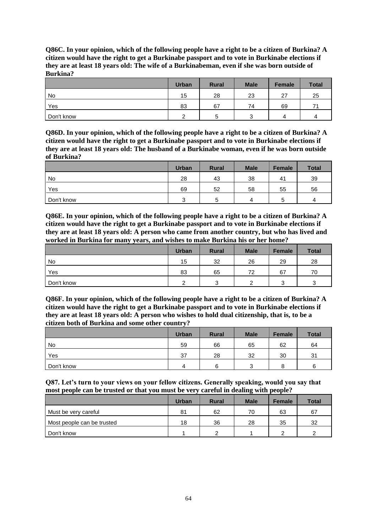**Q86C. In your opinion, which of the following people have a right to be a citizen of Burkina? A citizen would have the right to get a Burkinabe passport and to vote in Burkinabe elections if they are at least 18 years old: The wife of a Burkinabeman, even if she was born outside of Burkina?**

|            | <b>Urban</b> | <b>Rural</b> | <b>Male</b> | <b>Female</b> | <b>Total</b> |
|------------|--------------|--------------|-------------|---------------|--------------|
| No         | 15           | 28           | 23          | 27            | 25           |
| Yes        | 83           | 67           | 74          | 69            | 71           |
| Don't know |              | ວ            | ◠           | Λ             |              |

**Q86D. In your opinion, which of the following people have a right to be a citizen of Burkina? A citizen would have the right to get a Burkinabe passport and to vote in Burkinabe elections if they are at least 18 years old: The husband of a Burkinabe woman, even if he was born outside of Burkina?**

|            | <b>Urban</b> | <b>Rural</b> | <b>Male</b> | Female | <b>Total</b> |
|------------|--------------|--------------|-------------|--------|--------------|
| No         | 28           | 43           | 38          | 41     | 39           |
| Yes        | 69           | 52           | 58          | 55     | 56           |
| Don't know | ⌒            | b            | л           |        | д            |

**Q86E. In your opinion, which of the following people have a right to be a citizen of Burkina? A citizen would have the right to get a Burkinabe passport and to vote in Burkinabe elections if they are at least 18 years old: A person who came from another country, but who has lived and worked in Burkina for many years, and wishes to make Burkina his or her home?**

|            | <b>Urban</b> | <b>Rural</b> | <b>Male</b> | Female | <b>Total</b> |
|------------|--------------|--------------|-------------|--------|--------------|
| No         | 15           | 32           | 26          | 29     | 28           |
| Yes        | 83           | 65           | 72          | 67     | 70           |
| Don't know | ົ            | $\sqrt{2}$   |             | ົ<br>ີ | ⌒            |

**Q86F. In your opinion, which of the following people have a right to be a citizen of Burkina? A citizen would have the right to get a Burkinabe passport and to vote in Burkinabe elections if they are at least 18 years old: A person who wishes to hold dual citizenship, that is, to be a citizen both of Burkina and some other country?**

|            | <b>Urban</b> | <b>Rural</b> | <b>Male</b> | Female | <b>Total</b> |
|------------|--------------|--------------|-------------|--------|--------------|
| No         | 59           | 66           | 65          | 62     | 64           |
| Yes        | 37           | 28           | 32          | 30     | 31           |
| Don't know | 4            |              | ີ           | 8      | R            |

**Q87. Let's turn to your views on your fellow citizens. Generally speaking, would you say that most people can be trusted or that you must be very careful in dealing with people?**

|                            | <b>Urban</b> | <b>Rural</b> | <b>Male</b> | <b>Female</b> | <b>Total</b> |
|----------------------------|--------------|--------------|-------------|---------------|--------------|
| Must be very careful       | 81           | 62           | 70          | 63            | 67           |
| Most people can be trusted | 18           | 36           | 28          | 35            | 32           |
| Don't know                 |              |              |             |               | ົ            |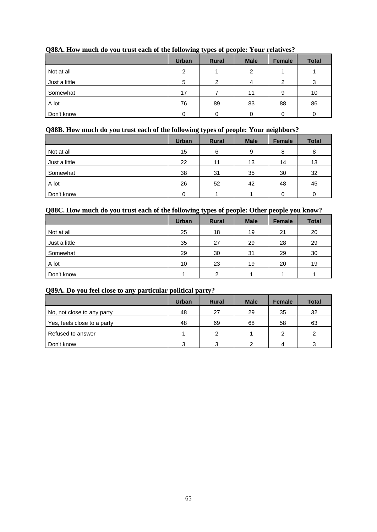| $\sim$<br>. . |               | $\mathbf{v}$ |             |               |              |
|---------------|---------------|--------------|-------------|---------------|--------------|
|               | <b>Urban</b>  | <b>Rural</b> | <b>Male</b> | <b>Female</b> | <b>Total</b> |
| Not at all    | $\mathcal{P}$ |              | 2           |               |              |
| Just a little | 5             | ົ            | 4           | ⌒             | ົ            |
| Somewhat      | 17            |              | 11          | 9             | 10           |
| A lot         | 76            | 89           | 83          | 88            | 86           |
| Don't know    |               |              |             |               |              |

## **Q88A. How much do you trust each of the following types of people: Your relatives?**

## **Q88B. How much do you trust each of the following types of people: Your neighbors?**

|               | <b>Urban</b> | <b>Rural</b> | <b>Male</b> | <b>Female</b> | <b>Total</b> |
|---------------|--------------|--------------|-------------|---------------|--------------|
| Not at all    | 15           | 6            | 9           | 8             | 8            |
| Just a little | 22           | 11           | 13          | 14            | 13           |
| Somewhat      | 38           | 31           | 35          | 30            | 32           |
| A lot         | 26           | 52           | 42          | 48            | 45           |
| Don't know    | 0            |              |             | 0             | 0            |

## **Q88C. How much do you trust each of the following types of people: Other people you know?**

|               | <b>Urban</b> | <b>Rural</b>   | <b>Male</b> | <b>Female</b> | <b>Total</b> |
|---------------|--------------|----------------|-------------|---------------|--------------|
| Not at all    | 25           | 18             | 19          | 21            | 20           |
| Just a little | 35           | 27             | 29          | 28            | 29           |
| Somewhat      | 29           | 30             | 31          | 29            | 30           |
| A lot         | 10           | 23             | 19          | 20            | 19           |
| Don't know    |              | $\mathfrak{p}$ |             |               |              |

## **Q89A. Do you feel close to any particular political party?**

|                             | <b>Urban</b> | <b>Rural</b> | <b>Male</b> | <b>Female</b> | <b>Total</b> |
|-----------------------------|--------------|--------------|-------------|---------------|--------------|
| No, not close to any party  | 48           | 27           | 29          | 35            | 32           |
| Yes, feels close to a party | 48           | 69           | 68          | 58            | 63           |
| Refused to answer           |              | ⌒            |             | າ             | ົ            |
| Don't know                  | 3            | ຈ            | ົ           | Δ             | 3            |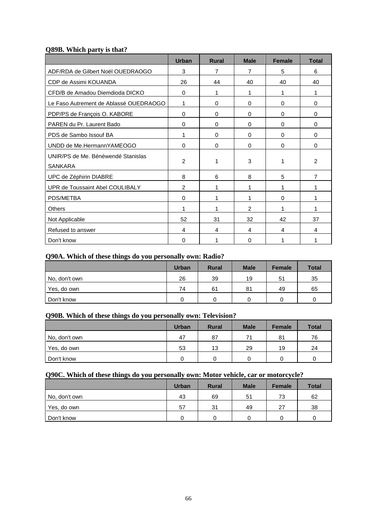## **Q89B. Which party is that?**

|                                        | <b>Urban</b>   | <b>Rural</b> | <b>Male</b>    | <b>Female</b> | <b>Total</b>   |
|----------------------------------------|----------------|--------------|----------------|---------------|----------------|
| ADF/RDA de Gilbert Noël OUEDRAOGO      | 3              | 7            | $\overline{7}$ | 5             | 6              |
| CDP de Assimi KOUANDA                  | 26             | 44           | 40             | 40            | 40             |
| CFD/B de Amadou Diemdioda DICKO        | 0              | 1            | 1              | 1             | 1              |
| Le Faso Autrement de Ablassé OUEDRAOGO | 1              | 0            | $\Omega$       | 0             | 0              |
| PDP/PS de François O. KABORE           | 0              | 0            | $\Omega$       | 0             | 0              |
| PAREN du Pr. Laurent Bado              | 0              | 0            | 0              | 0             | 0              |
| PDS de Sambo Issouf BA                 | 1              | 0            | 0              | 0             | 0              |
| UNDD de Me.HermannYAMEOGO              | 0              | $\Omega$     | $\Omega$       | $\Omega$      | $\Omega$       |
| UNIR/PS de Me. Bénéwendé Stanislas     |                |              |                |               |                |
| <b>SANKARA</b>                         | 2              | 1            | 3              |               | $\mathcal{P}$  |
| UPC de Zéphirin DIABRE                 | 8              | 6            | 8              | 5             | $\overline{7}$ |
| UPR de Toussaint Abel COULIBALY        | $\overline{2}$ | 1            | 1              |               | 1              |
| PDS/METBA                              | 0              | 1            | 1              | 0             | 1              |
| Others                                 | 1              | 1            | $\mathcal{P}$  | 1             | 1              |
| Not Applicable                         | 52             | 31           | 32             | 42            | 37             |
| Refused to answer                      | 4              | 4            | 4              | 4             | 4              |
| Don't know                             | 0              |              | $\Omega$       |               | 1              |

#### **Q90A. Which of these things do you personally own: Radio?**

|               | <b>Urban</b> | <b>Rural</b> | <b>Male</b> | <b>Female</b> | <b>Total</b> |
|---------------|--------------|--------------|-------------|---------------|--------------|
| No, don't own | 26           | 39           | 19          | 51            | 35           |
| Yes, do own   | 74           | 61           | 81          | 49            | 65           |
| Don't know    |              |              |             |               |              |

## **Q90B. Which of these things do you personally own: Television?**

|               | <b>Urban</b> | <b>Rural</b> | <b>Male</b> | <b>Female</b> | <b>Total</b> |
|---------------|--------------|--------------|-------------|---------------|--------------|
| No, don't own | 47           | 87           | 71          | 81            | 76           |
| Yes, do own   | 53           | 13           | 29          | 19            | 24           |
| Don't know    |              |              |             |               |              |

## **Q90C. Which of these things do you personally own: Motor vehicle, car or motorcycle?**

|               | <b>Urban</b> | <b>Rural</b> | <b>Male</b> | <b>Female</b> | <b>Total</b> |
|---------------|--------------|--------------|-------------|---------------|--------------|
| No, don't own | 43           | 69           | 51          | 73            | 62           |
| Yes, do own   | 57           | 31           | 49          | 27            | 38           |
| Don't know    |              |              |             |               |              |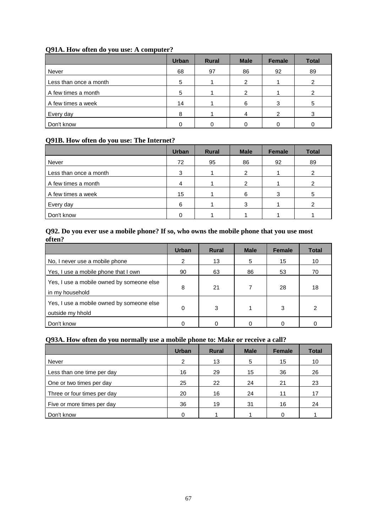| Q91A. How often do you use: A computer? |  |  |
|-----------------------------------------|--|--|
|-----------------------------------------|--|--|

|                        | <b>Urban</b> | <b>Rural</b> | <b>Male</b> | Female | <b>Total</b> |
|------------------------|--------------|--------------|-------------|--------|--------------|
| Never                  | 68           | 97           | 86          | 92     | 89           |
| Less than once a month |              |              | 2           |        |              |
| A few times a month    | 5            |              | 2           |        |              |
| A few times a week     | 14           |              | 6           | 3      | 5            |
| Every day              | я            |              | 4           | ົ      |              |
| Don't know             |              |              |             |        |              |

## **Q91B. How often do you use: The Internet?**

|                        | <b>Urban</b> | <b>Rural</b> | <b>Male</b> | <b>Female</b> | <b>Total</b> |
|------------------------|--------------|--------------|-------------|---------------|--------------|
| Never                  | 72           | 95           | 86          | 92            | 89           |
| Less than once a month |              |              | 2           |               |              |
| A few times a month    |              |              | 2           |               |              |
| A few times a week     | 15           |              | 6           | 3             | 5            |
| Every day              | 6            |              |             |               |              |
| Don't know             |              |              |             |               |              |

## **Q92. Do you ever use a mobile phone? If so, who owns the mobile phone that you use most often?**

|                                                               | Urban | <b>Rural</b> | <b>Male</b> | <b>Female</b> | <b>Total</b> |
|---------------------------------------------------------------|-------|--------------|-------------|---------------|--------------|
| No, I never use a mobile phone                                | 2     | 13           | 5           | 15            | 10           |
| Yes, I use a mobile phone that I own                          | 90    | 63           | 86          | 53            | 70           |
| Yes, I use a mobile owned by someone else<br>in my household  | 8     | 21           |             | 28            | 18           |
| Yes, I use a mobile owned by someone else<br>outside my hhold | 0     | 3            |             | 3             | 2            |
| Don't know                                                    |       |              |             |               |              |

## **Q93A. How often do you normally use a mobile phone to: Make or receive a call?**

|                             | <b>Urban</b>  | <b>Rural</b> | <b>Male</b> | <b>Female</b> | <b>Total</b> |
|-----------------------------|---------------|--------------|-------------|---------------|--------------|
| Never                       | $\mathcal{P}$ | 13           | 5           | 15            | 10           |
| Less than one time per day  | 16            | 29           | 15          | 36            | 26           |
| One or two times per day    | 25            | 22           | 24          | 21            | 23           |
| Three or four times per day | 20            | 16           | 24          | 11            | 17           |
| Five or more times per day  | 36            | 19           | 31          | 16            | 24           |
| Don't know                  |               |              |             |               |              |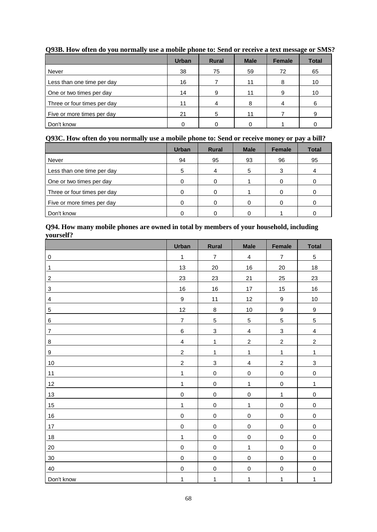|                             | <b>Urban</b> | <b>Rural</b> | <b>Male</b> | <b>Female</b> | <b>Total</b> |
|-----------------------------|--------------|--------------|-------------|---------------|--------------|
| Never                       | 38           | 75           | 59          | 72            | 65           |
| Less than one time per day  | 16           |              | 11          | 8             | 10           |
| One or two times per day    | 14           | 9            | 11          | 9             | 10           |
| Three or four times per day | 11           | 4            | я           |               | 6            |
| Five or more times per day  | 21           | 5            | 11          |               |              |
| Don't know                  |              |              |             |               |              |

**Q93B. How often do you normally use a mobile phone to: Send or receive a text message or SMS?**

## **Q93C. How often do you normally use a mobile phone to: Send or receive money or pay a bill?**

|                             | <b>Urban</b> | <b>Rural</b> | <b>Male</b> | <b>Female</b> | <b>Total</b> |
|-----------------------------|--------------|--------------|-------------|---------------|--------------|
| Never                       | 94           | 95           | 93          | 96            | 95           |
| Less than one time per day  | 5            | 4            | 5           | 3             |              |
| One or two times per day    |              |              |             |               |              |
| Three or four times per day |              |              |             |               |              |
| Five or more times per day  |              |              |             |               |              |
| Don't know                  |              |              |             |               |              |

## **Q94. How many mobile phones are owned in total by members of your household, including yourself?**

|                         | <b>Urban</b>            | Rural                     | <b>Male</b>             | Female           | <b>Total</b>            |
|-------------------------|-------------------------|---------------------------|-------------------------|------------------|-------------------------|
| $\pmb{0}$               | $\mathbf{1}$            | $\overline{7}$            | $\overline{4}$          | $\boldsymbol{7}$ | 5                       |
| $\mathbf{1}$            | 13                      | 20                        | $16\,$                  | $20\,$           | 18                      |
| $\overline{c}$          | 23                      | 23                        | 21                      | 25               | 23                      |
| 3                       | 16                      | 16                        | $17\,$                  | 15               | 16                      |
| $\overline{\mathbf{4}}$ | $\boldsymbol{9}$        | 11                        | 12                      | $\boldsymbol{9}$ | 10                      |
| $\,$ 5 $\,$             | 12                      | $\bf 8$                   | $10\,$                  | $\boldsymbol{9}$ | 9                       |
| 6                       | $\boldsymbol{7}$        | $\sqrt{5}$                | 5                       | 5                | 5                       |
| $\overline{\mathbf{7}}$ | $\,6$                   | $\mathsf 3$               | $\overline{\mathbf{4}}$ | $\mathsf 3$      | $\overline{\mathbf{4}}$ |
| 8                       | $\overline{\mathbf{4}}$ | $\mathbf{1}$              | $\overline{c}$          | $\boldsymbol{2}$ | $\overline{c}$          |
| $\boldsymbol{9}$        | $\overline{c}$          | $\mathbf 1$               | $\mathbf{1}$            | $\mathbf{1}$     | $\mathbf 1$             |
| $10$                    | $\boldsymbol{2}$        | $\ensuremath{\mathsf{3}}$ | $\overline{\mathbf{4}}$ | $\boldsymbol{2}$ | 3                       |
| 11                      | $\mathbf{1}$            | $\mathbf 0$               | $\mathsf{O}\xspace$     | $\mathsf 0$      | $\pmb{0}$               |
| 12                      | $\mathbf{1}$            | $\mathbf 0$               | $\mathbf{1}$            | $\mathbf 0$      | $\mathbf{1}$            |
| 13                      | $\mathbf 0$             | $\mathbf 0$               | $\pmb{0}$               | $\mathbf 1$      | $\mathbf 0$             |
| 15                      | $\mathbf{1}$            | $\mathbf 0$               | $\mathbf{1}$            | $\mathbf 0$      | $\mathsf 0$             |
| $16\,$                  | $\mathbf 0$             | $\mathbf 0$               | $\mathsf 0$             | $\mathsf 0$      | $\mathsf{O}\xspace$     |
| $17\,$                  | $\mathbf 0$             | $\mathbf 0$               | $\pmb{0}$               | $\mathbf 0$      | $\mathbf 0$             |
| 18                      | $\mathbf{1}$            | $\mathbf 0$               | $\mathbf 0$             | $\mathbf 0$      | $\mathbf 0$             |
| $20\,$                  | $\mathbf 0$             | $\mathbf 0$               | $\mathbf{1}$            | $\mathbf 0$      | $\mathsf 0$             |
| 30                      | $\mathbf 0$             | $\mathbf 0$               | $\pmb{0}$               | $\mathbf 0$      | $\mathbf 0$             |
| 40                      | $\mathbf 0$             | $\mathbf 0$               | $\pmb{0}$               | $\mathbf 0$      | $\mathbf 0$             |
| Don't know              | $\mathbf{1}$            | $\mathbf 1$               | 1                       | $\mathbf{1}$     | $\mathbf 1$             |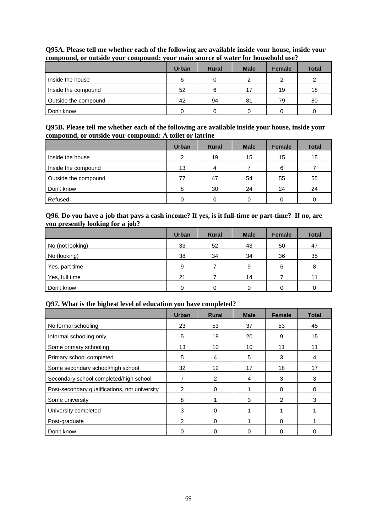|                      | <b>Urban</b> | <b>Rural</b> | <b>Male</b> | <b>Female</b> | <b>Total</b> |  |
|----------------------|--------------|--------------|-------------|---------------|--------------|--|
| Inside the house     | 6            |              |             | ົ             |              |  |
| Inside the compound  | 52           | 6            | 17          | 19            | 18           |  |
| Outside the compound | 42           | 94           | 81          | 79            | 80           |  |
| Don't know           |              |              |             |               |              |  |

## **Q95A. Please tell me whether each of the following are available inside your house, inside your compound, or outside your compound: your main source of water for household use?**

**Q95B. Please tell me whether each of the following are available inside your house, inside your compound, or outside your compound: A toilet or latrine**

|                      | <b>Urban</b> | <b>Rural</b> | <b>Male</b> | <b>Female</b> | <b>Total</b> |
|----------------------|--------------|--------------|-------------|---------------|--------------|
| Inside the house     | 2            | 19           | 15          | 15            | 15           |
| Inside the compound  | 13           | 4            |             | 6             |              |
| Outside the compound | 77           | 47           | 54          | 55            | 55           |
| Don't know           | 8            | 30           | 24          | 24            | 24           |
| Refused              |              |              |             |               |              |

#### **Q96. Do you have a job that pays a cash income? If yes, is it full-time or part-time? If no, are you presently looking for a job?**

|                  | <b>Urban</b> | <b>Rural</b> | <b>Male</b> | <b>Female</b> | <b>Total</b> |
|------------------|--------------|--------------|-------------|---------------|--------------|
| No (not looking) | 33           | 52           | 43          | 50            | 47           |
| No (looking)     | 38           | 34           | 34          | 36            | 35           |
| Yes, part time   | 9            |              | 9           | 6             | 8            |
| Yes, full time   | 21           |              | 14          |               | 11           |
| Don't know       |              | 0            |             |               |              |

## **Q97. What is the highest level of education you have completed?**

|                                               | Urban          | <b>Rural</b> | <b>Male</b> | <b>Female</b>  | <b>Total</b> |
|-----------------------------------------------|----------------|--------------|-------------|----------------|--------------|
| No formal schooling                           | 23             | 53           | 37          | 53             | 45           |
| Informal schooling only                       | 5              | 18           | 20          | 9              | 15           |
| Some primary schooling                        | 13             | 10           | 10          | 11             | 11           |
| Primary school completed                      | 5              | 4            | 5           | 3              | 4            |
| Some secondary school/high school             | 32             | 12           | 17          | 18             | 17           |
| Secondary school completed/high school        |                | 2            | 4           | 3              | 3            |
| Post-secondary qualifications, not university | $\overline{2}$ | 0            |             | $\Omega$       | 0            |
| Some university                               | 8              |              | 3           | $\overline{2}$ | 3            |
| University completed                          | 3              | $\Omega$     |             |                |              |
| Post-graduate                                 | 2              | $\Omega$     |             | $\Omega$       |              |
| Don't know                                    |                | 0            |             |                |              |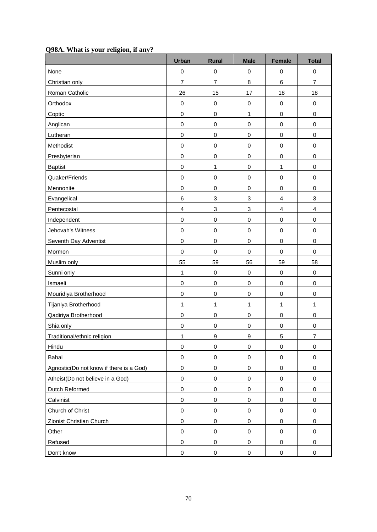|                                         | <b>Urban</b>            | <b>Rural</b>              | <b>Male</b>               | <b>Female</b>           | <b>Total</b>              |
|-----------------------------------------|-------------------------|---------------------------|---------------------------|-------------------------|---------------------------|
| None                                    | $\mathbf 0$             | $\pmb{0}$                 | $\mathbf 0$               | $\mathbf 0$             | $\pmb{0}$                 |
| Christian only                          | $\overline{7}$          | $\overline{7}$            | 8                         | 6                       | $\overline{7}$            |
| Roman Catholic                          | 26                      | 15                        | 17                        | 18                      | 18                        |
| Orthodox                                | $\mathbf 0$             | $\mathbf 0$               | $\mathbf 0$               | $\pmb{0}$               | $\mathbf 0$               |
| Coptic                                  | $\mathbf 0$             | $\,0\,$                   | 1                         | $\mathsf 0$             | $\,0\,$                   |
| Anglican                                | $\mathbf 0$             | $\pmb{0}$                 | $\mathbf 0$               | $\pmb{0}$               | $\pmb{0}$                 |
| Lutheran                                | $\mathbf 0$             | $\pmb{0}$                 | $\mathbf 0$               | $\pmb{0}$               | $\mathbf 0$               |
| Methodist                               | $\mathbf 0$             | $\pmb{0}$                 | $\mathbf 0$               | $\pmb{0}$               | $\pmb{0}$                 |
| Presbyterian                            | $\mathbf 0$             | $\pmb{0}$                 | $\mathbf 0$               | $\mathsf 0$             | $\mathbf 0$               |
| <b>Baptist</b>                          | $\mathbf 0$             | 1                         | $\mathbf 0$               | 1                       | $\pmb{0}$                 |
| Quaker/Friends                          | $\mathbf 0$             | $\pmb{0}$                 | $\mathbf 0$               | $\pmb{0}$               | $\pmb{0}$                 |
| Mennonite                               | $\mathbf 0$             | $\mathbf 0$               | $\mathbf 0$               | 0                       | $\,0\,$                   |
| Evangelical                             | 6                       | $\ensuremath{\mathsf{3}}$ | $\ensuremath{\mathsf{3}}$ | $\overline{\mathbf{4}}$ | $\ensuremath{\mathsf{3}}$ |
| Pentecostal                             | $\overline{\mathbf{4}}$ | 3                         | 3                         | 4                       | $\overline{4}$            |
| Independent                             | $\mathbf 0$             | $\pmb{0}$                 | $\mathbf 0$               | $\pmb{0}$               | $\pmb{0}$                 |
| Jehovah's Witness                       | $\mathbf 0$             | $\pmb{0}$                 | $\pmb{0}$                 | $\pmb{0}$               | $\pmb{0}$                 |
| Seventh Day Adventist                   | $\mathbf 0$             | $\mathbf 0$               | $\mathbf 0$               | $\mathsf 0$             | $\,0\,$                   |
| Mormon                                  | $\mathbf 0$             | $\pmb{0}$                 | $\mathbf 0$               | 0                       | $\mathbf 0$               |
| Muslim only                             | 55                      | 59                        | 56                        | 59                      | 58                        |
| Sunni only                              | 1                       | $\pmb{0}$                 | $\mathbf 0$               | $\pmb{0}$               | $\pmb{0}$                 |
| Ismaeli                                 | $\mathbf 0$             | $\pmb{0}$                 | $\mathbf 0$               | $\pmb{0}$               | $\pmb{0}$                 |
| Mouridiya Brotherhood                   | $\mathbf 0$             | $\mathbf 0$               | $\mathbf 0$               | $\mathsf 0$             | $\pmb{0}$                 |
| Tijaniya Brotherhood                    | 1                       | 1                         | 1                         | 1                       | 1                         |
| Qadiriya Brotherhood                    | $\mathbf 0$             | $\pmb{0}$                 | $\mathbf 0$               | $\pmb{0}$               | $\mathbf 0$               |
| Shia only                               | $\mathbf 0$             | $\mathbf 0$               | $\mathbf 0$               | $\mathbf 0$             | $\pmb{0}$                 |
| Traditional/ethnic religion             | 1                       | $\mathbf{Q}$              | 9                         | 5                       | $\overline{7}$            |
| Hindu                                   | 0                       | $\pmb{0}$                 | 0                         | $\pmb{0}$               | $\,0\,$                   |
| Bahai                                   | $\pmb{0}$               | $\pmb{0}$                 | $\mathbf 0$               | 0                       | $\pmb{0}$                 |
| Agnostic(Do not know if there is a God) | $\mathsf 0$             | $\pmb{0}$                 | $\mathbf 0$               | $\mathsf 0$             | $\pmb{0}$                 |
| Atheist(Do not believe in a God)        | $\mathsf 0$             | $\pmb{0}$                 | $\mathbf 0$               | $\pmb{0}$               | $\,0\,$                   |
| Dutch Reformed                          | $\pmb{0}$               | $\pmb{0}$                 | 0                         | 0                       | $\pmb{0}$                 |
| Calvinist                               | $\mathbf 0$             | $\pmb{0}$                 | 0                         | $\pmb{0}$               | $\,0\,$                   |
| Church of Christ                        | $\mathsf 0$             | $\pmb{0}$                 | $\,0\,$                   | 0                       | $\pmb{0}$                 |
| Zionist Christian Church                | $\mathsf 0$             | $\pmb{0}$                 | $\pmb{0}$                 | 0                       | $\,0\,$                   |
| Other                                   | $\pmb{0}$               | $\pmb{0}$                 | $\pmb{0}$                 | $\pmb{0}$               | $\,0\,$                   |
| Refused                                 | 0                       | $\pmb{0}$                 | 0                         | $\pmb{0}$               | $\pmb{0}$                 |
| Don't know                              | $\pmb{0}$               | $\pmb{0}$                 | $\mathbf 0$               | $\pmb{0}$               | $\pmb{0}$                 |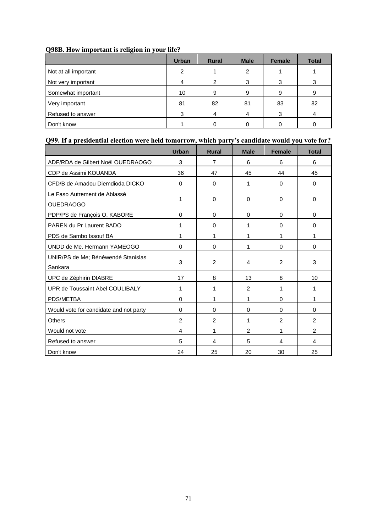## **Q98B. How important is religion in your life?**

|                      | <b>Urban</b> | <b>Rural</b> | <b>Male</b> | <b>Female</b> | <b>Total</b> |
|----------------------|--------------|--------------|-------------|---------------|--------------|
| Not at all important | ົ            |              | 2           |               |              |
| Not very important   |              |              | 3           |               |              |
| Somewhat important   | 10           | 9            | 9           | 9             |              |
| Very important       | 81           | 82           | 81          | 83            | 82           |
| Refused to answer    | 3            | 4            | 4           | 3             |              |
| Don't know           |              |              |             |               |              |

# **Q99. If a presidential election were held tomorrow, which party's candidate would you vote for?**

|                                                  | <b>Urban</b> | <b>Rural</b>   | <b>Male</b>    | <b>Female</b> | <b>Total</b>   |
|--------------------------------------------------|--------------|----------------|----------------|---------------|----------------|
| ADF/RDA de Gilbert Noël OUEDRAOGO                | 3            | 7              | 6              | 6             | 6              |
| CDP de Assimi KOUANDA                            | 36           | 47             | 45             | 44            | 45             |
| CFD/B de Amadou Diemdioda DICKO                  | $\Omega$     | $\Omega$       | 1              | $\Omega$      | $\Omega$       |
| Le Faso Autrement de Ablassé<br><b>OUEDRAOGO</b> | 1            | 0              | $\Omega$       | $\Omega$      | $\Omega$       |
| PDP/PS de François O. KABORE                     | $\Omega$     | 0              | $\Omega$       | $\Omega$      | $\Omega$       |
| PAREN du Pr Laurent BADO                         | 1            | 0              | 1              | $\Omega$      | $\Omega$       |
| PDS de Sambo Issouf BA                           | 1            | 1              | 1              | 1             | 1              |
| UNDD de Me. Hermann YAMEOGO                      | $\Omega$     | 0              | 1              | $\Omega$      | 0              |
| UNIR/PS de Me; Bénéwendé Stanislas<br>Sankara    | 3            | 2              | 4              | 2             | 3              |
| UPC de Zéphirin DIABRE                           | 17           | 8              | 13             | 8             | 10             |
| UPR de Toussaint Abel COULIBALY                  | 1            | 1              | $\overline{2}$ | 1             | 1              |
| PDS/METBA                                        | $\Omega$     | 1              | 1              | $\Omega$      | 1              |
| Would vote for candidate and not party           | $\Omega$     | $\Omega$       | $\Omega$       | $\Omega$      | $\Omega$       |
| Others                                           | 2            | $\overline{c}$ | 1              | 2             | $\overline{2}$ |
| Would not vote                                   | 4            | 1              | $\overline{2}$ | 1             | $\overline{c}$ |
| Refused to answer                                | 5            | 4              | 5              | 4             | 4              |
| Don't know                                       | 24           | 25             | 20             | 30            | 25             |